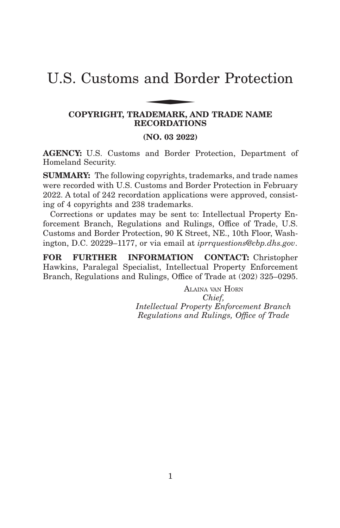# U.S. Customs and Border Protection and Bor

## **COPYRIGHT, TRADEMARK, AND TRADE NAME RECORDATIONS**

**(NO. 03 2022)**

**AGENCY:** U.S. Customs and Border Protection, Department of Homeland Security.

**SUMMARY:** The following copyrights, trademarks, and trade names were recorded with U.S. Customs and Border Protection in February 2022. A total of 242 recordation applications were approved, consisting of 4 copyrights and 238 trademarks.

Corrections or updates may be sent to: Intellectual Property Enforcement Branch, Regulations and Rulings, Office of Trade, U.S. Customs and Border Protection, 90 K Street, NE., 10th Floor, Washington, D.C. 20229–1177, or via email at *iprrquestions@cbp.dhs.gov*.

**FOR FURTHER INFORMATION CONTACT:** Christopher Hawkins, Paralegal Specialist, Intellectual Property Enforcement Branch, Regulations and Rulings, Office of Trade at (202) 325–0295.

> ALAINA VAN HORN *Chief, Intellectual Property Enforcement Branch Regulations and Rulings, Office of Trade*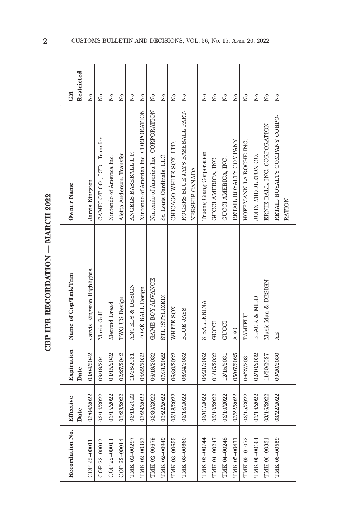| $\mathbf \zeta$          |  |  |
|--------------------------|--|--|
| ì<br>֧֚֚֚֝<br>֧֚֚֚֝<br>i |  |  |
|                          |  |  |
| Ì<br>トーくてしょ              |  |  |
| ĺ                        |  |  |
|                          |  |  |

| Recordation No. | Effective<br>Date | Expiration<br>Date | Name of Cop/Tmk/Tnm         | Owner Name                              | Restricted<br>GM     |
|-----------------|-------------------|--------------------|-----------------------------|-----------------------------------------|----------------------|
| COP 22-00011    | 03/04/2022        | 03/04/2042         | Jarvis Kingston Highlights. | Jarvis Kingston                         | Χo                   |
| COP 22-00012    | 03/14/2022        | 09/19/2041         | Mario Golf                  | CAMELOT CO., LTD., Transfer             | Χo                   |
| COP 22-00013    | 03/15/2022        | 03/15/2042         | Metroid Dread               | Nintendo of America Inc.                | $\tilde{X}^{\circ}$  |
| COP 22-00014    | 03/28/2022        | 02/27/2042         | TWO US Design.              | Aletta Anderson, Transfer               | $\overline{R}$       |
| TMK 02-00297    | 03/11/2022        | 11/28/2031         | ANGELS & DESIGN             | ANGELS BASEBALL L.P.                    | $\overline{R}$       |
| TMK 02-00323    | 03/29/2022        | 04/22/2032         | POKÉ BALL Design            | Nintendo of America Inc. CORPORATION    | Σó                   |
| TMK 02-00679    | 03/30/2022        | 06/19/2032         | GAME BOY ADVANCE            | Nintendo of America Inc. CORPORATION    | $\Sigma$             |
| TMK 02-00949    | 03/22/2022        | 07/31/2022         | STL (STYLIZED)              | St. Louis Cardinals, LLC                | $\overline{R}$       |
| TMK 03-00655    | 03/18/2022        | 06/30/2022         | WHITE SOX                   | CHICAGO WHITE SOX, LTD.                 | $\overline{N}$       |
| TMK 03-00660    | 03/18/2022        | 06/24/2032         | <b>BLUE JAYS</b>            | ROGERS BLUE JAYS BASEBALL PART-         | ż                    |
|                 |                   |                    |                             | NERSHIP CANADA                          |                      |
| TMK 03-00744    | 03/01/2022        | 08/21/2032         | 3 BALLERINA                 | Truong Giang Corporation                | Σó                   |
| TMK 04-00247    | 03/10/2022        | 01/15/2032         | GUCCI                       | GUCCI AMERICA, INC.                     | $\overline{N}$       |
| TMK 04-00248    | 03/10/2022        | 12/15/2031         | GUCCI                       | GUCCI AMERICA, INC.                     | $\tilde{X}^{\circ}$  |
| TMK 05-00471    | 03/22/2022        | 05/07/2025         | <b>AEO</b>                  | RETAIL ROYALTY COMPANY                  | $\overline{N}$       |
| TMK 05-01072    | 03/15/2022        | 06/27/2031         | TAMIFLU                     | HOFFMANN-LA ROCHE INC.                  | $\overline{N}$       |
| TMK 06-00164    | 03/18/2022        | 02/10/2032         | BLACK & MILD                | JOHN MIDDLETON CO.                      | $\tilde{X}^{\circ}$  |
| TMK 06-00331    | 03/16/2022        | 11/30/2027         | Music Man & DESIGN          | ERNIE BALL, INC. CORPORATION            | $\overline{N}$       |
| TMK 06-00559    | 03/22/2022        | 09/20/2030         | AE.                         | RETAIL ROYALTY COMPANY CORPO-<br>RATION | $\tilde{\mathbf{z}}$ |
|                 |                   |                    |                             |                                         |                      |

 $2\,$  CUSTOMS BULLETIN AND DECISIONS, VOL. 56, No. 15, April 20, 2022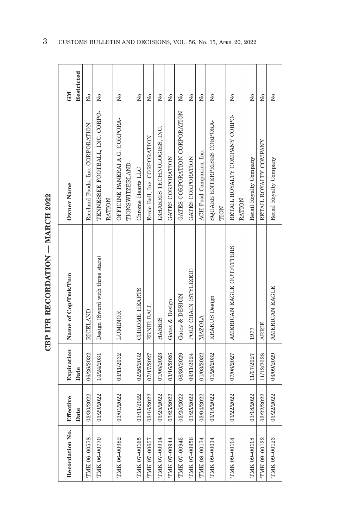| Recordation No. | Effective<br>Date | Expiration<br>Date | Name of Cop/Tmk/Tnm             | Owner Name                                        | Restricted<br><b>GMI</b> |
|-----------------|-------------------|--------------------|---------------------------------|---------------------------------------------------|--------------------------|
| TMK 06-00578    | 03/30/2022        | 06/26/2032         | <b>RICELAND</b>                 | Riceland Foods, Inc. CORPORATION                  | $\overline{M}$           |
| TMK 06-00770    | 03/29/2022        | 10/24/2031         | Design (Sword with three stars) | TENNESSEE FOOTBALL, INC. CORPO-<br>RATION         | ž                        |
| TMK 06-00982    | 03/01/2022        | 03/11/2032         | LUMINOR                         | OFFICINE PANERAI A.G. CORPORA-<br>TIONSWITZERLAND | ż                        |
| TMK 07-00165    | 03/11/2022        | 02/26/2032         | CHROME HEARTS                   | Chrome Hearts LLC                                 | $\overline{M}$           |
| TMK 07-00657    | 03/16/2022        | 07/17/2027         | ERNIE BALL                      | Ernie Ball, Inc. CORPORATION                      | Σò                       |
| TMK 07-00914    | 03/25/2022        | 01/05/2023         | <b>HARRIS</b>                   | L3HARRIS TECHNOLOGIES, INC.                       | $\overline{M}$           |
| TMK 07-00944    | 03/25/2022        | 03/16/2026         | Gates & Design                  | GATES CORPORATION                                 | Χo                       |
| TMK 07-00945    | 03/25/2022        | 08/30/2029         | Gates & DESIGN                  | GATES CORPORATION CORPORATION                     | $\Sigma$                 |
| TMK 07-00956    | 03/25/2022        | 09/11/2024         | POLY CHAIN (STYLIZED)           | GATES CORPORATION                                 | ż                        |
| TMK 08-00174    | 03/04/2022        | 01/03/2032         | <b>MAZOLA</b>                   | ACH Food Companies, Inc.                          | Σò                       |
| TMK 09-00014    | 03/18/2022        | 01/26/2032         | <b>KRAKUS</b> Design            | SQUARE ENTERPRISES CORPORA-<br>TION               | $\tilde{\mathbf{z}}$     |
| TMK 09-00114    | 03/22/2022        | 07/08/2027         | AMERICAN EAGLE OUTFITTERS       | RETAIL ROYALTY COMPANY CORPO-<br>RATION           | Σò                       |
| TMK 09-00118    | 03/18/2022        | 11/07/2027         | 1977                            | Retail Royalty Company                            | $\tilde{\mathbf{z}}$     |
| TMK 09-00122    | 03/22/2022        | 11/12/2028         | <b>AERIE</b>                    | RETAIL ROYALTY COMPANY                            | Σó                       |
| TMK 09-00123    | 03/22/2022        | 03/09/2029         | AMERICAN EAGLE                  | Retail Royalty Company                            | ż                        |

**CBP IPR RECORDATION - MARCH 2022 CBP IPR RECORDATION — MARCH 2022**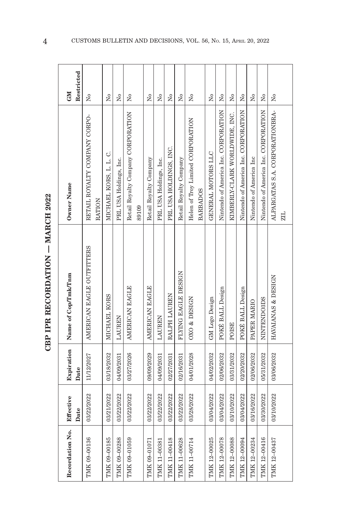| c<br>C      |  |
|-------------|--|
| י<br>יובר א |  |
|             |  |
| İ           |  |
| トウくじょう      |  |
| ŗ           |  |
|             |  |

| Recordation No. | Effective<br>Date | Expiration<br>Date | Name of Cop/Tmk/Tnm       | Owner Name                                         | Restricted<br><b>GM</b> |
|-----------------|-------------------|--------------------|---------------------------|----------------------------------------------------|-------------------------|
| TMK 09-00136    | 03/22/2022        | 11/12/2027         | AMERICAN EAGLE OUTFITTERS | RETAIL ROYALTY COMPANY CORPO-<br>RATION            | Σò                      |
| TMK 09-00185    | 03/21/2022        | 03/18/2032         | MICHAEL KORS              | MICHAEL KORS, L. L. C.                             | $\tilde{z}$             |
| TMK 09-00288    | 03/22/2022        | 04/09/2031         | LAUREN                    | PRL USA Holdings, Inc.                             | Σò                      |
| TMK 09-01059    | 03/22/2022        | 03/27/2026         | AMERICAN EAGLE            | Retail Royalty Company CORPORATION<br>89109        | ż                       |
| TMK 09-01071    | 03/22/2022        | 09/09/2029         | AMERICAN EAGLE            | Retail Royalty Company                             | $\tilde{X}^{\circ}$     |
| TMK 11-00381    | 03/22/2022        | 04/09/2031         | LAUREN                    | PRL USA Holdings, Inc.                             | ż                       |
| TMK 11-00418    | 03/22/2022        | 02/27/2031         | RALPH LAUREN              | PRL USA HOLDINGS, INC.                             | Σò                      |
| TMK 11-00628    | 03/22/2022        | 02/16/2031         | FLYING EAGLE DESIGN       | Retail Royalty Company                             | Σò                      |
| TMK 11-00714    | 03/28/2022        | 04/01/2028         | OXO & DESIGN              | Helen of Troy Limited CORPORATION                  | $\tilde{\mathbf{z}}$    |
|                 |                   |                    |                           | <b>BARBADOS</b>                                    |                         |
| TMK 12-00025    | 03/04/2022        | 04/02/2032         | GM Logo Design            | GENERAL MOTORS LLC                                 | Σò                      |
| TMK 12-00078    | 03/04/2022        | 02/06/2032         | POKÉ BALL Design          | Nintendo of America Inc. CORPORATION               | $\tilde{\mathbf{X}}$    |
| TMK 12-00088    | 03/10/2022        | 03/31/2032         | <b>POISE</b>              | KIMBERLY-CLARK WORLDWIDE, INC.                     | Σ°                      |
| TMK 12-00094    | 03/04/2022        | 02/20/2032         | POKÉ BALL Design          | Nintendo of America Inc. CORPORATION               | $\Sigma$                |
| TMK 12-00234    | 03/16/2022        | 02/06/2032         | PAPER MARIO               | Nintendo of America Inc                            | $\overline{N}$          |
| TMK 12-00416    | 03/30/2022        | 05/31/2032         | NINTENDO3DS               | Nintendo of America Inc. CORPORATION               | $\tilde{X}^{\circ}$     |
| TMK 12-00437    | 03/10/2022        | 03/06/2032         | HAVAIANAS & DESIGN        | ALPARGATAS S.A. CORPORATIONBRA-<br>$\overline{21}$ | $\tilde{\mathbf{X}}$    |
|                 |                   |                    |                           |                                                    |                         |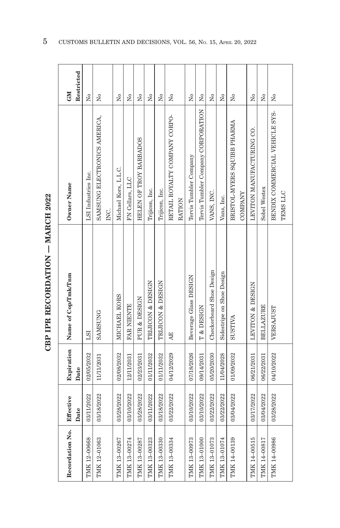| $\mathbf \zeta$          |  |  |
|--------------------------|--|--|
| ì<br>֧֚֚֚֝<br>֧֚֚֚֝<br>i |  |  |
|                          |  |  |
| Ì<br>トーくてしょ              |  |  |
| ĺ                        |  |  |
|                          |  |  |

| Recordation No. | Effective<br>Date | Expiration<br>Date | Name of Cop/Tmk/Tnm       | Owner Name                         | Restricted<br><b>GM</b> |
|-----------------|-------------------|--------------------|---------------------------|------------------------------------|-------------------------|
| TMK 12-00668    | 03/11/2022        | 02/05/2032         | LSI                       | LSI Industries Inc.                | $\tilde{z}$             |
| TMK 12-01063    | 03/18/2022        | 11/11/2031         | <b>SAMSUNG</b>            | SAMSUNG ELECTRONICS AMERICA,       | $\tilde{\mathbf{z}}$    |
|                 |                   |                    |                           | INC.                               |                         |
| TMK 13-00267    | 03/28/2022        | 02/08/2032         | MICHAEL KORS              | Michael Kors, L.L.C.               | $\tilde{\mathbf{X}}$    |
| TMK 13-00274    | 03/10/2022        | 12/11/2031         | FAR NIENTE                | FN Cellars, LLC                    | ż                       |
| TMK 13-00287    | 03/28/2022        | 02/23/2031         | PUR & DESIGN              | HELEN OF TROY BARBADOS             | Σó                      |
| TMK 13-00323    | 03/11/2022        | 01/11/2032         | TRIJICON & DESIGN         | Trijicon, Inc.                     | $\tilde{\mathbf{X}}$    |
| TMK 13-00330    | 03/18/2022        | 01/11/2032         | TRIJICON & DESIGN         | Trijicon, Inc.                     | $\tilde{\mathbf{z}}$    |
| TMK 13-00334    | 03/22/2022        | 04/12/2029         | Æ                         | RETAIL ROYALTY COMPANY CORPO-      | Σò                      |
|                 |                   |                    |                           | RATION                             |                         |
| TMK 13-00973    | 03/10/2022        | 07/18/2026         | Beverage Glass DESIGN     | Tervis Tumbler Company             | Σó                      |
| TMK 13-01000    | 03/10/2022        | 09/14/2031         | T & DESIGN                | Tervis Tumbler Company CORPORATION | ż                       |
| TMK 13-01073    | 03/22/2022        | 05/20/2030         | Checkerboard Shoe Design  | VANS, INC.                         | Σò                      |
| TMK 13-01074    | 03/22/2022        | 11/04/2028         | Sidestripe on Shoe Design | Vans, Inc.                         | ż                       |
| TMK 14-00139    | 03/04/2022        | 01/09/2032         | SUSTIVA                   | BRISTOL-MYERS SQUIBB PHARMA        | ż                       |
|                 |                   |                    |                           | <b>COMPANY</b>                     |                         |
| TMK 14-00515    | 03/17/2022        | 06/21/2031         | LEVITON & DESIGN          | LEVITON MANUFACTURING CO.          | Σó                      |
| TMK 14-00817    | 03/04/2022        | 06/22/2031         | <b>BELLAZURE</b>          | Sobel Westex                       | Σó                      |
| TMK 14-00986    | 03/28/2022        | 04/10/2022         | VERSAJUST                 | BENDIX COMMERCIAL VEHICLE SYS-     | $\tilde{\mathsf{z}}$    |
|                 |                   |                    |                           | TEMS LLC                           |                         |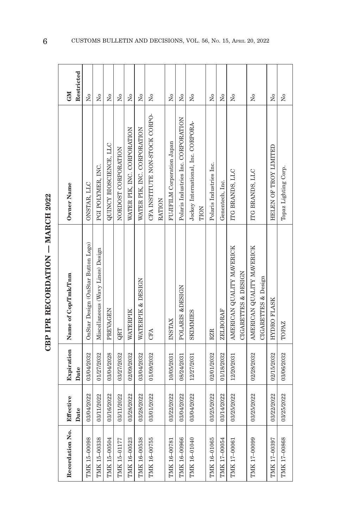| $\mathbf \zeta$          |  |  |
|--------------------------|--|--|
| ì<br>֧֚֚֚֝<br>֧֚֚֚֝<br>i |  |  |
|                          |  |  |
| Ì<br>トーくてしょ              |  |  |
| ĺ                        |  |  |
|                          |  |  |

| Recordation No. Effective |            | Expiration | Name of Cop/Tmk/Tnm                | Owner Name                          | GM                      |  |
|---------------------------|------------|------------|------------------------------------|-------------------------------------|-------------------------|--|
|                           | Date       | Date       |                                    |                                     | Restricted              |  |
| TMK 15-00098              | 03/04/2022 | 03/04/2032 | OnStar Design (OnStar Button Logo) | ONSTAR, LLC                         | $\overline{X}^{\circ}$  |  |
| TMK 15-00338              | 03/11/2022 | 01/27/2032 | Miscellaneous (Wavy Lines) Design  | PGI POLYMER, INC.                   | Σó                      |  |
| TMK 15-00504              | 03/16/2022 | 03/04/2028 | PREVAGEN                           | QUINCY BIOSCIENCE, LLC              | Σò                      |  |
| TMK 15-01177              | 03/11/2022 | 03/27/2032 | QRT                                | NORDOST CORPORATION                 | $\overline{R}$          |  |
| TMK 16-00523              | 03/28/2022 | 02/09/2032 | WATERPIK                           | WATER PIK, INC. CORPORATION         | $\tilde{X}^{\circ}$     |  |
| TMK 16-00538              | 03/28/2022 | 03/04/2032 | WATERPIK & DESIGN                  | WATER PIK, INC. CORPORATION         | $\tilde{\rm X}^{\rm o}$ |  |
| TMK 16-00755              | 03/01/2022 | 01/09/2032 | <b>CFA</b>                         | CFA INSTITUTE NON-STOCK CORPO-      | $\tilde{\mathbf{z}}$    |  |
|                           |            |            |                                    | RATION                              |                         |  |
| TMK 16-00781              | 03/22/2022 | 10/05/2031 | <b>INSTAX</b>                      | FUJIFILM Corporation Japan          | Σó                      |  |
| TMK 16-00966              | 03/04/2022 | 08/24/2031 | POLARIS &DESIGN                    | Polaris Industries Inc. CORPORATION | Σó                      |  |
| TMK 16-01040              | 03/04/2022 | 12/27/2031 | SKIMMIES                           | Jockey International, Inc. CORPORA- | Σò                      |  |
|                           |            |            |                                    | TION                                |                         |  |
| TMK 16-01065              | 03/25/2022 | 02/01/2032 | <b>RZR</b>                         | Polaris Industries Inc.             | Σó                      |  |
| TMK 17-00054              | 03/14/2022 | 01/18/2032 | <b>ZELBORAF</b>                    | Genentech, Inc.                     | Σó                      |  |
| TMK 17-00061              | 03/25/2022 | 12/20/2031 | AMERICAN QUALITY MAVERICK          | ITG BRANDS, LLC                     | Σó                      |  |
|                           |            |            | <b>CIGARETTES &amp; DESIGN</b>     |                                     |                         |  |
| TMK 17-00099              | 03/25/2022 | 02/28/2032 | AMERICAN QUALITY MAVERICK          | ITG BRANDS, LLC                     | $\tilde{\mathbf{z}}$    |  |
|                           |            |            | CIGARETTES & Design                |                                     |                         |  |
| TMK 17-00397              | 03/22/2022 | 02/15/2032 | HYDRO FLASK                        | HELEN OF TROY LIMITED               | Σó                      |  |
| TMK 17-00868              | 03/25/2022 | 03/06/2032 | <b>TOPAZ</b>                       | Topaz Lighting Corp.                | $\tilde{X}^{\circ}$     |  |
|                           |            |            |                                    |                                     |                         |  |

6 CUSTOMS BULLETIN AND DECISIONS, VOL. 56, NO. 15, APRIL 20, 2022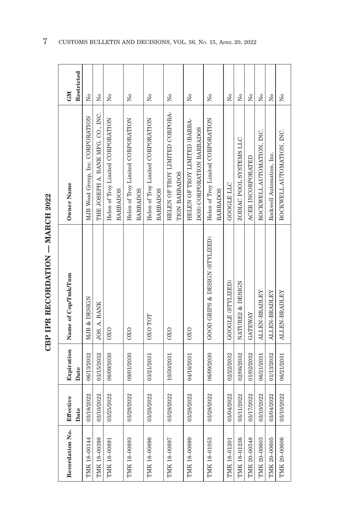| Recordation No. Effective | Date       | Expiration<br>Date | Name of Cop/Tmk/Tnm            | Owner Name                        | Restricted<br><b>GM</b>                     |
|---------------------------|------------|--------------------|--------------------------------|-----------------------------------|---------------------------------------------|
| TMK 18-00144              | 03/18/2022 | 06/13/2032         | MJB & DESIGN                   | MJB Wood Group, Inc. CORPORATION  | Σô                                          |
| TMK 18-00398              | 03/10/2022 | 03/15/2032         | JOS. A. BANK                   | THE JOSEPH A. BANK MFG. CO., INC. | $\tilde{\mathbf{z}}$                        |
| TMK 18-00891              | 03/25/2022 | 06/09/2030         | <b>OXO</b>                     | Helen of Troy Limited CORPORATION | $\mathop{\mathrm{N}}\nolimits_{\mathrm{O}}$ |
|                           |            |                    |                                | <b>BARBADOS</b>                   |                                             |
| TMK 18-00893              | 03/28/2022 | 09/01/2030         | <b>OXO</b>                     | Helen of Troy Limited CORPORATION | $\tilde{\mathbf{z}}$                        |
|                           |            |                    |                                | <b>BARBADOS</b>                   |                                             |
| TMK 18-00896              | 03/28/2022 | 03/21/2031         | <b>DOLOXO</b>                  | Helen of Troy Limited CORPORATION | Χo                                          |
|                           |            |                    |                                | <b>BARBADOS</b>                   |                                             |
| TMK 18-00897              | 03/28/2022 | 10/30/2031         | <b>OXO</b>                     | HELEN OF TROY LIMITED CORPORA-    | $\tilde{z}$                                 |
|                           |            |                    |                                | <b>TION BARBADOS</b>              |                                             |
| TMK 18-00899              | 03/28/2022 | 04/16/2031         | <b>OXO</b>                     | HELEN OF TROY LIMITED (BARBA-     | Σò                                          |
|                           |            |                    |                                | DOS) CORPORATION BARBADOS         |                                             |
| TMK 18-01053              | 03/28/2022 | 06/09/2030         | GOOD GRIPS & DESIGN (STYLIZED) | Helen of Troy Limited CORPORATION | Σò                                          |
|                           |            |                    |                                | <b>BARBADOS</b>                   |                                             |
| TMK 18-01201              | 03/04/2022 | 02/22/2032         | GOOGLE (STYLIZED)              | <b>GOOGLE LLC</b>                 | Χo                                          |
| TMK 18-01236              | 03/11/2022 | 02/06/2032         | NATURE2 & DESIGN               | ZODIAC POOL SYSTEMS LLC           | $\overline{M}$                              |
| TMK 20-00548              | 03/17/2022 | 01/02/2032         | <b>GATEWAY</b>                 | ACER INCORPORATED                 | $\tilde{X}^{\circ}$                         |
| TMK 20-00603              | 03/10/2022 | 06/21/2031         | ALLEN-BRADLEY                  | ROCKWELL AUTOMATION, INC.         | Σò                                          |
| TMK 20-00605              | 03/04/2022 | 01/13/2032         | ALLEN-BRADLEY                  | Rockwell Automation, Inc.         | Σó                                          |
| TMK 20-00606              | 03/10/2022 | 06/21/2031         | ALLEN-BRADLEY                  | ROCKWELL AUTOMATION, INC.         | Σò                                          |

**CBP IPR RECORDATION - MARCH 2022 CBP IPR RECORDATION — MARCH 2022**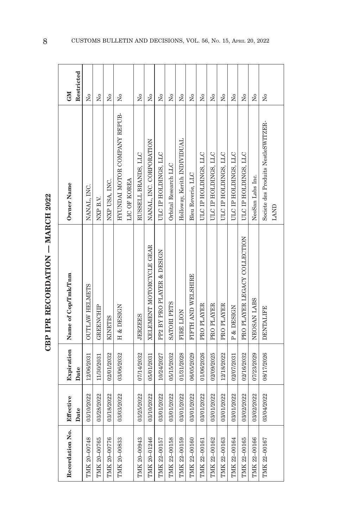| č           |
|-------------|
| }<br>ا<br>Ĭ |
|             |
| ・・・・・・・・・   |
|             |
|             |
|             |

| Recordation No.   Effective | Date       | Date       | Expiration Name of Cop/Tmk/Tnm | Owner Name                          | Restricted<br>GM        |
|-----------------------------|------------|------------|--------------------------------|-------------------------------------|-------------------------|
| TMK 20-00748                | 03/10/2022 | 12/06/2031 | <b>OUTLAW HELMETS</b>          | NANAL, INC.                         | Σò                      |
| TMK 20-00765                | 03/28/2022 | 11/30/2031 | <b>GREENCHIP</b>               | NXP B.V.                            | Σó                      |
| TMK 20-00776                | 03/18/2022 | 02/01/2032 | <b>KINETIS</b>                 | NXP USA, INC.                       | $\tilde{\mathbf{X}}$    |
| TMK 20-00833                | 03/03/2022 | 03/06/2032 | H & DESIGN                     | HYUNDAI MOTOR COMPANY REPUB-        | $\tilde{\mathbf{z}}$    |
|                             |            |            |                                | LIC OF KOREA                        |                         |
| TMK 20-00943                | 03/25/2022 | 07/14/2032 | <b>JERZEES</b>                 | RUSSELL BRANDS, LLC                 | $\overline{N}$          |
| TMK 20-01246                | 03/10/2022 | 05/01/2031 | XELEMENT MOTORCYCLE GEAR       | NANAL, INC. CORPORATION             | $\tilde{\mathbf{X}}$    |
| TMK 22-00157                | 03/01/2022 | 10/24/2027 | PP2 BY PRO PLAYER & DESIGN     | ULC IP HOLDINGS, LLC                | ż                       |
| TMK 22-00158                | 03/01/2022 | 05/15/2032 | <b>SATORI PETS</b>             | Orbital Research LLC                | Σó                      |
| TMK 22-00159                | 03/01/2022 | 01/31/2028 | FIRE LION                      | Holloway, Kerith INDIVIDUAL         | Σò                      |
| TMK 22-00160                | 03/01/2022 | 06/05/2029 | FIFTH AND WELSHIRE             | Bleu Reverie, LLC                   | ż                       |
| TMK 22-00161                | 03/01/2022 | 01/06/2026 | PRO PLAYER                     | ULC IP HOLDINGS, LLC                | $\tilde{\mathbf{z}}$    |
| TMK 22-00162                | 03/01/2022 | 02/09/2025 | PRO PLAYER                     | ULC IP HOLDINGS, LLC                | Σò                      |
| TMK 22-00163                | 03/01/2022 | 12/18/2022 | PRO PLAYER                     | ULC IP HOLDINGS, LLC                | $\tilde{\rm x}^{\rm o}$ |
| TMK 22-00164                | 03/01/2022 | 02/07/2031 | P & DESIGN                     | ULC IP HOLDINGS, LLC                | Σ°                      |
| TMK 22-00165                | 03/02/2022 | 02/16/2032 | PRO PLAYER LEGACY COLLECTION   | ULC IP HOLDINGS, LLC                | $\tilde{\rm x}$         |
| TMK 22-00166                | 03/02/2022 | 07/23/2029 | NEOSAN LABS                    | NeoSan Labs Inc.                    | $\tilde{\rm x}^{\rm o}$ |
| TMK 22-00167                | 03/04/2022 | 08/17/2026 | <b>DENTALIFE</b>               | Societe des Produits NestleSWITZER- | $\tilde{X}^{\circ}$     |
|                             |            |            |                                | LAND                                |                         |

8 CUSTOMS BULLETIN AND DECISIONS, VOL. 56, No. 15, APRIL 20, 2022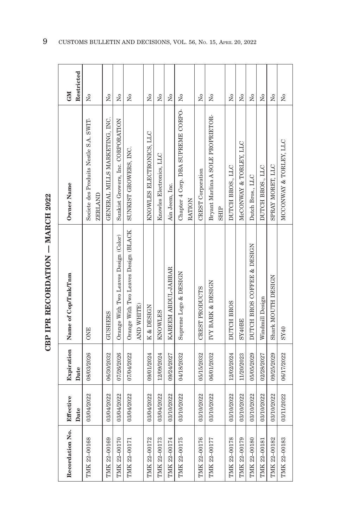| c<br>C      |  |
|-------------|--|
| י<br>יובר א |  |
|             |  |
| İ           |  |
| トウくじょう      |  |
| ŗ           |  |
|             |  |

| Recordation No. | Effective<br>Date | Expiration<br>Date | Name of Cop/Tmk/Tnm                                | Owner Name                                        | Restricted<br><b>CM</b>                                                |
|-----------------|-------------------|--------------------|----------------------------------------------------|---------------------------------------------------|------------------------------------------------------------------------|
| TMK 22-00168    | 03/04/2022        | 08/03/2026         | <b>ONE</b>                                         | Societe des Produits Nestle S.A. SWIT-<br>ZERLAND | Σó                                                                     |
| TMK 22-00169    | 03/04/2022        | 06/30/2032         | <b>GUSHERS</b>                                     | GENERAL MILLS MARKETING, INC.                     | $\tilde{X}^{\circ}$                                                    |
| TMK 22-00170    | 03/04/2022        | 07/26/2026         | Orange With Two Leaves Design (Color)              | Sunkist Growers, Inc. CORPORATION                 | $\tilde{z}$                                                            |
| TMK 22-00171    | 03/04/2022        | 07/04/2022         | Orange With Two Leaves Design (BLACK<br>AND WHITE) | SUNKIST GROWERS, INC.                             | $\tilde{Z}$                                                            |
| TMK 22-00172    | 03/04/2022        | 09/01/2024         | K & DESIGN                                         | KNOWLES ELECTRONICS, LLC                          | $\tilde{X}^{\circ}$                                                    |
| TMK 22-00173    | 03/04/2022        | 12/09/2024         | <b>KNOWLES</b>                                     | Knowles Electronics, LLC                          | ż                                                                      |
| TMK 22-00174    | 03/10/2022        | 09/24/2027         | KAREEM ABDUL-JABBAR                                | Ain Jeem, Inc.                                    | $\tilde{X}^{\circ}$                                                    |
| TMK 22-00175    | 03/10/2022        | 04/18/2032         | Supreme Logo & DESIGN                              | Chapter 4 Corp. DBA SUPREME CORPO-<br>RATION      | $\tilde{Z}$                                                            |
| TMK 22-00176    | 03/10/2022        | 05/15/2032         | CREST PRODUCTS                                     | <b>CREST</b> Corporation                          | $\tilde{X}^{\circ}$                                                    |
|                 |                   |                    |                                                    |                                                   |                                                                        |
| TMK 22-00177    | 03/10/2022        | 06/01/2032         | IVY BARK & DESIGN                                  | Bryant Marlina A SOLE PROPRIETOR-<br><b>SHIP</b>  | Σò                                                                     |
| TMK 22-00178    | 03/10/2022        | 12/02/2024         | DUTCH BROS                                         | DUTCH BROS., LLC                                  | $\tilde{X}^{\circ}$                                                    |
| TMK 22-00179    | 03/10/2022        | 11/20/2023         | SY40BE                                             | McCONWAY & TORLEY, LLC                            | Σò                                                                     |
| TMK 22-00180    | 03/10/2022        | 05/05/2029         | DUTCH BROS COFFEE & DESIGN                         | Dutch Bros., LLC                                  | $\overline{R}$                                                         |
| TMK 22-00181    | 03/10/2022        | 02/28/2027         | Windmill Design                                    | DUTCH BROS., LLC                                  | $\rm \stackrel{\circ}{\rm \stackrel{\circ}{\rm \scriptscriptstyle M}}$ |
| TMK 22-00182    | 03/10/2022        | 09/25/2029         | Shark MOUTH DESIGN                                 | SPRAY MORET, LLC                                  | Σò                                                                     |
| TMK 22-00183    | 03/11/2022        | 06/17/2022         | SY40                                               | MCCONWAY & TORLEY, LLC                            | Σó                                                                     |

9 CUSTOMS BULLETIN AND DECISIONS, VOL. 56, NO. 15, APRIL 20, 2022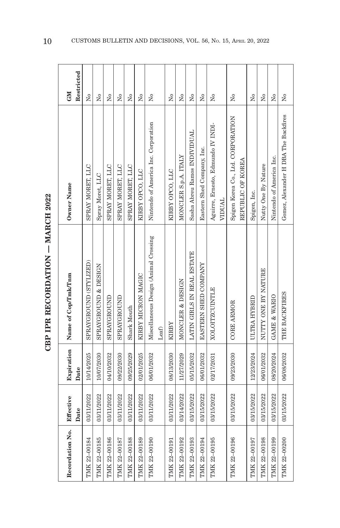| č                                   |  |
|-------------------------------------|--|
| }<br>ا<br>í<br>$\ddot{\phantom{0}}$ |  |
|                                     |  |
| イードー<br>・インクロー<br>í                 |  |
|                                     |  |
|                                     |  |

| Recordation No. | Effective  |            | Expiration Name of Cop/Tmk/Tnm        | Owner Name                                              | GM                                          |
|-----------------|------------|------------|---------------------------------------|---------------------------------------------------------|---------------------------------------------|
|                 | Date       | Date       |                                       |                                                         | Restricted                                  |
| TMK 22-00184    | 03/11/2022 | 10/14/2025 | SPRAYGROUND (STYLIZED)                | SPRAY MORET, LLC                                        | $\mathop{\mathrm{N}}\nolimits_{\mathrm{O}}$ |
| TMK 22-00185    | 03/11/2022 | 10/07/2030 | SPRAYGROUND & DESIGN                  | Spray Moret, LLC                                        | $\tilde{\mathbf{z}}$                        |
| TMK 22-00186    | 03/11/2022 | 04/10/2032 | SPRAYGROUND                           | SPRAY MORET, LLC                                        | $\tilde{\mathbf{z}}$                        |
| TMK 22-00187    | 03/11/2022 | 09/22/2030 | SPRAYGROUND                           | SPRAY MORET, LLC                                        | $\tilde{\mathbf{z}}$                        |
| TMK 22-00188    | 03/11/2022 | 09/25/2029 | Shark Mouth                           | SPRAY MORET, LLC                                        | Σó                                          |
| TMK 22-00189    | 03/11/2022 | 02/01/2025 | KIRBY MICRON MAGIC                    | KIRBY OPCO, LLC                                         | $\tilde{\mathbf{z}}$                        |
| TMK 22-00190    | 03/11/2022 | 06/01/2032 | Miscellaneous Design (Animal Crossing | Nintendo of America Inc. Corporation                    | $\tilde{\mathbf{z}}$                        |
|                 |            |            | Leaf)                                 |                                                         |                                             |
| TMK 22-00191    | 03/11/2022 | 08/13/2030 | <b>KIRBY</b>                          | KIRBY OPCO, LLC                                         | ż                                           |
| TMK 22-00192    | 03/14/2022 | 11/27/2029 | MONCLER & DESIGN                      | MONCLER S.p.A. ITALY                                    | $\tilde{\mathbf{z}}$                        |
| TMK 22-00193    | 03/15/2022 | 05/15/2032 | LATIN GIRLS IN REAL ESTATE            | Sasha Abreu Ramos INDIVIDUAL                            | Σó                                          |
| TMK 22-00194    | 03/15/2022 | 06/01/2032 | EASTERN SHED COMPANY                  | Eastern Shed Company, Inc.                              | $\tilde{z}$                                 |
| TMK 22-00195    | 03/15/2022 | 02/17/2031 | <b>XOLOITZCUINTLE</b>                 | Aguirre, Ernesto, Edmundo IV INDI-<br><b>VIDUAL</b>     | $\tilde{\mathbf{z}}$                        |
| TMK 22-00196    | 03/15/2022 | 09/23/2030 | <b>CORE ARMOR</b>                     | Spigen Korea Co., Ltd. CORPORATION<br>REPUBLIC OF KOREA | $\tilde{X}^{\circ}$                         |
| TMK 22-00197    | 03/15/2022 | 12/23/2024 | ULTRA HYBRID                          | Spigen, Inc.                                            | $\tilde{X}^{\circ}$                         |
| TMK 22-00198    | 03/15/2022 | 06/01/2032 | NUTTY ONE BY NATURE                   | Nutty One By Nature                                     | $\overline{N}$                              |
| TMK 22-00199    | 03/15/2022 | 08/20/2024 | GAME & WARIO                          | Nintendo of America Inc.                                | $\tilde{X}^{\circ}$                         |
| TMK 22-00200    | 03/15/2022 | 06/08/2032 | THE BACKFIRES                         | Gomez, Alexander H DBA The Backfires                    | $\tilde{X}^{\circ}$                         |
|                 |            |            |                                       |                                                         |                                             |

10 CUSTOMS BULLETIN AND DECISIONS, VOL. 56, NO. 15, APRIL 20, 2022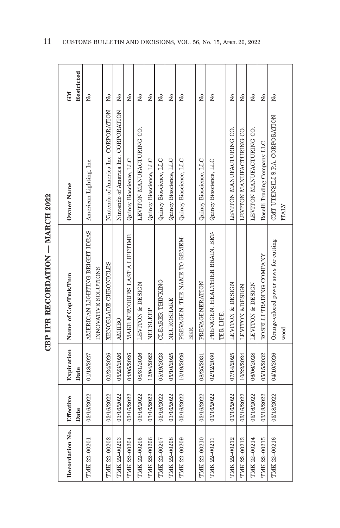| č                                   |  |
|-------------------------------------|--|
| }<br>ا<br>í<br>$\ddot{\phantom{0}}$ |  |
|                                     |  |
| イードー<br>・インクロー<br>í                 |  |
|                                     |  |
|                                     |  |

| Recordation No. | Effective<br>Date | Expiration<br>Date | Name of Cop/Tmk/Tnm                                    | Owner Name                           | Restricted<br><b>NEO</b>             |
|-----------------|-------------------|--------------------|--------------------------------------------------------|--------------------------------------|--------------------------------------|
| TMK 22-00201    | 03/16/2022        | 01/18/2027         | AMERICAN LIGHTING BRIGHT IDEAS<br>INNOVATIVE SOLUTIONS | American Lighting, Inc.              | $\tilde{\mathbf{z}}$                 |
| TMK 22-00202    | 03/16/2022        | 02/24/2026         | XENOBLADE CHRONICLES                                   | Nintendo of America Inc. CORPORATION | $\tilde{z}$                          |
| TMK 22-00203    | 03/16/2022        | 05/23/2026         | AMIIBO                                                 | Nintendo of America Inc. CORPORATION | $\tilde{\mathbf{z}}$                 |
| TMK 22-00204    | 03/16/2022        | 04/05/2026         | MAKE MEMORIES LAST A LIFETIME                          | Quincy Bioscience, LLC               | $\tilde{\mathbf{z}}$                 |
| TMK 22-00205    | 03/16/2022        | 08/31/2026         | LEVITON & DESIGN                                       | LEVITON MANUFACTURING CO.            | Χo                                   |
| TMK 22-00206    | 03/16/2022        | 12/04/2022         | NEUSLEEP                                               | Quincy Bioscience, LLC               | Σó                                   |
| TMK 22-00207    | 03/16/2022        | 05/19/2023         | <b>CLEARER THINKING</b>                                | Quincy Bioscience, LLC               | ż                                    |
| TMK 22-00208    | 03/16/2022        | 05/10/2025         | NEUROSHAKE                                             | Quincy Bioscience, LLC               | Σó                                   |
| TMK 22-00209    | 03/16/2022        | 10/19/2026         | PREVAGEN. THE NAME TO REMEM-                           | Quincy Bioscience, LLC               | Σò                                   |
|                 |                   |                    | BER.                                                   |                                      |                                      |
| TMK 22-00210    | 03/16/2022        | 08/25/2031         | PREVAGENERATION                                        | Quincy Bioscience, LLC               | Σó                                   |
| TMK 22-00211    | 03/16/2022        | 02/12/2030         | PREVAGEN. HEALTHIER BRAIN. BET-                        | Quincy Bioscience, LLC               | $\tilde{z}$                          |
|                 |                   |                    | TER LIFE.                                              |                                      |                                      |
| TMK 22-00212    | 03/16/2022        | 07/14/2025         | LEVITON & DESIGN                                       | LEVITON MANUFACTURING CO.            | Σó                                   |
| TMK 22-00213    | 03/16/2022        | 10/22/2024         | LEVITON &DESIGN                                        | LEVITON MANUFACTURING CO.            | $\tilde{\mathbf{X}}$                 |
| TMK 22-00214    | 03/16/2022        | 06/06/2028         | LEVITON & DESIGN                                       | LEVITON MANUFACTURING CO.            | $\overline{\mathsf{X}}^{\mathsf{o}}$ |
| TMK 22-00215    | 03/18/2022        | 05/15/2032         | ROSELLI TRADING COMPANY                                | Roselli Trading Company LLC          | $\overline{N}^{\circ}$               |
| TMK 22-00216    | 03/18/2022        | 04/10/2026         | Orange-colored power saws for cutting                  | CMT UTENSILI S.P.A. CORPORATION      | ż                                    |
|                 |                   |                    | wood                                                   | <b>ITALY</b>                         |                                      |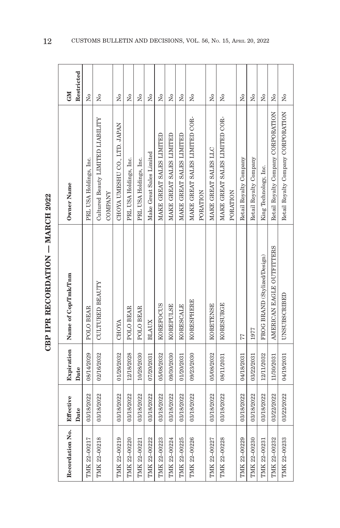| č                                   |  |
|-------------------------------------|--|
| }<br>ا<br>í<br>$\ddot{\phantom{0}}$ |  |
|                                     |  |
| イードー<br>・インクロー<br>í                 |  |
|                                     |  |
|                                     |  |

| Recordation No. | Effective<br>Date | Expiration<br>Date | Name of Cop/Tmk/Tnm          | Owner Name                         | Restricted<br><b>GM</b> |
|-----------------|-------------------|--------------------|------------------------------|------------------------------------|-------------------------|
| TMK 22-00217    | 03/18/2022        | 08/14/2029         | POLO BEAR                    | PRL USA Holdings, Inc.             | $\overline{M}$          |
| TMK 22-00218    | 03/18/2022        | 02/16/2032         | CULTURED BEAUTY              | Cultured Beauty LIMITED LIABILITY  | ż                       |
|                 |                   |                    |                              | <b>COMPANY</b>                     |                         |
| TMK 22-00219    | 03/18/2022        | 01/26/2032         | CHOYA                        | CHOYA UMESHU CO., LTD. JAPAN       | $\tilde{\mathbf{X}}$    |
| TMK 22-00220    | 03/18/2022        | 12/18/2028         | POLO BEAR                    | PRL USA Holdings, Inc.             | ž                       |
| TMK 22-00221    | 03/18/2022        | 10/28/2030         | POLO BEAR                    | PRL USA Holdings, Inc.             | Σó                      |
| TMK 22-00222    | 03/18/2022        | 07/20/2031         | <b>BLAUX</b>                 | Make Great Sales Limited           | Σó                      |
| TMK 22-00223    | 03/18/2022        | 05/08/2032         | <b>KOREFOCUS</b>             | MAKE GREAT SALES LIMITED           | ž                       |
| TMK 22-00224    | 03/18/2022        | 09/30/2030         | KOREPULSE                    | MAKE GREAT SALES LIMITED           | Σó                      |
| TMK 22-00225    | 03/18/2022        | 01/20/2031         | <b>KORESCALE</b>             | MAKE GREAT SALES LIMITED           | Σó                      |
| TMK 22-00226    | 03/18/2022        | 09/23/2030         | KORESPHERE                   | MAKE GREAT SALES LIMITED COR-      | Σ°                      |
|                 |                   |                    |                              | PORATION                           |                         |
| TMK 22-00227    | 03/18/2022        | 05/08/2032         | <b>KORETENSE</b>             | MAKE GREAT SALES LLC               | Σó                      |
| TMK 22-00228    | 03/18/2022        | 08/11/2031         | KORESURGE                    | MAKE GREAT SALES LIMITED COR-      | $\tilde{\mathbf{z}}$    |
|                 |                   |                    |                              | PORATION                           |                         |
| TMK 22-00229    | 03/18/2022        | 04/18/2031         | 77                           | Retail Royalty Company             | $\tilde{\rm X}^0$       |
| TMK 22-00230    | 03/18/2022        | 03/22/2031         | 1977                         | Retail Royalty Company             | Σó                      |
| TMK 22-00231    | 03/18/2022        | 12/11/2032         | FROG BRAND (Stylized/Design) | King Technology, Inc.              | $\tilde{X}^{\circ}$     |
| TMK 22-00232    | 03/22/2022        | 11/30/2031         | AMERICAN EAGLE OUTFITTERS    | Retail Royalty Company CORPORATION | Σó                      |
| TMK 22-00233    | 03/22/2022        | 04/19/2031         | UNSUBSCRIBED                 | Retail Royalty Company CORPORATION | ż                       |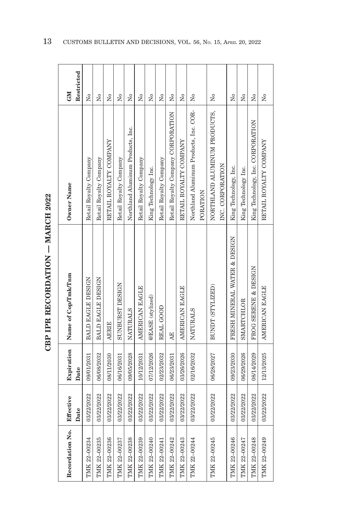| Recordation No. | Effective  | Expiration | Name of Cop/Tmk/Tnm          | Owner Name                             | GM                   |
|-----------------|------------|------------|------------------------------|----------------------------------------|----------------------|
|                 | Date       | Date       |                              |                                        | Restricted           |
| TMK 22-00234    | 03/22/2022 | 09/01/2031 | <b>BALD EAGLE DESIGN</b>     | Retail Royalty Company                 | $\tilde{\mathbf{z}}$ |
| TMK 22-00235    | 03/22/2022 | 06/08/2032 | BALD EAGLE DESIGN            | Retail Royalty Company                 | $\tilde{z}$          |
| TMK 22-00236    | 03/22/2022 | 08/11/2030 | <b>AERIE</b>                 | RETAIL ROYALTY COMPANY                 | ż                    |
| TMK 22-00237    | 03/22/2022 | 06/16/2031 | <b>SUNBURST DESIGN</b>       | Retail Royalty Company                 | $\tilde{\mathbf{z}}$ |
| TMK 22-00238    | 03/22/2022 | 09/05/2028 | <b>NATURALS</b>              | Northland Aluminum Products, Inc.      | Σò                   |
| TMK 22-00239    | 03/22/2022 | 10/12/2031 | AMERICAN EAGLE               | Retail Royalty Company                 | $\tilde{z}$          |
| TMK 22-00240    | 03/22/2022 | 07/12/2026 | @EASE (stylized)             | King Technology Inc.                   | Σó                   |
| TMK 22-00241    | 03/22/2022 | 02/23/2032 | REAL GOOD                    | Retail Royalty Company                 | Σó                   |
| TMK 22-00242    | 03/22/2022 | 06/23/2031 | AE                           | Retail Royalty Company CORPORATION     | ž                    |
| TMK 22-00243    | 03/22/2022 | 03/26/2026 | AMERICAN EAGLE               | RETAIL ROYALTY COMPANY                 | Σó                   |
| TMK 22-00244    | 03/22/2022 | 02/16/2032 | <b>NATURALS</b>              | Northland Aluminum Products, Inc. COR- | ż                    |
|                 |            |            |                              | PORATION                               |                      |
| TMK 22-00245    | 03/22/2022 | 06/28/2027 | BUNDT (STYLIZED)             | NORTHLAND ALUMINUM PRODUCTS,           | ż                    |
|                 |            |            |                              | INC. CORPORATION                       |                      |
| TMK 22-00246    | 03/22/2022 | 09/23/2030 | FRESH MINERAL WATER & DESIGN | King Technology, Inc.                  | Σò                   |
| TMK 22-00247    | 03/22/2022 | 06/29/2026 | <b>SMARTCHLOR</b>            | King Technology Inc.                   | $\tilde{\mathbf{z}}$ |
| TMK 22-00248    | 03/22/2022 | 08/14/2029 | FROG SERENE & DESIGN         | King Technology, Inc. CORPORATION      | Σó                   |
| TMK 22-00249    | 03/22/2022 | 12/13/2025 | AMERICAN EAGLE               | RETAIL ROYALTY COMPANY                 | $\tilde{\mathbf{z}}$ |

**CBP IPR RECORDATION - MARCH 2022 CBP IPR RECORDATION — MARCH 2022**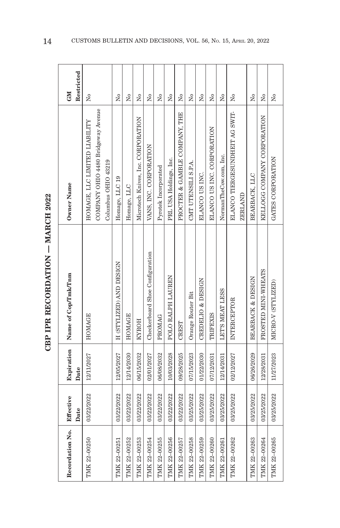| Recordation No. | Effective<br>Date | Expiration<br>Date | Name of Cop/Tmk/Tnm             | Owner Name                         | Restricted<br>GM                     |
|-----------------|-------------------|--------------------|---------------------------------|------------------------------------|--------------------------------------|
| TMK 22-00250    | 03/22/2022        | 12/11/2027         | <b>HOMAGE</b>                   | HOMAGE, LLC LIMITED LIABILITY      | $\overline{R}$                       |
|                 |                   |                    |                                 | COMPANY OHIO 4480 Bridgeway Avenue |                                      |
|                 |                   |                    |                                 | Columbus OHIO 43219                |                                      |
| TMK 22-00251    | 03/22/2022        | 12/05/2027         | H (STYLIZED) AND DESIGN         | Homage, LLC 19                     | Σó                                   |
| TMK 22-00252    | 03/22/2022        | 12/14/2030         | <b>HOMAGE</b>                   | Homage, LLC                        | Σò                                   |
| TMK 22-00253    | 03/22/2022        | 06/15/2032         | <b>KYROH</b>                    | Microtech Knives, Inc. CORPORATION | $\overline{R}$                       |
| TMK 22-00254    | 03/22/2022        | 02/01/2027         | Checkerboard Shoe Configuration | VANS, INC. CORPORATION             | Σó                                   |
| TMK 22-00255    | 03/22/2022        | 06/08/2032         | PROMAG                          | Pyrotek Incorporated               | Σó                                   |
| TMK 22-00256    | 03/22/2022        | 10/03/2028         | POLO RALPH LAUREN               | PRL USA Holdings, Inc.             | Σó                                   |
| TMK 22-00257    | 03/22/2022        | 09/28/2025         | CREST                           | PROCTER & GAMBLE COMPANY, THE      | $\overline{N}$                       |
| TMK 22-00258    | 03/25/2022        | 07/15/2023         | Orange Router Bit               | CMT UTENSILI S.P.A.                | Σó                                   |
| TMK 22-00259    | 03/25/2022        | 01/22/2030         | CREDELIO & DESIGN               | ELANCO US INC.                     | Σó                                   |
| TMK 22-00260    | 03/25/2022        | 07/12/2031         | TRIFEXIS                        | ELANCO US INC. CORPORATION         | $\tilde{\rm X}^0$                    |
| TMK 22-00261    | 03/25/2022        | 12/14/2031         | LET'S MEAT LESS                 | NormanTheCow.com, Inc.             | $\tilde{X}^{\circ}$                  |
| TMK 22-00262    | 03/25/2022        | 02/12/2027         | INTERCEPTOR                     | ELANCO TIERGESUNDHEIT AG SWIT-     | Σò                                   |
|                 |                   |                    |                                 | <b>ZERLAND</b>                     |                                      |
| TMK 22-00263    | 03/25/2022        | 06/26/2029         | <b>BEARBACK &amp; DESIGN</b>    | BEARBACK, LLC                      | Σó                                   |
| TMK 22-00264    | 03/25/2022        | 12/28/2031         | FROSTED MINI-WHEATS             | KELLOGG COMPANY CORPORATION        | $\tilde{\rm x}^{\rm o}$              |
| TMK 22-00265    | 03/25/2022        | 11/27/2023         | MICRO-V (STYLIZED)              | GATES CORPORATION                  | $\overline{\mathsf{X}}^{\mathsf{o}}$ |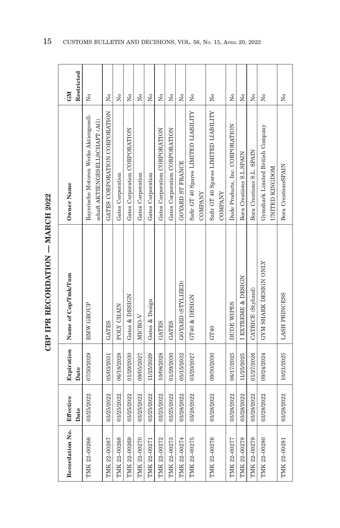| $\mathbf \zeta$ |  |  |
|-----------------|--|--|
| ì<br>֚֓<br>i    |  |  |
|                 |  |  |
| Ì<br>トーくてしょ     |  |  |
| ĺ               |  |  |
|                 |  |  |

| Recordation No. | Effective<br>Date | Expiration<br>Date | Name of Cop/Tmk/Tnm   | Owner Name                                                               | Restricted<br><b>GM</b>   |
|-----------------|-------------------|--------------------|-----------------------|--------------------------------------------------------------------------|---------------------------|
| TMK 22-00266    | 03/25/2022        | 07/30/2029         | BMW GROUP             | Bayerische Motoren Werke Aktiengesell-<br>schaft AKTIENGESELLSCHAFT (AG) | Σò                        |
| TMK 22-00267    | 03/25/2022        | 05/03/2031         | <b>GATES</b>          | GATES CORPORATION CORPORATION                                            | $\mathsf{S}^{\mathsf{o}}$ |
| TMK 22-00268    | 03/25/2022        | 06/18/2028         | POLY CHAIN            | Gates Corporation                                                        | ż                         |
| TMK 22-00269    | 03/25/2022        | 01/29/2030         | Gates & DESIGN        | Gates Corporation CORPORATION                                            | $\mathsf{S}^{\mathsf{o}}$ |
| TMK 22-00270    | 03/25/2022        | 09/05/2027         | MICRO-V               | Gates Corporation                                                        | Σò                        |
| TMK 22-00271    | 03/25/2022        | 11/25/2029         | Gates & Design        | Gates Corporation                                                        | ż                         |
| TMK 22-00272    | 03/25/2022        | 10/08/2028         | <b>GATES</b>          | Gates Corporation CORPORATION                                            | $\mathsf{S}^{\mathsf{o}}$ |
| TMK 22-00273    | 03/25/2022        | 01/29/2030         | <b>GATES</b>          | Gates Corporation CORPORATION                                            | $\tilde{\mathbf{z}}$      |
| TMK 22-00274    | 03/28/2022        | 05/15/2032         | GOYARD (STYLIZED)     | GOYARD ST FRANCE                                                         | Σó                        |
| TMK 22-00275    | 03/28/2022        | 03/20/2027         | GT40 & DESIGN         | Safir GT 40 Spares LIMITED LIABILITY<br><b>COMPANY</b>                   | $\tilde{\mathsf{z}}$      |
| TMK 22-00276    | 03/28/2022        | 09/30/2030         | GT40                  | Safir GT 40 Spares LIMITED LIABILITY                                     | å                         |
|                 |                   |                    |                       | <b>COMPANY</b>                                                           |                           |
| TMK 22-00277    | 03/28/2022        | 06/17/2025         | <b>DUDE WIPES</b>     | Dude Products, Inc. CORPORATION                                          | Σò                        |
| TMK 22-00278    | 03/28/2022        | 11/25/2025         | I EXTREME & DESIGN    | Bora Creations S.L.SPAIN                                                 | Σò                        |
| TMK 22-00279    | 03/28/2022        | 01/27/2026         | CATRICE (Stylized)    | Bora Creations S.L. SPAIN                                                | ż                         |
| TMK 22-00280    | 03/28/2022        | 09/24/2024         | GYM SHARK DESIGN ONLY | Gymshark Limited British Company<br>UNITED KINGDOM                       | $\tilde{z}$               |
| TMK 22-00281    | 03/28/2022        | 10/21/2025         | LASH PRINCESS         | Bora CreationsSPAIN                                                      | $\tilde{z}$               |
|                 |                   |                    |                       |                                                                          |                           |

15 CUSTOMS BULLETIN AND DECISIONS, VOL. 56, NO. 15, APRIL 20, 2022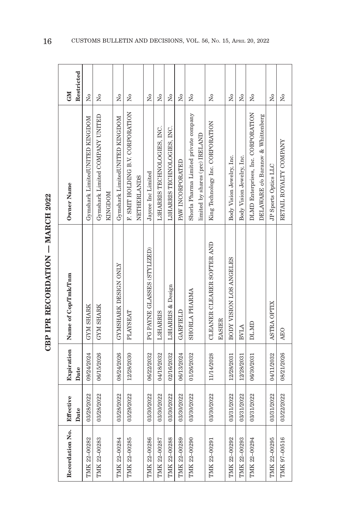| Recordation No. | Effective  | Expiration | Name of Cop/Tmk/Tnm                         | Owner Name                            | <b>NI</b>               |
|-----------------|------------|------------|---------------------------------------------|---------------------------------------|-------------------------|
|                 | Date       | Date       |                                             |                                       | Restricted              |
| TMK 22-00282    | 03/28/2022 | 09/24/2024 | <b>GYM SHARK</b>                            | Gymshark LimitedUNITED KINGDOM        | $\tilde{\mathbf{z}}$    |
| TMK 22-00283    | 03/28/2022 | 06/15/2026 | <b>GYM SHARK</b>                            | Gymshark Limited COMPANY UNITED       | Σó                      |
|                 |            |            |                                             | <b>KINGDOM</b>                        |                         |
| TMK 22-00284    | 03/28/2022 | 08/24/2026 | GYMSHARK DESIGN ONLY                        | Gymshark LimitedUNITED KINGDOM        | Σó                      |
| TMK 22-00285    | 03/29/2022 | 12/28/2030 | <b>PLAYSEAT</b>                             | F. SMIT HOLDING B.V. CORPORATION      | ż                       |
|                 |            |            |                                             | <b>NETHERLANDS</b>                    |                         |
| TMK 22-00286    | 03/30/2022 | 06/22/2032 | PG PAYNE GLASSES (STYLIZED)                 | Jaycee Inc Limited                    | $\overline{N}$          |
| TMK 22-00287    | 03/30/2022 | 04/18/2032 | <b>L3HARRIS</b>                             | L3HARRIS TECHNOLOGIES, INC.           | Σó                      |
| TMK 22-00288    | 03/30/2022 | 02/16/2032 | L3HARRIS & Design                           | L3HARRIS TECHNOLOGIES, INC.           | Σó                      |
| TMK 22-00289    | 03/30/2022 | 06/13/2024 | GARFIELD                                    | PAW INCORPORATED                      | Χo                      |
| TMK 22-00290    | 03/30/2022 | 01/26/2032 | SHORLA PHARMA                               | Shorla Pharma Limited private company | $\tilde{\mathbf{z}}$    |
|                 |            |            |                                             | limited by shares (prc) IRELAND       |                         |
| TMK 22-00291    | 03/30/2022 | 11/14/2028 | CLEANER CLEARER SOFTER AND<br><b>EASIER</b> | King Technology Inc. CORPORATION      | Σò                      |
| TMK 22-00292    | 03/31/2022 | 12/28/2031 | BODY VISION LOS ANGELES                     | Body Vision Jewelry, Inc.             | $\overline{M}$          |
| TMK 22-00293    | 03/31/2022 | 12/28/2031 | <b>BVLA</b>                                 | Body Vision Jewelry, Inc.             | Σó                      |
| TMK 22-00294    | 03/31/2022 | 06/30/2031 | DL.MD                                       | DLMD Enterprises, Inc. CORPORATION    | $\mathring{\mathsf{z}}$ |
|                 |            |            |                                             | DELAWARE c/o Baranov & Whittenberg    |                         |
| TMK 22-00295    | 03/31/2022 | 04/11/2032 | <b>ASTRA OPTIX</b>                          | JP Sports Optics LLC                  | $\overline{R}$          |
| TMK 97-00516    | 03/22/2022 | 08/21/2026 | AEO                                         | RETAIL ROYALTY COMPANY                | $\tilde{z}$             |
|                 |            |            |                                             |                                       |                         |

CBP IPR RECORDATION - MARCH 2022 **CBP IPR RECORDATION — MARCH 2022**

r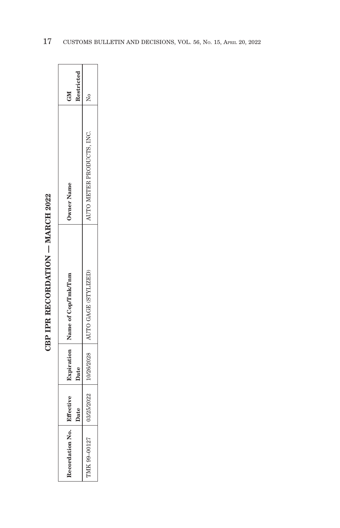| anne             |  |
|------------------|--|
| <b>ATADOTT</b>   |  |
|                  |  |
|                  |  |
| $\sim$ proponent |  |
| eau.<br>i        |  |
| $\frac{1}{2}$    |  |

| ecordation No. | ffective<br>ate<br>≏ | Expiration<br><b>Date</b> | Name of Cop/Tmk/Tnm | <b>Owner Name</b>        | Restricted<br><b>NE</b> |
|----------------|----------------------|---------------------------|---------------------|--------------------------|-------------------------|
| TMK 99-00127   | 3/25/2022            | 0/26/2028                 | UTO GAGE (STYLIZED) | UTO METER PRODUCTS, INC. | ያ                       |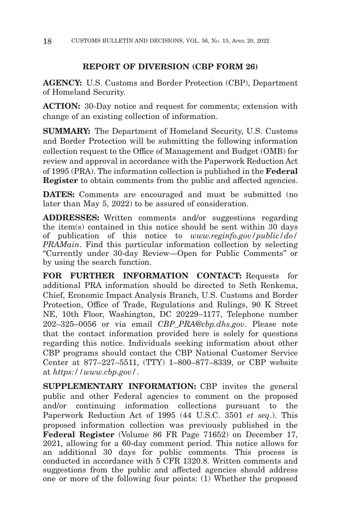# **REPORT OF DIVERSION (CBP FORM 26)**

**AGENCY:** U.S. Customs and Border Protection (CBP), Department of Homeland Security.

**ACTION:** 30-Day notice and request for comments; extension with change of an existing collection of information.

**SUMMARY:** The Department of Homeland Security, U.S. Customs and Border Protection will be submitting the following information collection request to the Office of Management and Budget (OMB) for review and approval in accordance with the Paperwork Reduction Act of 1995 (PRA). The information collection is published in the **Federal Register** to obtain comments from the public and affected agencies.

**DATES:** Comments are encouraged and must be submitted (no later than May 5, 2022) to be assured of consideration.

**ADDRESSES:** Written comments and/or suggestions regarding the item(s) contained in this notice should be sent within 30 days of publication of this notice to *www.reginfo.gov/public/do/ PRAMain*. Find this particular information collection by selecting ''Currently under 30-day Review—Open for Public Comments'' or by using the search function.

**FOR FURTHER INFORMATION CONTACT:** Requests for additional PRA information should be directed to Seth Renkema, Chief, Economic Impact Analysis Branch, U.S. Customs and Border Protection, Office of Trade, Regulations and Rulings, 90 K Street NE, 10th Floor, Washington, DC 20229–1177, Telephone number 202–325–0056 or via email *CBP\_PRA@cbp.dhs.gov*. Please note that the contact information provided here is solely for questions regarding this notice. Individuals seeking information about other CBP programs should contact the CBP National Customer Service Center at 877–227–5511, (TTY) 1–800–877–8339, or CBP website at *https://www.cbp.gov/*.

**SUPPLEMENTARY INFORMATION:** CBP invites the general public and other Federal agencies to comment on the proposed and/or continuing information collections pursuant to the Paperwork Reduction Act of 1995 (44 U.S.C. 3501 *et seq*.). This proposed information collection was previously published in the **Federal Register** (Volume 86 FR Page 71652) on December 17, 2021, allowing for a 60-day comment period. This notice allows for an additional 30 days for public comments. This process is conducted in accordance with 5 CFR 1320.8. Written comments and suggestions from the public and affected agencies should address one or more of the following four points: (1) Whether the proposed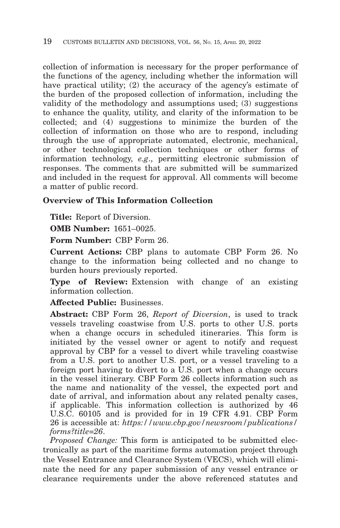collection of information is necessary for the proper performance of the functions of the agency, including whether the information will have practical utility; (2) the accuracy of the agency's estimate of the burden of the proposed collection of information, including the validity of the methodology and assumptions used; (3) suggestions to enhance the quality, utility, and clarity of the information to be collected; and (4) suggestions to minimize the burden of the collection of information on those who are to respond, including through the use of appropriate automated, electronic, mechanical, or other technological collection techniques or other forms of information technology, *e.g*., permitting electronic submission of responses. The comments that are submitted will be summarized and included in the request for approval. All comments will become a matter of public record.

## **Overview of This Information Collection**

**Title:** Report of Diversion.

**OMB Number:** 1651–0025.

**Form Number:** CBP Form 26.

**Current Actions:** CBP plans to automate CBP Form 26. No change to the information being collected and no change to burden hours previously reported.

**Type of Review:** Extension with change of an existing information collection.

**Affected Public:** Businesses.

**Abstract:** CBP Form 26, *Report of Diversion*, is used to track vessels traveling coastwise from U.S. ports to other U.S. ports when a change occurs in scheduled itineraries. This form is initiated by the vessel owner or agent to notify and request approval by CBP for a vessel to divert while traveling coastwise from a U.S. port to another U.S. port, or a vessel traveling to a foreign port having to divert to a U.S. port when a change occurs in the vessel itinerary. CBP Form 26 collects information such as the name and nationality of the vessel, the expected port and date of arrival, and information about any related penalty cases, if applicable. This information collection is authorized by 46 U.S.C. 60105 and is provided for in 19 CFR 4.91. CBP Form 26 is accessible at: *https://www.cbp.gov/newsroom/publications/ forms?title=26*.

*Proposed Change:* This form is anticipated to be submitted electronically as part of the maritime forms automation project through the Vessel Entrance and Clearance System (VECS), which will eliminate the need for any paper submission of any vessel entrance or clearance requirements under the above referenced statutes and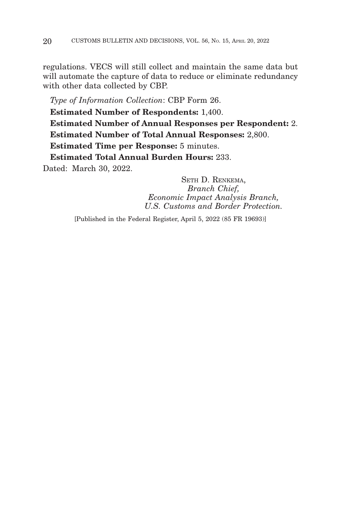regulations. VECS will still collect and maintain the same data but will automate the capture of data to reduce or eliminate redundancy with other data collected by CBP.

*Type of Information Collection*: CBP Form 26.

**Estimated Number of Respondents:** 1,400.

**Estimated Number of Annual Responses per Respondent:** 2. **Estimated Number of Total Annual Responses:** 2,800.

**Estimated Time per Response:** 5 minutes.

**Estimated Total Annual Burden Hours:** 233.

Dated: March 30, 2022.

SETH D. RENKEMA, *Branch Chief, Economic Impact Analysis Branch, U.S. Customs and Border Protection.*

[Published in the Federal Register, April 5, 2022 (85 FR 19693)]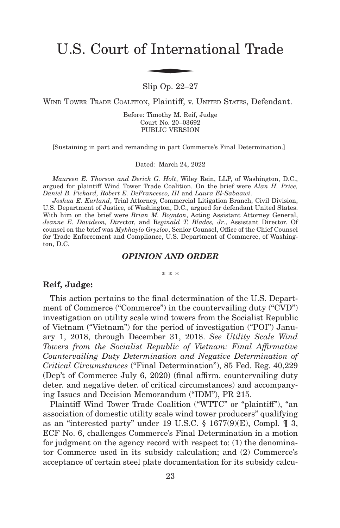# U.S. Court of International Trade f Interna

Slip Op. 22–27

WIND TOWER TRADE COALITION, Plaintiff, v. UNITED STATES, Defendant.

Before: Timothy M. Reif, Judge Court No. 20–03692 PUBLIC VERSION

[Sustaining in part and remanding in part Commerce's Final Determination.]

Dated: March 24, 2022

*Maureen E. Thorson and Derick G. Holt*, Wiley Rein, LLP, of Washington, D.C., argued for plaintiff Wind Tower Trade Coalition. On the brief were *Alan H. Price, Daniel B. Pickard, Robert E. DeFrancesco, III* and *Laura El-Sabaawi*.

*Joshua E. Kurland*, Trial Attorney, Commercial Litigation Branch, Civil Division, U.S. Department of Justice, of Washington, D.C., argued for defendant United States. With him on the brief were *Brian M. Boynton*, Acting Assistant Attorney General, *Jeanne E. Davidson, Dire*ctor, and R*eginald T. Blades, Jr*., Assistant Director. Of counsel on the brief was *Mykhaylo Gryzlov*, Senior Counsel, Office of the Chief Counsel for Trade Enforcement and Compliance, U.S. Department of Commerce, of Washington, D.C.

#### *OPINION AND ORDER*

#### \* \* \*

#### **Reif, Judge:**

This action pertains to the final determination of the U.S. Department of Commerce ("Commerce") in the countervailing duty ("CVD") investigation on utility scale wind towers from the Socialist Republic of Vietnam ("Vietnam") for the period of investigation ("POI") January 1, 2018, through December 31, 2018. *See Utility Scale Wind Towers from the Socialist Republic of Vietnam: Final Affirmative Countervailing Duty Determination and Negative Determination of Critical Circumstances* ("Final Determination"), 85 Fed. Reg. 40,229 (Dep't of Commerce July 6, 2020) (final affirm. countervailing duty deter. and negative deter. of critical circumstances) and accompanying Issues and Decision Memorandum ("IDM"), PR 215.

Plaintiff Wind Tower Trade Coalition ("WTTC" or "plaintiff"), "an association of domestic utility scale wind tower producers" qualifying as an "interested party" under 19 U.S.C. § 1677(9)(E), Compl. ¶ 3, ECF No. 6, challenges Commerce's Final Determination in a motion for judgment on the agency record with respect to: (1) the denominator Commerce used in its subsidy calculation; and (2) Commerce's acceptance of certain steel plate documentation for its subsidy calcu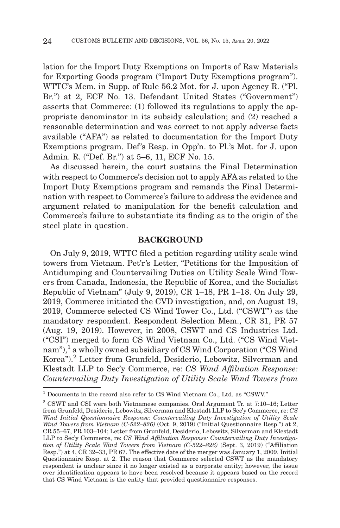lation for the Import Duty Exemptions on Imports of Raw Materials for Exporting Goods program ("Import Duty Exemptions program"). WTTC's Mem. in Supp. of Rule 56.2 Mot. for J. upon Agency R. ("Pl. Br.") at 2, ECF No. 13. Defendant United States ("Government") asserts that Commerce: (1) followed its regulations to apply the appropriate denominator in its subsidy calculation; and (2) reached a reasonable determination and was correct to not apply adverse facts available ("AFA") as related to documentation for the Import Duty Exemptions program. Def's Resp. in Opp'n. to Pl.'s Mot. for J. upon Admin. R. ("Def. Br.") at 5–6, 11, ECF No. 15.

As discussed herein, the court sustains the Final Determination with respect to Commerce's decision not to apply AFA as related to the Import Duty Exemptions program and remands the Final Determination with respect to Commerce's failure to address the evidence and argument related to manipulation for the benefit calculation and Commerce's failure to substantiate its finding as to the origin of the steel plate in question.

### **BACKGROUND**

On July 9, 2019, WTTC filed a petition regarding utility scale wind towers from Vietnam. Pet'r's Letter, "Petitions for the Imposition of Antidumping and Countervailing Duties on Utility Scale Wind Towers from Canada, Indonesia, the Republic of Korea, and the Socialist Republic of Vietnam" (July 9, 2019), CR 1–18, PR 1–18. On July 29, 2019, Commerce initiated the CVD investigation, and, on August 19, 2019, Commerce selected CS Wind Tower Co., Ltd. ("CSWT") as the mandatory respondent. Respondent Selection Mem., CR 31, PR 57 (Aug. 19, 2019). However, in 2008, CSWT and CS Industries Ltd. ("CSI") merged to form CS Wind Vietnam Co., Ltd. ("CS Wind Vietnam"),<sup>1</sup> a wholly owned subsidiary of CS Wind Corporation ("CS Wind") Korea").2 Letter from Grunfeld, Desiderio, Lebowitz, Silverman and Klestadt LLP to Sec'y Commerce, re: *CS Wind Affiliation Response: Countervailing Duty Investigation of Utility Scale Wind Towers from*

<sup>1</sup> Documents in the record also refer to CS Wind Vietnam Co., Ltd. as "CSWV."

<sup>2</sup> CSWT and CSI were both Vietnamese companies. Oral Argument Tr. at 7:10–16; Letter from Grunfeld, Desiderio, Lebowitz, Silverman and Klestadt LLP to Sec'y Commerce, re: *CS Wind Initial Questionnaire Response: Countervailing Duty Investigation of Utility Scale Wind Towers from Vietnam (C-522–826)* (Oct. 9, 2019) ("Initial Questionnaire Resp.") at 2, CR 55–67, PR 103–104; Letter from Grunfeld, Desiderio, Lebowitz, Silverman and Klestadt LLP to Sec'y Commerce, re: *CS Wind Affiliation Response: Countervailing Duty Investigation of Utility Scale Wind Towers from Vietnam (C-522–826)* (Sept. 3, 2019) ("Affiliation Resp.") at 4, CR 32–33, PR 67. The effective date of the merger was January 1, 2009. Initial Questionnaire Resp. at 2. The reason that Commerce selected CSWT as the mandatory respondent is unclear since it no longer existed as a corporate entity; however, the issue over identification appears to have been resolved because it appears based on the record that CS Wind Vietnam is the entity that provided questionnaire responses.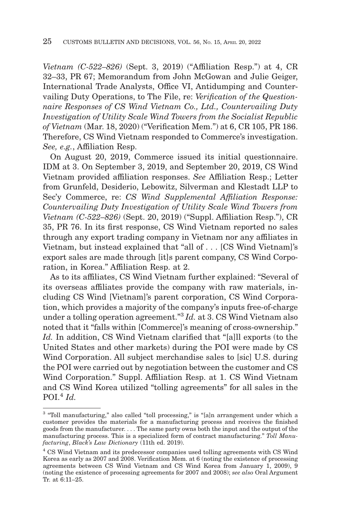*Vietnam (C-522–826)* (Sept. 3, 2019) ("Affiliation Resp.") at 4, CR 32–33, PR 67; Memorandum from John McGowan and Julie Geiger, International Trade Analysts, Office VI, Antidumping and Countervailing Duty Operations, to The File, re: *Verification of the Questionnaire Responses of CS Wind Vietnam Co., Ltd., Countervailing Duty Investigation of Utility Scale Wind Towers from the Socialist Republic of Vietnam* (Mar. 18, 2020) ("Verification Mem.") at 6, CR 105, PR 186. Therefore, CS Wind Vietnam responded to Commerce's investigation. *See, e.g.*, Affiliation Resp.

On August 20, 2019, Commerce issued its initial questionnaire. IDM at 3. On September 3, 2019, and September 20, 2019, CS Wind Vietnam provided affiliation responses. *See* Affiliation Resp.; Letter from Grunfeld, Desiderio, Lebowitz, Silverman and Klestadt LLP to Sec'y Commerce, re: *CS Wind Supplemental Affiliation Response: Countervailing Duty Investigation of Utility Scale Wind Towers from Vietnam (C-522–826)* (Sept. 20, 2019) ("Suppl. Affiliation Resp."), CR 35, PR 76. In its first response, CS Wind Vietnam reported no sales through any export trading company in Vietnam nor any affiliates in Vietnam, but instead explained that "all of . . . [CS Wind Vietnam]'s export sales are made through [it]s parent company, CS Wind Corporation, in Korea." Affiliation Resp. at 2.

As to its affiliates, CS Wind Vietnam further explained: "Several of its overseas affiliates provide the company with raw materials, including CS Wind [Vietnam]'s parent corporation, CS Wind Corporation, which provides a majority of the company's inputs free-of-charge under a tolling operation agreement."3 *Id.* at 3. CS Wind Vietnam also noted that it "falls within [Commerce]'s meaning of cross-ownership." *Id.* In addition, CS Wind Vietnam clarified that "[a]ll exports (to the United States and other markets) during the POI were made by CS Wind Corporation. All subject merchandise sales to [sic] U.S. during the POI were carried out by negotiation between the customer and CS Wind Corporation." Suppl. Affiliation Resp. at 1. CS Wind Vietnam and CS Wind Korea utilized "tolling agreements" for all sales in the POI.4 *Id.*

 $^{\rm 3}$  "Toll manufacturing," also called "toll processing," is "[a]n arrangement under which a customer provides the materials for a manufacturing process and receives the finished goods from the manufacturer. . . . The same party owns both the input and the output of the manufacturing process. This is a specialized form of contract manufacturing." *Toll Manufacturing*, *Black's Law Dictionary* (11th ed. 2019).

<sup>4</sup> CS Wind Vietnam and its predecessor companies used tolling agreements with CS Wind Korea as early as 2007 and 2008. Verification Mem. at 6 (noting the existence of processing agreements between CS Wind Vietnam and CS Wind Korea from January 1, 2009), 9 (noting the existence of processing agreements for 2007 and 2008); *see also* Oral Argument Tr. at 6:11–25.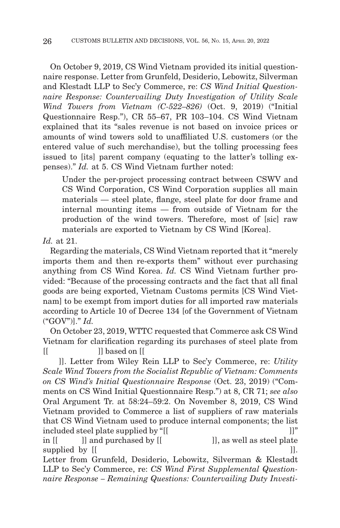On October 9, 2019, CS Wind Vietnam provided its initial questionnaire response. Letter from Grunfeld, Desiderio, Lebowitz, Silverman and Klestadt LLP to Sec'y Commerce, re: *CS Wind Initial Questionnaire Response: Countervailing Duty Investigation of Utility Scale Wind Towers from Vietnam (C-522–826)* (Oct. 9, 2019) ("Initial Questionnaire Resp."), CR 55–67, PR 103–104. CS Wind Vietnam explained that its "sales revenue is not based on invoice prices or amounts of wind towers sold to unaffiliated U.S. customers (or the entered value of such merchandise), but the tolling processing fees issued to [its] parent company (equating to the latter's tolling expenses)." *Id.* at 5. CS Wind Vietnam further noted:

Under the per-project processing contract between CSWV and CS Wind Corporation, CS Wind Corporation supplies all main materials — steel plate, flange, steel plate for door frame and internal mounting items — from outside of Vietnam for the production of the wind towers. Therefore, most of [sic] raw materials are exported to Vietnam by CS Wind [Korea].

*Id.* at 21.

Regarding the materials, CS Wind Vietnam reported that it "merely imports them and then re-exports them" without ever purchasing anything from CS Wind Korea. *Id.* CS Wind Vietnam further provided: "Because of the processing contracts and the fact that all final goods are being exported, Vietnam Customs permits [CS Wind Vietnam] to be exempt from import duties for all imported raw materials according to Article 10 of Decree 134 [of the Government of Vietnam ("GOV")]." *Id.*

On October 23, 2019, WTTC requested that Commerce ask CS Wind Vietnam for clarification regarding its purchases of steel plate from  $\begin{bmatrix} \begin{bmatrix} 1 & 1 \end{bmatrix} & \begin{bmatrix} 1 & 1 \end{bmatrix} & \begin{bmatrix} 1 & 1 \end{bmatrix} & \begin{bmatrix} 1 & 1 \end{bmatrix} & \begin{bmatrix} 1 & 1 \end{bmatrix} & \begin{bmatrix} 1 & 1 \end{bmatrix} & \begin{bmatrix} 1 & 1 \end{bmatrix} & \begin{bmatrix} 1 & 1 \end{bmatrix} & \begin{bmatrix} 1 & 1 \end{bmatrix} & \begin{bmatrix} 1 & 1 \end{bmatrix} & \begin{bmatrix} 1 & 1 \end{bmatrix} & \begin{bmatrix} 1 & 1 \end{bmatrix$ 

 ]]. Letter from Wiley Rein LLP to Sec'y Commerce, re: *Utility Scale Wind Towers from the Socialist Republic of Vietnam: Comments on CS Wind's Initial Questionnaire Response* (Oct. 23, 2019) ("Comments on CS Wind Initial Questionnaire Resp.") at 8, CR 71; *see also* Oral Argument Tr. at 58:24–59:2. On November 8, 2019, CS Wind Vietnam provided to Commerce a list of suppliers of raw materials that CS Wind Vietnam used to produce internal components; the list included steel plate supplied by "[[[[[]]]]"

in  $[[ \quad ]]$  and purchased by  $[[ \quad ]]$ , as well as steel plate supplied by [[[[[]]].

Letter from Grunfeld, Desiderio, Lebowitz, Silverman & Klestadt LLP to Sec'y Commerce, re: *CS Wind First Supplemental Questionnaire Response – Remaining Questions: Countervailing Duty Investi-*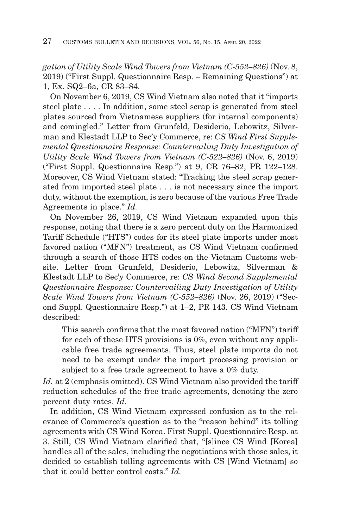*gation of Utility Scale Wind Towers from Vietnam (C-552–826)* (Nov. 8, 2019) ("First Suppl. Questionnaire Resp. – Remaining Questions") at 1, Ex. SQ2–6a, CR 83–84.

On November 6, 2019, CS Wind Vietnam also noted that it "imports steel plate . . . . In addition, some steel scrap is generated from steel plates sourced from Vietnamese suppliers (for internal components) and comingled." Letter from Grunfeld, Desiderio, Lebowitz, Silverman and Klestadt LLP to Sec'y Commerce, re: *CS Wind First Supplemental Questionnaire Response: Countervailing Duty Investigation of Utility Scale Wind Towers from Vietnam (C-522–826)* (Nov. 6, 2019) ("First Suppl. Questionnaire Resp.") at 9, CR 76–82, PR 122–128. Moreover, CS Wind Vietnam stated: "Tracking the steel scrap generated from imported steel plate . . . is not necessary since the import duty, without the exemption, is zero because of the various Free Trade Agreements in place." *Id.*

On November 26, 2019, CS Wind Vietnam expanded upon this response, noting that there is a zero percent duty on the Harmonized Tariff Schedule ("HTS") codes for its steel plate imports under most favored nation ("MFN") treatment, as CS Wind Vietnam confirmed through a search of those HTS codes on the Vietnam Customs website. Letter from Grunfeld, Desiderio, Lebowitz, Silverman & Klestadt LLP to Sec'y Commerce, re: *CS Wind Second Supplemental Questionnaire Response: Countervailing Duty Investigation of Utility Scale Wind Towers from Vietnam (C-552–826)* (Nov. 26, 2019) ("Second Suppl. Questionnaire Resp.") at 1–2, PR 143. CS Wind Vietnam described:

This search confirms that the most favored nation ("MFN") tariff for each of these HTS provisions is 0%, even without any applicable free trade agreements. Thus, steel plate imports do not need to be exempt under the import processing provision or subject to a free trade agreement to have a 0% duty.

Id. at 2 (emphasis omitted). CS Wind Vietnam also provided the tariff reduction schedules of the free trade agreements, denoting the zero percent duty rates. *Id.*

In addition, CS Wind Vietnam expressed confusion as to the relevance of Commerce's question as to the "reason behind" its tolling agreements with CS Wind Korea. First Suppl. Questionnaire Resp. at 3. Still, CS Wind Vietnam clarified that, "[s]ince CS Wind [Korea] handles all of the sales, including the negotiations with those sales, it decided to establish tolling agreements with CS [Wind Vietnam] so that it could better control costs." *Id.*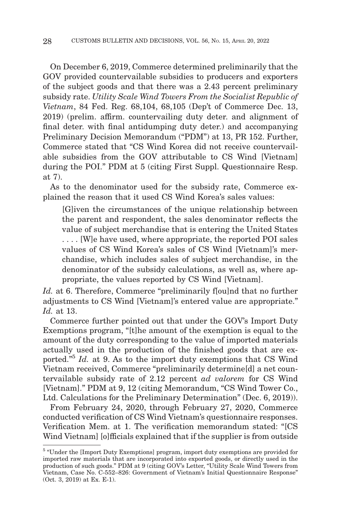On December 6, 2019, Commerce determined preliminarily that the GOV provided countervailable subsidies to producers and exporters of the subject goods and that there was a 2.43 percent preliminary subsidy rate. *Utility Scale Wind Towers From the Socialist Republic of Vietnam*, 84 Fed. Reg. 68,104, 68,105 (Dep't of Commerce Dec. 13, 2019) (prelim. affirm. countervailing duty deter. and alignment of final deter. with final antidumping duty deter.) and accompanying Preliminary Decision Memorandum ("PDM") at 13, PR 152. Further, Commerce stated that "CS Wind Korea did not receive countervailable subsidies from the GOV attributable to CS Wind [Vietnam] during the POI." PDM at 5 (citing First Suppl. Questionnaire Resp. at 7).

As to the denominator used for the subsidy rate, Commerce explained the reason that it used CS Wind Korea's sales values:

[G]iven the circumstances of the unique relationship between the parent and respondent, the sales denominator reflects the value of subject merchandise that is entering the United States . . . . [W]e have used, where appropriate, the reported POI sales values of CS Wind Korea's sales of CS Wind [Vietnam]'s merchandise, which includes sales of subject merchandise, in the denominator of the subsidy calculations, as well as, where appropriate, the values reported by CS Wind [Vietnam].

*Id.* at 6. Therefore, Commerce "preliminarily floulnd that no further adjustments to CS Wind [Vietnam]'s entered value are appropriate." *Id.* at 13.

Commerce further pointed out that under the GOV's Import Duty Exemptions program, "[t]he amount of the exemption is equal to the amount of the duty corresponding to the value of imported materials actually used in the production of the finished goods that are exported."5 *Id.* at 9. As to the import duty exemptions that CS Wind Vietnam received, Commerce "preliminarily determine[d] a net countervailable subsidy rate of 2.12 percent *ad valorem* for CS Wind [Vietnam]." PDM at 9, 12 (citing Memorandum, "CS Wind Tower Co., Ltd. Calculations for the Preliminary Determination" (Dec. 6, 2019)).

From February 24, 2020, through February 27, 2020, Commerce conducted verification of CS Wind Vietnam's questionnaire responses. Verification Mem. at 1. The verification memorandum stated: "[CS Wind Vietnam] [o]fficials explained that if the supplier is from outside

<sup>5 &</sup>quot;Under the [Import Duty Exemptions] program, import duty exemptions are provided for imported raw materials that are incorporated into exported goods, or directly used in the production of such goods." PDM at 9 (citing GOV's Letter, "Utility Scale Wind Towers from Vietnam, Case No. C-552–826: Government of Vietnam's Initial Questionnaire Response" (Oct. 3, 2019) at Ex. E-1).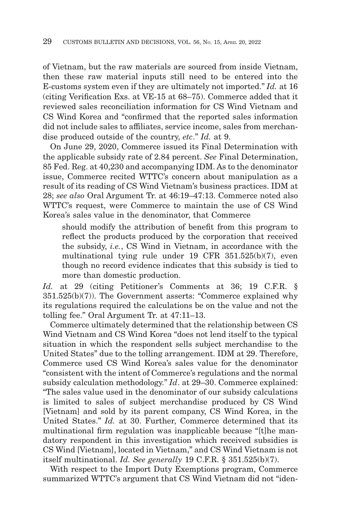of Vietnam, but the raw materials are sourced from inside Vietnam, then these raw material inputs still need to be entered into the E-customs system even if they are ultimately not imported." *Id.* at 16 (citing Verification Exs. at VE-15 at 68–75). Commerce added that it reviewed sales reconciliation information for CS Wind Vietnam and CS Wind Korea and "confirmed that the reported sales information did not include sales to affiliates, service income, sales from merchandise produced outside of the country, *etc*." *Id.* at 9.

On June 29, 2020, Commerce issued its Final Determination with the applicable subsidy rate of 2.84 percent. *See* Final Determination, 85 Fed. Reg. at 40,230 and accompanying IDM. As to the denominator issue, Commerce recited WTTC's concern about manipulation as a result of its reading of CS Wind Vietnam's business practices. IDM at 28; *see also* Oral Argument Tr. at 46:19–47:13. Commerce noted also WTTC's request, were Commerce to maintain the use of CS Wind Korea's sales value in the denominator, that Commerce

should modify the attribution of benefit from this program to reflect the products produced by the corporation that received the subsidy, *i.e.*, CS Wind in Vietnam, in accordance with the multinational tying rule under 19 CFR 351.525(b)(7), even though no record evidence indicates that this subsidy is tied to more than domestic production.

*Id.* at 29 (citing Petitioner's Comments at 36; 19 C.F.R. § 351.525(b)(7)). The Government asserts: "Commerce explained why its regulations required the calculations be on the value and not the tolling fee." Oral Argument Tr. at 47:11–13.

Commerce ultimately determined that the relationship between CS Wind Vietnam and CS Wind Korea "does not lend itself to the typical situation in which the respondent sells subject merchandise to the United States" due to the tolling arrangement. IDM at 29. Therefore, Commerce used CS Wind Korea's sales value for the denominator "consistent with the intent of Commerce's regulations and the normal subsidy calculation methodology." *Id*. at 29–30. Commerce explained: "The sales value used in the denominator of our subsidy calculations is limited to sales of subject merchandise produced by CS Wind [Vietnam] and sold by its parent company, CS Wind Korea, in the United States." *Id.* at 30. Further, Commerce determined that its multinational firm regulation was inapplicable because "[t]he mandatory respondent in this investigation which received subsidies is CS Wind [Vietnam], located in Vietnam," and CS Wind Vietnam is not itself multinational. *Id. See generally* 19 C.F.R. § 351.525(b)(7).

With respect to the Import Duty Exemptions program, Commerce summarized WTTC's argument that CS Wind Vietnam did not "iden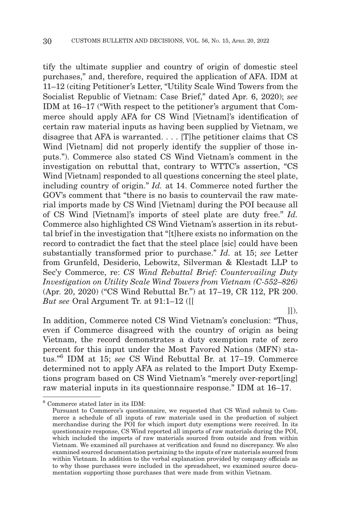tify the ultimate supplier and country of origin of domestic steel purchases," and, therefore, required the application of AFA. IDM at 11–12 (citing Petitioner's Letter, "Utility Scale Wind Towers from the Socialist Republic of Vietnam: Case Brief," dated Apr. 6, 2020); *see* IDM at 16–17 ("With respect to the petitioner's argument that Commerce should apply AFA for CS Wind [Vietnam]'s identification of certain raw material inputs as having been supplied by Vietnam, we disagree that AFA is warranted. . . . [T]he petitioner claims that CS Wind [Vietnam] did not properly identify the supplier of those inputs."). Commerce also stated CS Wind Vietnam's comment in the investigation on rebuttal that, contrary to WTTC's assertion, "CS Wind [Vietnam] responded to all questions concerning the steel plate, including country of origin." *Id.* at 14. Commerce noted further the GOV's comment that "there is no basis to countervail the raw material imports made by CS Wind [Vietnam] during the POI because all of CS Wind [Vietnam]'s imports of steel plate are duty free." *Id.* Commerce also highlighted CS Wind Vietnam's assertion in its rebuttal brief in the investigation that "[t]here exists no information on the record to contradict the fact that the steel place [sic] could have been substantially transformed prior to purchase." *Id.* at 15; *see* Letter from Grunfeld, Desiderio, Lebowitz, Silverman & Klestadt LLP to Sec'y Commerce, re: *CS Wind Rebuttal Brief: Countervailing Duty Investigation on Utility Scale Wind Towers from Vietnam (C-552–826)* (Apr. 20, 2020) ("CS Wind Rebuttal Br.") at 17–19, CR 112, PR 200. *But see* Oral Argument Tr. at 91:1–12 ([[

 $]]).$ 

In addition, Commerce noted CS Wind Vietnam's conclusion: "Thus, even if Commerce disagreed with the country of origin as being Vietnam, the record demonstrates a duty exemption rate of zero percent for this input under the Most Favored Nations (MFN) status."6 IDM at 15; *see* CS Wind Rebuttal Br. at 17–19. Commerce determined not to apply AFA as related to the Import Duty Exemptions program based on CS Wind Vietnam's "merely over-report[ing] raw material inputs in its questionnaire response." IDM at 16–17.

<sup>6</sup> Commerce stated later in its IDM:

Pursuant to Commerce's questionnaire, we requested that CS Wind submit to Commerce a schedule of all inputs of raw materials used in the production of subject merchandise during the POI for which import duty exemptions were received. In its questionnaire response, CS Wind reported all imports of raw materials during the POI, which included the imports of raw materials sourced from outside and from within Vietnam. We examined all purchases at verification and found no discrepancy. We also examined sourced documentation pertaining to the inputs of raw materials sourced from within Vietnam. In addition to the verbal explanation provided by company officials as to why those purchases were included in the spreadsheet, we examined source documentation supporting those purchases that were made from within Vietnam.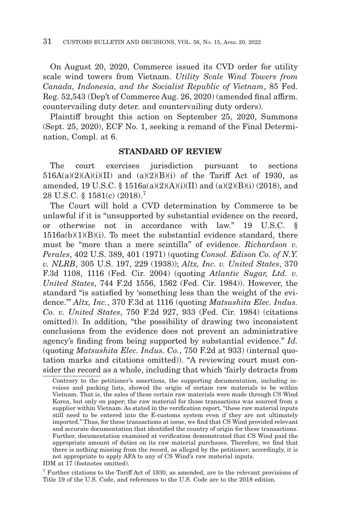On August 20, 2020, Commerce issued its CVD order for utility scale wind towers from Vietnam. *Utility Scale Wind Towers from Canada, Indonesia, and the Socialist Republic of Vietnam*, 85 Fed. Reg. 52,543 (Dep't of Commerce Aug. 26, 2020) (amended final affirm. countervailing duty deter. and countervailing duty orders).

Plaintiff brought this action on September 25, 2020, Summons (Sept. 25, 2020), ECF No. 1, seeking a remand of the Final Determination, Compl. at 6.

### **STANDARD OF REVIEW**

The court exercises jurisdiction pursuant to sections  $516A(a)(2)(A)(i)(II)$  and  $(a)(2)(B)(i)$  of the Tariff Act of 1930. as amended, 19 U.S.C. § 1516a(a)(2)(A)(i)(II) and (a)(2)(B)(i) (2018), and 28 U.S.C. § 1581(c) (2018).7

The Court will hold a CVD determination by Commerce to be unlawful if it is "unsupported by substantial evidence on the record, or otherwise not in accordance with law." 19 U.S.C. §  $1516a(b)(1)(B)(i)$ . To meet the substantial evidence standard, there must be "more than a mere scintilla" of evidence. *Richardson v. Perales*, 402 U.S. 389, 401 (1971) (quoting *Consol. Edison Co. of N.Y. v. NLRB*, 305 U.S. 197, 229 (1938)); *Altx, Inc. v. United States*, 370 F.3d 1108, 1116 (Fed. Cir. 2004) (quoting *Atlantic Sugar, Ltd. v. United States*, 744 F.2d 1556, 1562 (Fed. Cir. 1984)). However, the standard "is satisfied by 'something less than the weight of the evidence.'" *Altx, Inc.*, 370 F.3d at 1116 (quoting *Matsushita Elec. Indus. Co. v. United States*, 750 F.2d 927, 933 (Fed. Cir. 1984) (citations omitted)). In addition, "the possibility of drawing two inconsistent conclusions from the evidence does not prevent an administrative agency's finding from being supported by substantial evidence." *Id.* (quoting *Matsushita Elec. Indus. Co.*, 750 F.2d at 933) (internal quotation marks and citations omitted)). "A reviewing court must consider the record as a whole, including that which 'fairly detracts from

Contrary to the petitioner's assertions, the supporting documentation, including invoices and packing lists, showed the origin of certain raw materials to be within Vietnam. That is, the sales of these certain raw materials were made through CS Wind Korea, but only on paper; the raw material for those transactions was sourced from a supplier within Vietnam. As stated in the verification report, "these raw material inputs still need to be entered into the E-customs system even if they are not ultimately imported." Thus, for these transactions at issue, we find that CS Wind provided relevant and accurate documentation that identified the country of origin for these transactions. Further, documentation examined at verification demonstrated that CS Wind paid the appropriate amount of duties on its raw material purchases. Therefore, we find that there is nothing missing from the record, as alleged by the petitioner; accordingly, it is not appropriate to apply AFA to any of CS Wind's raw material inputs.

IDM at 17 (footnotes omitted).

<sup>7</sup> Further citations to the Tariff Act of 1930, as amended, are to the relevant provisions of Title 19 of the U.S. Code, and references to the U.S. Code are to the 2018 edition.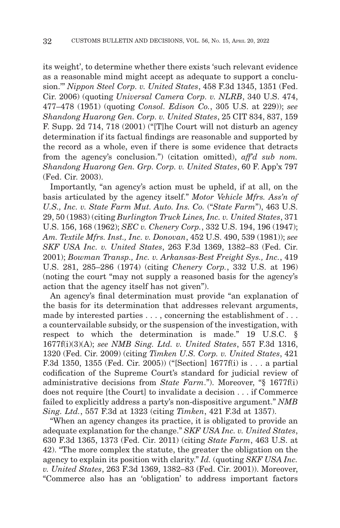its weight', to determine whether there exists 'such relevant evidence as a reasonable mind might accept as adequate to support a conclusion.'" *Nippon Steel Corp. v. United States*, 458 F.3d 1345, 1351 (Fed. Cir. 2006) (quoting *Universal Camera Corp. v. NLRB*, 340 U.S. 474, 477–478 (1951) (quoting *Consol. Edison Co.*, 305 U.S. at 229)); *see Shandong Huarong Gen. Corp. v. United States*, 25 CIT 834, 837, 159 F. Supp. 2d 714, 718 (2001) ("[T]he Court will not disturb an agency determination if its factual findings are reasonable and supported by the record as a whole, even if there is some evidence that detracts from the agency's conclusion.") (citation omitted), *aff'd sub nom. Shandong Huarong Gen. Grp. Corp. v. United States*, 60 F. App'x 797 (Fed. Cir. 2003).

Importantly, "an agency's action must be upheld, if at all, on the basis articulated by the agency itself." *Motor Vehicle Mfrs. Ass'n of U.S., Inc. v. State Farm Mut. Auto. Ins. Co.* ("*State Farm*"), 463 U.S. 29, 50 (1983) (citing *Burlington Truck Lines, Inc. v. United States*, 371 U.S. 156, 168 (1962); *SEC v. Chenery Corp.*, 332 U.S. 194, 196 (1947); *Am. Textile Mfrs. Inst., Inc. v. Donovan*, 452 U.S. 490, 539 (1981)); *see SKF USA Inc. v. United States*, 263 F.3d 1369, 1382–83 (Fed. Cir. 2001); *Bowman Transp., Inc. v. Arkansas-Best Freight Sys., Inc.*, 419 U.S. 281, 285–286 (1974) (citing *Chenery Corp.*, 332 U.S. at 196) (noting the court "may not supply a reasoned basis for the agency's action that the agency itself has not given").

An agency's final determination must provide "an explanation of the basis for its determination that addresses relevant arguments, made by interested parties . . . , concerning the establishment of . . . a countervailable subsidy, or the suspension of the investigation, with respect to which the determination is made." 19 U.S.C. § 1677f(i)(3)(A); *see NMB Sing. Ltd. v. United States*, 557 F.3d 1316, 1320 (Fed. Cir. 2009) (citing *Timken U.S. Corp. v. United States*, 421 F.3d 1350, 1355 (Fed. Cir. 2005)) ("[Section] 1677f(i) is . . . a partial codification of the Supreme Court's standard for judicial review of administrative decisions from *State Farm*."). Moreover, "§ 1677f(i) does not require [the Court] to invalidate a decision . . . if Commerce failed to explicitly address a party's non-dispositive argument." *NMB Sing. Ltd.*, 557 F.3d at 1323 (citing *Timken*, 421 F.3d at 1357).

"When an agency changes its practice, it is obligated to provide an adequate explanation for the change." *SKF USA Inc. v. United States*, 630 F.3d 1365, 1373 (Fed. Cir. 2011) (citing *State Farm*, 463 U.S. at 42). "The more complex the statute, the greater the obligation on the agency to explain its position with clarity." *Id.* (quoting *SKF USA Inc. v. United States*, 263 F.3d 1369, 1382–83 (Fed. Cir. 2001)). Moreover, "Commerce also has an 'obligation' to address important factors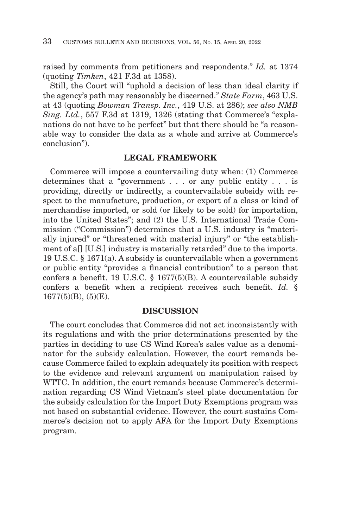raised by comments from petitioners and respondents." *Id.* at 1374 (quoting *Timken*, 421 F.3d at 1358).

Still, the Court will "uphold a decision of less than ideal clarity if the agency's path may reasonably be discerned." *State Farm*, 463 U.S. at 43 (quoting *Bowman Transp. Inc.*, 419 U.S. at 286); *see also NMB Sing. Ltd.*, 557 F.3d at 1319, 1326 (stating that Commerce's "explanations do not have to be perfect" but that there should be "a reasonable way to consider the data as a whole and arrive at Commerce's conclusion").

#### **LEGAL FRAMEWORK**

Commerce will impose a countervailing duty when: (1) Commerce determines that a "government . . . or any public entity . . . is providing, directly or indirectly, a countervailable subsidy with respect to the manufacture, production, or export of a class or kind of merchandise imported, or sold (or likely to be sold) for importation, into the United States"; and (2) the U.S. International Trade Commission ("Commission") determines that a U.S. industry is "materially injured" or "threatened with material injury" or "the establishment of a[] [U.S.] industry is materially retarded" due to the imports. 19 U.S.C. § 1671(a). A subsidy is countervailable when a government or public entity "provides a financial contribution" to a person that confers a benefit. 19 U.S.C. § 1677(5)(B). A countervailable subsidy confers a benefit when a recipient receives such benefit. *Id.* §  $1677(5)(B)$ ,  $(5)(E)$ .

#### **DISCUSSION**

The court concludes that Commerce did not act inconsistently with its regulations and with the prior determinations presented by the parties in deciding to use CS Wind Korea's sales value as a denominator for the subsidy calculation. However, the court remands because Commerce failed to explain adequately its position with respect to the evidence and relevant argument on manipulation raised by WTTC. In addition, the court remands because Commerce's determination regarding CS Wind Vietnam's steel plate documentation for the subsidy calculation for the Import Duty Exemptions program was not based on substantial evidence. However, the court sustains Commerce's decision not to apply AFA for the Import Duty Exemptions program.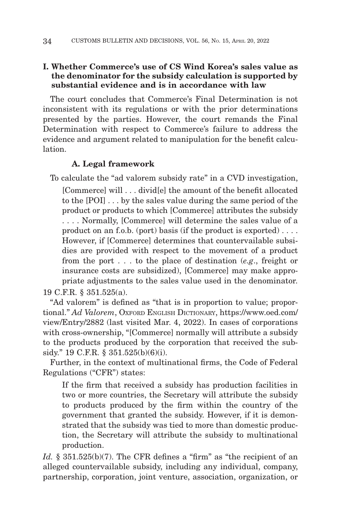# **I. Whether Commerce's use of CS Wind Korea's sales value as the denominator for the subsidy calculation is supported by substantial evidence and is in accordance with law**

The court concludes that Commerce's Final Determination is not inconsistent with its regulations or with the prior determinations presented by the parties. However, the court remands the Final Determination with respect to Commerce's failure to address the evidence and argument related to manipulation for the benefit calculation.

## **A. Legal framework**

To calculate the "ad valorem subsidy rate" in a CVD investigation,

[Commerce] will . . . divid[e] the amount of the benefit allocated to the [POI] . . . by the sales value during the same period of the product or products to which [Commerce] attributes the subsidy . . . . Normally, [Commerce] will determine the sales value of a product on an f.o.b. (port) basis (if the product is exported) . . . . However, if [Commerce] determines that countervailable subsidies are provided with respect to the movement of a product from the port . . . to the place of destination (*e.g*., freight or insurance costs are subsidized), [Commerce] may make appropriate adjustments to the sales value used in the denominator.

19 C.F.R. § 351.525(a).

"Ad valorem" is defined as "that is in proportion to value; proportional." *Ad Valorem*, OXFORD ENGLISH DICTIONARY, https://www.oed.com/ view/Entry/2882 (last visited Mar. 4, 2022). In cases of corporations with cross-ownership, "[Commerce] normally will attribute a subsidy to the products produced by the corporation that received the subsidy." 19 C.F.R. § 351.525(b)(6)(i).

Further, in the context of multinational firms, the Code of Federal Regulations ("CFR") states:

If the firm that received a subsidy has production facilities in two or more countries, the Secretary will attribute the subsidy to products produced by the firm within the country of the government that granted the subsidy. However, if it is demonstrated that the subsidy was tied to more than domestic production, the Secretary will attribute the subsidy to multinational production.

*Id.* § 351.525(b)(7). The CFR defines a "firm" as "the recipient of an alleged countervailable subsidy, including any individual, company, partnership, corporation, joint venture, association, organization, or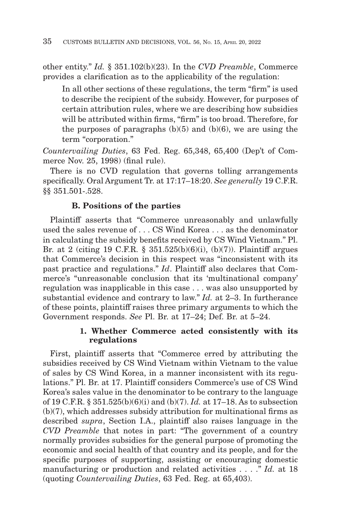other entity." *Id.* § 351.102(b)(23). In the *CVD Preamble*, Commerce provides a clarification as to the applicability of the regulation:

In all other sections of these regulations, the term "firm" is used to describe the recipient of the subsidy. However, for purposes of certain attribution rules, where we are describing how subsidies will be attributed within firms, "firm" is too broad. Therefore, for the purposes of paragraphs  $(b)(5)$  and  $(b)(6)$ , we are using the term "corporation."

*Countervailing Duties*, 63 Fed. Reg. 65,348, 65,400 (Dep't of Commerce Nov. 25, 1998) (final rule).

There is no CVD regulation that governs tolling arrangements specifically. Oral Argument Tr. at 17:17–18:20. *See generally* 19 C.F.R. §§ 351.501-.528.

### **B. Positions of the parties**

Plaintiff asserts that "Commerce unreasonably and unlawfully used the sales revenue of . . . CS Wind Korea . . . as the denominator in calculating the subsidy benefits received by CS Wind Vietnam." Pl. Br. at 2 (citing 19 C.F.R. § 351.525(b)(6)(i), (b)(7)). Plaintiff argues that Commerce's decision in this respect was "inconsistent with its past practice and regulations." *Id*. Plaintiff also declares that Commerce's "unreasonable conclusion that its 'multinational company' regulation was inapplicable in this case . . . was also unsupported by substantial evidence and contrary to law." *Id.* at 2–3. In furtherance of these points, plaintiff raises three primary arguments to which the Government responds. *See* Pl. Br. at 17–24; Def. Br. at 5–24.

#### **1. Whether Commerce acted consistently with its regulations**

First, plaintiff asserts that "Commerce erred by attributing the subsidies received by CS Wind Vietnam within Vietnam to the value of sales by CS Wind Korea, in a manner inconsistent with its regulations." Pl. Br. at 17. Plaintiff considers Commerce's use of CS Wind Korea's sales value in the denominator to be contrary to the language of 19 C.F.R. § 351.525(b)(6)(i) and (b)(7). *Id.* at 17–18. As to subsection (b)(7), which addresses subsidy attribution for multinational firms as described *supra*, Section I.A., plaintiff also raises language in the *CVD Preamble* that notes in part: "The government of a country normally provides subsidies for the general purpose of promoting the economic and social health of that country and its people, and for the specific purposes of supporting, assisting or encouraging domestic manufacturing or production and related activities . . . ." *Id.* at 18 (quoting *Countervailing Duties*, 63 Fed. Reg. at 65,403).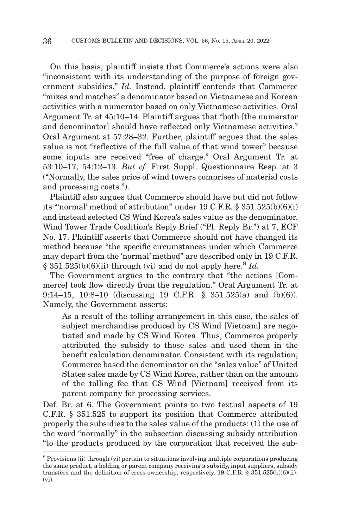On this basis, plaintiff insists that Commerce's actions were also "inconsistent with its understanding of the purpose of foreign government subsidies." *Id.* Instead, plaintiff contends that Commerce "mixes and matches" a denominator based on Vietnamese and Korean activities with a numerator based on only Vietnamese activities. Oral Argument Tr. at 45:10–14. Plaintiff argues that "both [the numerator and denominator] should have reflected only Vietnamese activities." Oral Argument at 57:28–32. Further, plaintiff argues that the sales value is not "reflective of the full value of that wind tower" because some inputs are received "free of charge." Oral Argument Tr. at 53:10–17, 54:12–13. *But cf.* First Suppl. Questionnaire Resp. at 3 ("Normally, the sales price of wind towers comprises of material costs and processing costs.").

Plaintiff also argues that Commerce should have but did not follow its "'normal' method of attribution" under 19 C.F.R. § 351.525(b)(6)(i) and instead selected CS Wind Korea's sales value as the denominator. Wind Tower Trade Coalition's Reply Brief ("Pl. Reply Br.") at 7, ECF No. 17. Plaintiff asserts that Commerce should not have changed its method because "the specific circumstances under which Commerce may depart from the 'normal' method" are described only in 19 C.F.R. § 351.525(b)(6)(ii) through (vi) and do not apply here.<sup>8</sup> *Id.* 

The Government argues to the contrary that "the actions [Commerce] took flow directly from the regulation." Oral Argument Tr. at 9:14–15, 10:8–10 (discussing 19 C.F.R. § 351.525(a) and (b)(6)). Namely, the Government asserts:

As a result of the tolling arrangement in this case, the sales of subject merchandise produced by CS Wind [Vietnam] are negotiated and made by CS Wind Korea. Thus, Commerce properly attributed the subsidy to those sales and used them in the benefit calculation denominator. Consistent with its regulation, Commerce based the denominator on the "sales value" of United States sales made by CS Wind Korea, rather than on the amount of the tolling fee that CS Wind [Vietnam] received from its parent company for processing services.

Def. Br. at 6. The Government points to two textual aspects of 19 C.F.R. § 351.525 to support its position that Commerce attributed properly the subsidies to the sales value of the products: (1) the use of the word "normally" in the subsection discussing subsidy attribution "to the products produced by the corporation that received the sub-

<sup>&</sup>lt;sup>8</sup> Provisions (ii) through (vi) pertain to situations involving multiple corporations producing the same product, a holding or parent company receiving a subsidy, input suppliers, subsidy transfers and the definition of cross-ownership, respectively. 19 C.F.R.  $\S$  351.525(b)(6)(ii)-(vi).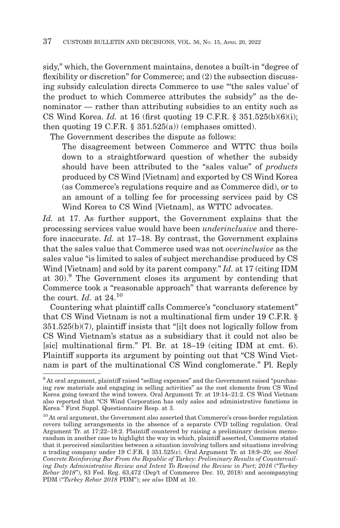sidy," which, the Government maintains, denotes a built-in "degree of flexibility or discretion" for Commerce; and (2) the subsection discussing subsidy calculation directs Commerce to use "'the sales value' of the product to which Commerce attributes the subsidy" as the denominator — rather than attributing subsidies to an entity such as CS Wind Korea. *Id.* at 16 (first quoting 19 C.F.R. § 351.525(b)(6)(i); then quoting 19 C.F.R.  $\S$  351.525(a)) (emphases omitted).

The Government describes the dispute as follows:

The disagreement between Commerce and WTTC thus boils down to a straightforward question of whether the subsidy should have been attributed to the "sales value" of *products* produced by CS Wind [Vietnam] and exported by CS Wind Korea (as Commerce's regulations require and as Commerce did), or to an amount of a tolling fee for processing services paid by CS Wind Korea to CS Wind [Vietnam], as WTTC advocates.

*Id.* at 17. As further support, the Government explains that the processing services value would have been *underinclusive* and therefore inaccurate. *Id.* at 17–18. By contrast, the Government explains that the sales value that Commerce used was not *overinclusive* as the sales value "is limited to sales of subject merchandise produced by CS Wind [Vietnam] and sold by its parent company." *Id.* at 17 (citing IDM at 30).9 The Government closes its argument by contending that Commerce took a "reasonable approach" that warrants deference by the court. *Id.* at 24.10

Countering what plaintiff calls Commerce's "conclusory statement" that CS Wind Vietnam is not a multinational firm under 19 C.F.R. § 351.525(b)(7), plaintiff insists that "[i]t does not logically follow from CS Wind Vietnam's status as a subsidiary that it could not also be [sic] multinational firm." Pl. Br. at 18–19 (citing IDM at cmt. 6). Plaintiff supports its argument by pointing out that "CS Wind Vietnam is part of the multinational CS Wind conglomerate." Pl. Reply

<sup>&</sup>lt;sup>9</sup> At oral argument, plaintiff raised "selling expenses" and the Government raised "purchasing raw materials and engaging in selling activities" as the cost elements from CS Wind Korea going toward the wind towers. Oral Argument Tr. at 19:14–21:2. CS Wind Vietnam also reported that "CS Wind Corporation has only sales and administrative functions in Korea." First Suppl. Questionnaire Resp. at 3.

<sup>&</sup>lt;sup>10</sup> At oral argument, the Government also asserted that Commerce's cross-border regulation covers tolling arrangements in the absence of a separate CVD tolling regulation. Oral Argument Tr. at 17:22–18:2. Plaintiff countered by raising a preliminary decision memorandum in another case to highlight the way in which, plaintiff asserted, Commerce stated that it perceived similarities between a situation involving tollers and situations involving a trading company under 19 C.F.R. § 351.525(c). Oral Argument Tr. at 18:9–20; *see Steel Concrete Reinforcing Bar From the Republic of Turkey: Preliminary Results of Countervailing Duty Administrative Review and Intent To Rescind the Review in Part; 2016* ("*Turkey Rebar 2018*"), 83 Fed. Reg. 63,472 (Dep't of Commerce Dec. 10, 2018) and accompanying PDM ("*Turkey Rebar 2018* PDM"); *see also* IDM at 10.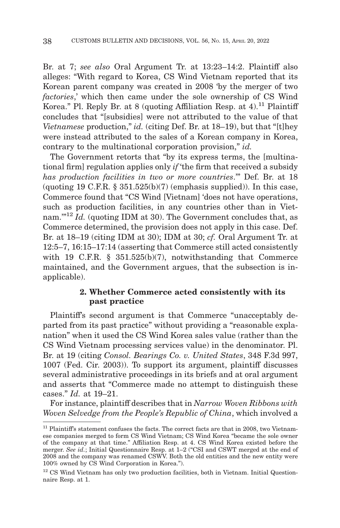Br. at 7; *see also* Oral Argument Tr. at 13:23–14:2. Plaintiff also alleges: "With regard to Korea, CS Wind Vietnam reported that its Korean parent company was created in 2008 'by the merger of two *factories*,' which then came under the sole ownership of CS Wind Korea." Pl. Reply Br. at 8 (quoting Affiliation Resp. at  $4$ ).<sup>11</sup> Plaintiff concludes that "[subsidies] were not attributed to the value of that *Vietnamese* production," *id.* (citing Def. Br. at 18–19), but that "[t]hey were instead attributed to the sales of a Korean company in Korea, contrary to the multinational corporation provision," *id.*

The Government retorts that "by its express terms, the [multinational firm] regulation applies only *if* 'the firm that received a subsidy *has production facilities in two or more countries*.'" Def. Br. at 18 (quoting 19 C.F.R.  $\S 351.525(b)(7)$  (emphasis supplied)). In this case, Commerce found that "CS Wind [Vietnam] 'does not have operations, such as production facilities, in any countries other than in Vietnam.'"12 *Id.* (quoting IDM at 30). The Government concludes that, as Commerce determined, the provision does not apply in this case. Def. Br. at 18–19 (citing IDM at 30); IDM at 30; *cf.* Oral Argument Tr. at 12:5–7, 16:15–17:14 (asserting that Commerce still acted consistently with 19 C.F.R. § 351.525(b)(7), notwithstanding that Commerce maintained, and the Government argues, that the subsection is inapplicable).

## **2. Whether Commerce acted consistently with its past practice**

Plaintiff's second argument is that Commerce "unacceptably departed from its past practice" without providing a "reasonable explanation" when it used the CS Wind Korea sales value (rather than the CS Wind Vietnam processing services value) in the denominator. Pl. Br. at 19 (citing *Consol. Bearings Co. v. United States*, 348 F.3d 997, 1007 (Fed. Cir. 2003)). To support its argument, plaintiff discusses several administrative proceedings in its briefs and at oral argument and asserts that "Commerce made no attempt to distinguish these cases." *Id.* at 19–21.

For instance, plaintiff describes that in *Narrow Woven Ribbons with Woven Selvedge from the People's Republic of China*, which involved a

 $11$  Plaintiff's statement confuses the facts. The correct facts are that in 2008, two Vietnamese companies merged to form CS Wind Vietnam; CS Wind Korea "became the sole owner of the company at that time." Affiliation Resp. at 4. CS Wind Korea existed before the merger. *See id.*; Initial Questionnaire Resp. at 1–2 ("CSI and CSWT merged at the end of 2008 and the company was renamed CSWV. Both the old entities and the new entity were 100% owned by CS Wind Corporation in Korea.").

<sup>12</sup> CS Wind Vietnam has only two production facilities, both in Vietnam. Initial Questionnaire Resp. at 1.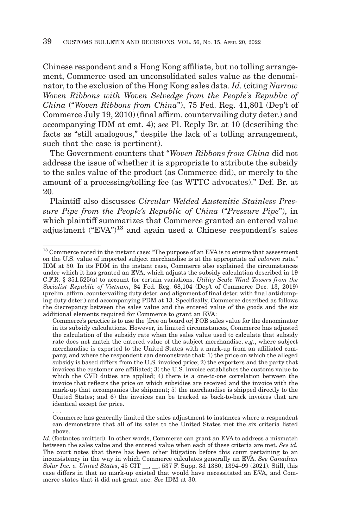Chinese respondent and a Hong Kong affiliate, but no tolling arrangement, Commerce used an unconsolidated sales value as the denominator, to the exclusion of the Hong Kong sales data. *Id.* (citing *Narrow Woven Ribbons with Woven Selvedge from the People's Republic of China* ("*Woven Ribbons from China*"), 75 Fed. Reg. 41,801 (Dep't of Commerce July 19, 2010) (final affirm. countervailing duty deter.) and accompanying IDM at cmt. 4); *see* Pl. Reply Br. at 10 (describing the facts as "still analogous," despite the lack of a tolling arrangement, such that the case is pertinent).

The Government counters that "*Woven Ribbons from China* did not address the issue of whether it is appropriate to attribute the subsidy to the sales value of the product (as Commerce did), or merely to the amount of a processing/tolling fee (as WTTC advocates)." Def. Br. at 20.

Plaintiff also discusses *Circular Welded Austenitic Stainless Pressure Pipe from the People's Republic of China* ("*Pressure Pipe*"), in which plaintiff summarizes that Commerce granted an entered value adjustment ("EVA")13 and again used a Chinese respondent's sales

. . .

<sup>&</sup>lt;sup>13</sup> Commerce noted in the instant case: "The purpose of an EVA is to ensure that assessment on the U.S. value of imported subject merchandise is at the appropriate *ad valorem* rate." IDM at 30. In its PDM in the instant case, Commerce also explained the circumstances under which it has granted an EVA, which adjusts the subsidy calculation described in 19 C.F.R. § 351.525(a) to account for certain variations. *Utility Scale Wind Towers from the Socialist Republic of Vietnam*, 84 Fed. Reg. 68,104 (Dep't of Commerce Dec. 13, 2019) (prelim. affirm. countervailing duty deter. and alignment of final deter. with final antidumping duty deter.) and accompanying PDM at 13. Specifically, Commerce described as follows the discrepancy between the sales value and the entered value of the goods and the six additional elements required for Commerce to grant an EVA:

Commerce's practice is to use the [free on board or] FOB sales value for the denominator in its subsidy calculations. However, in limited circumstances, Commerce has adjusted the calculation of the subsidy rate when the sales value used to calculate that subsidy rate does not match the entered value of the subject merchandise, *e.g.*, where subject merchandise is exported to the United States with a mark-up from an affiliated company, and where the respondent can demonstrate that: 1) the price on which the alleged subsidy is based differs from the U.S. invoiced price; 2) the exporters and the party that invoices the customer are affiliated; 3) the U.S. invoice establishes the customs value to which the CVD duties are applied; 4) there is a one-to-one correlation between the invoice that reflects the price on which subsidies are received and the invoice with the mark-up that accompanies the shipment; 5) the merchandise is shipped directly to the United States; and 6) the invoices can be tracked as back-to-back invoices that are identical except for price.

Commerce has generally limited the sales adjustment to instances where a respondent can demonstrate that all of its sales to the United States met the six criteria listed above.

Id. (footnotes omitted). In other words, Commerce can grant an EVA to address a mismatch between the sales value and the entered value when each of these criteria are met. *See id.* The court notes that there has been other litigation before this court pertaining to an inconsistency in the way in which Commerce calculates generally an EVA. *See Canadian Solar Inc. v. United States*, 45 CIT \_\_, \_\_, 537 F. Supp. 3d 1380, 1394–99 (2021). Still, this case differs in that no mark-up existed that would have necessitated an EVA, and Commerce states that it did not grant one. *See* IDM at 30.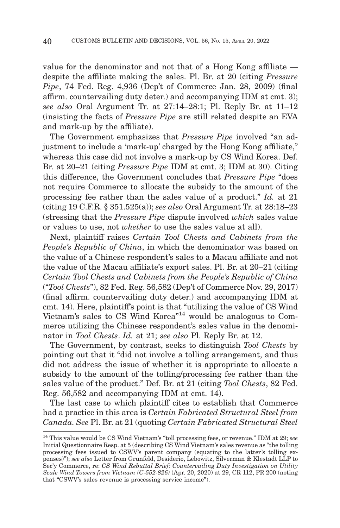value for the denominator and not that of a Hong Kong affiliate despite the affiliate making the sales. Pl. Br. at 20 (citing *Pressure Pipe*, 74 Fed. Reg. 4,936 (Dep't of Commerce Jan. 28, 2009) (final affirm. countervailing duty deter.) and accompanying IDM at cmt. 3); *see also* Oral Argument Tr. at 27:14–28:1; Pl. Reply Br. at 11–12 (insisting the facts of *Pressure Pipe* are still related despite an EVA and mark-up by the affiliate).

The Government emphasizes that *Pressure Pipe* involved "an adjustment to include a 'mark-up' charged by the Hong Kong affiliate," whereas this case did not involve a mark-up by CS Wind Korea. Def. Br. at 20–21 (citing *Pressure Pipe* IDM at cmt. 3; IDM at 30). Citing this difference, the Government concludes that *Pressure Pipe* "does not require Commerce to allocate the subsidy to the amount of the processing fee rather than the sales value of a product." *Id.* at 21 (citing 19 C.F.R. § 351.525(a)); *see also* Oral Argument Tr. at 28:18–23 (stressing that the *Pressure Pipe* dispute involved *which* sales value or values to use, not *whether* to use the sales value at all).

Next, plaintiff raises *Certain Tool Chests and Cabinets from the People's Republic of China*, in which the denominator was based on the value of a Chinese respondent's sales to a Macau affiliate and not the value of the Macau affiliate's export sales. Pl. Br. at 20–21 (citing *Certain Tool Chests and Cabinets from the People's Republic of China* ("*Tool Chests*"), 82 Fed. Reg. 56,582 (Dep't of Commerce Nov. 29, 2017) (final affirm. countervailing duty deter.) and accompanying IDM at cmt. 14). Here, plaintiff's point is that "utilizing the value of CS Wind Vietnam's sales to CS Wind Korea<sup>"14</sup> would be analogous to Commerce utilizing the Chinese respondent's sales value in the denominator in *Tool Chests*. *Id.* at 21; *see also* Pl. Reply Br. at 12.

The Government, by contrast, seeks to distinguish *Tool Chests* by pointing out that it "did not involve a tolling arrangement, and thus did not address the issue of whether it is appropriate to allocate a subsidy to the amount of the tolling/processing fee rather than the sales value of the product." Def. Br. at 21 (citing *Tool Chests*, 82 Fed. Reg. 56,582 and accompanying IDM at cmt. 14).

The last case to which plaintiff cites to establish that Commerce had a practice in this area is *Certain Fabricated Structural Steel from Canada. See* Pl. Br. at 21 (quoting *Certain Fabricated Structural Steel*

<sup>14</sup> This value would be CS Wind Vietnam's "toll processing fees, or revenue." IDM at 29; *see* Initial Questionnaire Resp. at 5 (describing CS Wind Vietnam's sales revenue as "the tolling processing fees issued to CSWV's parent company (equating to the latter's tolling expenses)"); *see also* Letter from Grunfeld, Desiderio, Lebowitz, Silverman & Klestadt LLP to Sec'y Commerce, re: *CS Wind Rebuttal Brief: Countervailing Duty Investigation on Utility Scale Wind Towers from Vietnam (C-552-826)* (Apr. 20, 2020) at 29, CR 112, PR 200 (noting that "CSWV's sales revenue is processing service income").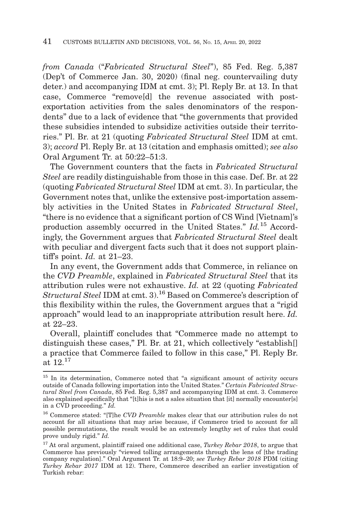*from Canada* ("*Fabricated Structural Steel*"), 85 Fed. Reg. 5,387 (Dep't of Commerce Jan. 30, 2020) (final neg. countervailing duty deter.) and accompanying IDM at cmt. 3); Pl. Reply Br. at 13. In that case, Commerce "remove[d] the revenue associated with postexportation activities from the sales denominators of the respondents" due to a lack of evidence that "the governments that provided these subsidies intended to subsidize activities outside their territories." Pl. Br. at 21 (quoting *Fabricated Structural Steel* IDM at cmt. 3); *accord* Pl. Reply Br. at 13 (citation and emphasis omitted); *see also* Oral Argument Tr. at 50:22–51:3.

The Government counters that the facts in *Fabricated Structural Steel* are readily distinguishable from those in this case. Def. Br. at 22 (quoting *Fabricated Structural Steel* IDM at cmt. 3). In particular, the Government notes that, unlike the extensive post-importation assembly activities in the United States in *Fabricated Structural Steel*, "there is no evidence that a significant portion of CS Wind [Vietnam]'s production assembly occurred in the United States." *Id.*15 Accordingly, the Government argues that *Fabricated Structural Steel* dealt with peculiar and divergent facts such that it does not support plaintiff's point. *Id.* at 21–23.

In any event, the Government adds that Commerce, in reliance on the *CVD Preamble*, explained in *Fabricated Structural Steel* that its attribution rules were not exhaustive. *Id.* at 22 (quoting *Fabricated Structural Steel* IDM at cmt. 3).16 Based on Commerce's description of this flexibility within the rules, the Government argues that a "rigid approach" would lead to an inappropriate attribution result here. *Id.* at 22–23.

Overall, plaintiff concludes that "Commerce made no attempt to distinguish these cases," Pl. Br. at 21, which collectively "establish[] a practice that Commerce failed to follow in this case," Pl. Reply Br. at  $12^{17}$ 

<sup>&</sup>lt;sup>15</sup> In its determination, Commerce noted that "a significant amount of activity occurs outside of Canada following importation into the United States." *Certain Fabricated Structural Steel from Canada*, 85 Fed. Reg. 5,387 and accompanying IDM at cmt. 3. Commerce also explained specifically that "[t]his is not a sales situation that [it] normally encounter[s] in a CVD proceeding." *Id.*

<sup>16</sup> Commerce stated: "[T]he *CVD Preamble* makes clear that our attribution rules do not account for all situations that may arise because, if Commerce tried to account for all possible permutations, the result would be an extremely lengthy set of rules that could prove unduly rigid." *Id.*

<sup>&</sup>lt;sup>17</sup> At oral argument, plaintiff raised one additional case, *Turkey Rebar 2018*, to argue that Commerce has previously "viewed tolling arrangements through the lens of [the trading company regulation]." Oral Argument Tr. at 18:9–20; *see Turkey Rebar 2018* PDM (citing *Turkey Rebar 2017* IDM at 12). There, Commerce described an earlier investigation of Turkish rebar: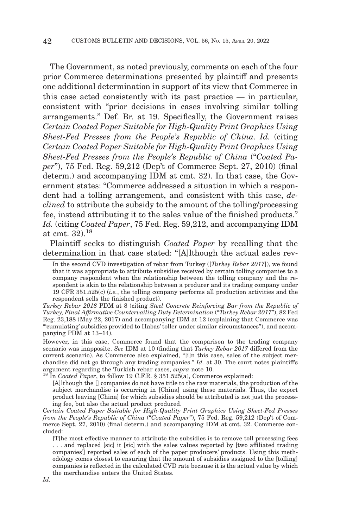The Government, as noted previously, comments on each of the four prior Commerce determinations presented by plaintiff and presents one additional determination in support of its view that Commerce in this case acted consistently with its past practice — in particular, consistent with "prior decisions in cases involving similar tolling arrangements." Def. Br. at 19. Specifically, the Government raises *Certain Coated Paper Suitable for High-Quality Print Graphics Using Sheet-Fed Presses from the People's Republic of China*. *Id.* (citing *Certain Coated Paper Suitable for High-Quality Print Graphics Using Sheet-Fed Presses from the People's Republic of China* ("*Coated Paper*"), 75 Fed. Reg. 59,212 (Dep't of Commerce Sept. 27, 2010) (final determ.) and accompanying IDM at cmt. 32). In that case, the Government states: "Commerce addressed a situation in which a respondent had a tolling arrangement, and consistent with this case, *declined* to attribute the subsidy to the amount of the tolling/processing fee, instead attributing it to the sales value of the finished products." *Id.* (citing *Coated Paper*, 75 Fed. Reg. 59,212, and accompanying IDM at cmt. 32).<sup>18</sup>

Plaintiff seeks to distinguish *Coated Paper* by recalling that the determination in that case stated: "[A]lthough the actual sales rev-

*Turkey Rebar 2018* PDM at 8 (citing *Steel Concrete Reinforcing Bar from the Republic of Turkey, Final Affirmative Countervailing Duty Determination* ("*Turkey Rebar 2017*"), 82 Fed Reg. 23,188 (May 22, 2017) and accompanying IDM at 12 (explaining that Commerce was "'cumulating' subsidies provided to Habas' toller under similar circumstances"), and accompanying PDM at 13–14).

However, in this case, Commerce found that the comparison to the trading company scenario was inapposite. *See* IDM at 10 (finding that *Turkey Rebar 2017* differed from the current scenario). As Commerce also explained, "[i]n this case, sales of the subject merchandise did not go through any trading companies." *Id.* at 30. The court notes plaintiff's argument regarding the Turkish rebar cases, *supra* note 10. 18 In *Coated Paper*, to follow 19 C.F.R. § 351.525(a), Commerce explained:

[A]lthough the [] companies do not have title to the raw materials, the production of the subject merchandise is occurring in [China] using these materials. Thus, the export product leaving [China] for which subsidies should be attributed is not just the processing fee, but also the actual product produced.

*Certain Coated Paper Suitable for High-Quality Print Graphics Using Sheet-Fed Presses from the People's Republic of China* ("*Coated Paper*"), 75 Fed. Reg. 59,212 (Dep't of Commerce Sept. 27, 2010) (final determ.) and accompanying IDM at cmt. 32. Commerce concluded:

[T]he most effective manner to attribute the subsidies is to remove toll processing fees . . . and replaced [sic] it [sic] with the sales values reported by [two affiliated trading companies'] reported sales of each of the paper producers' products. Using this methodology comes closest to ensuring that the amount of subsidies assigned to the [tolling] companies is reflected in the calculated CVD rate because it is the actual value by which the merchandise enters the United States.

In the second CVD investigation of rebar from Turkey ([*Turkey Rebar 2017*]), we found that it was appropriate to attribute subsidies received by certain tolling companies to a company respondent when the relationship between the tolling company and the respondent is akin to the relationship between a producer and its trading company under 19 CFR 351.525(c) (*i.e.*, the tolling company performs all production activities and the respondent sells the finished product).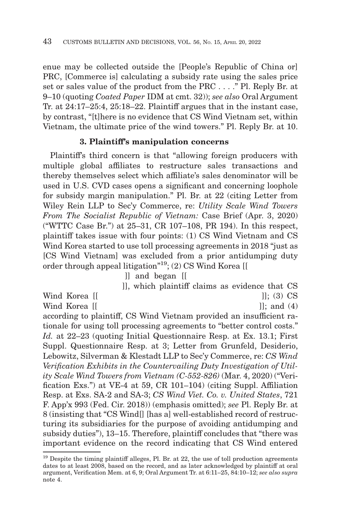enue may be collected outside the [People's Republic of China or] PRC, [Commerce is] calculating a subsidy rate using the sales price set or sales value of the product from the PRC . . . ." Pl. Reply Br. at 9–10 (quoting *Coated Paper* IDM at cmt. 32)); *see also* Oral Argument Tr. at 24:17–25:4, 25:18–22. Plaintiff argues that in the instant case, by contrast, "[t]here is no evidence that CS Wind Vietnam set, within Vietnam, the ultimate price of the wind towers." Pl. Reply Br. at 10.

# **3. Plaintiff's manipulation concerns**

Plaintiff's third concern is that "allowing foreign producers with multiple global affiliates to restructure sales transactions and thereby themselves select which affiliate's sales denominator will be used in U.S. CVD cases opens a significant and concerning loophole for subsidy margin manipulation." Pl. Br. at 22 (citing Letter from Wiley Rein LLP to Sec'y Commerce, re: *Utility Scale Wind Towers From The Socialist Republic of Vietnam:* Case Brief (Apr. 3, 2020) ("WTTC Case Br.") at 25–31, CR 107–108, PR 194). In this respect, plaintiff takes issue with four points: (1) CS Wind Vietnam and CS Wind Korea started to use toll processing agreements in 2018 "just as [CS Wind Vietnam] was excluded from a prior antidumping duty order through appeal litigation"19; (2) CS Wind Korea [[

]] and began [[

]], which plaintiff claims as evidence that CS

Wind Korea [[ ]]; (3) CS

Wind Korea  $\left[ \left[ \right]$  and  $\left( 4 \right)$ 

according to plaintiff, CS Wind Vietnam provided an insufficient rationale for using toll processing agreements to "better control costs." *Id.* at 22–23 (quoting Initial Questionnaire Resp. at Ex. 13.1; First Suppl. Questionnaire Resp. at 3; Letter from Grunfeld, Desiderio, Lebowitz, Silverman & Klestadt LLP to Sec'y Commerce, re: *CS Wind Verification Exhibits in the Countervailing Duty Investigation of Utility Scale Wind Towers from Vietnam (C-552-826)* (Mar. 4, 2020) ("Verification Exs.") at VE-4 at 59, CR 101–104) (citing Suppl. Affiliation Resp. at Exs. SA-2 and SA-3; *CS Wind Viet. Co. v. United States*, 721 F. App'x 993 (Fed. Cir. 2018)) (emphasis omitted); *see* Pl. Reply Br. at 8 (insisting that "CS Wind[] [has a] well-established record of restructuring its subsidiaries for the purpose of avoiding antidumping and subsidy duties"), 13–15. Therefore, plaintiff concludes that "there was important evidence on the record indicating that CS Wind entered

<sup>&</sup>lt;sup>19</sup> Despite the timing plaintiff alleges, Pl. Br. at 22, the use of toll production agreements dates to at least 2008, based on the record, and as later acknowledged by plaintiff at oral argument, Verification Mem. at 6, 9; Oral Argument Tr. at 6:11–25, 84:10–12; *see also supra* note 4.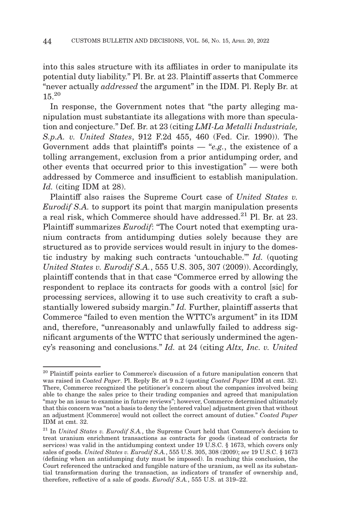into this sales structure with its affiliates in order to manipulate its potential duty liability." Pl. Br. at 23. Plaintiff asserts that Commerce "never actually *addressed* the argument" in the IDM. Pl. Reply Br. at 15.20

In response, the Government notes that "the party alleging manipulation must substantiate its allegations with more than speculation and conjecture." Def. Br. at 23 (citing *LMI-La Metalli Industriale, S.p.A. v. United States*, 912 F.2d 455, 460 (Fed. Cir. 1990)). The Government adds that plaintiff's points — "*e.g.*, the existence of a tolling arrangement, exclusion from a prior antidumping order, and other events that occurred prior to this investigation" — were both addressed by Commerce and insufficient to establish manipulation. *Id.* (citing IDM at 28).

Plaintiff also raises the Supreme Court case of *United States v. Eurodif S.A.* to support its point that margin manipulation presents a real risk, which Commerce should have addressed.21 Pl. Br. at 23. Plaintiff summarizes *Eurodif*: "The Court noted that exempting uranium contracts from antidumping duties solely because they are structured as to provide services would result in injury to the domestic industry by making such contracts 'untouchable.'" *Id.* (quoting *United States v. Eurodif S.A.*, 555 U.S. 305, 307 (2009)). Accordingly, plaintiff contends that in that case "Commerce erred by allowing the respondent to replace its contracts for goods with a control [sic] for processing services, allowing it to use such creativity to craft a substantially lowered subsidy margin." *Id.* Further, plaintiff asserts that Commerce "failed to even mention the WTTC's argument" in its IDM and, therefore, "unreasonably and unlawfully failed to address significant arguments of the WTTC that seriously undermined the agency's reasoning and conclusions." *Id.* at 24 (citing *Altx, Inc. v. United*

<sup>20</sup> Plaintiff points earlier to Commerce's discussion of a future manipulation concern that was raised in *Coated Paper*. Pl. Reply Br. at 9 n.2 (quoting *Coated Paper* IDM at cmt. 32). There, Commerce recognized the petitioner's concern about the companies involved being able to change the sales price to their trading companies and agreed that manipulation "may be an issue to examine in future reviews"; however, Commerce determined ultimately that this concern was "not a basis to deny the [entered value] adjustment given that without an adjustment [Commerce] would not collect the correct amount of duties." *Coated Paper* IDM at cmt. 32.

<sup>21</sup> In *United States v. Eurodif S.A.*, the Supreme Court held that Commerce's decision to treat uranium enrichment transactions as contracts for goods (instead of contracts for services) was valid in the antidumping context under 19 U.S.C. § 1673, which covers only sales of goods. *United States v. Eurodif S.A.*, 555 U.S. 305, 308 (2009); *see* 19 U.S.C. § 1673 (defining when an antidumping duty must be imposed). In reaching this conclusion, the Court referenced the untracked and fungible nature of the uranium, as well as its substantial transformation during the transaction, as indicators of transfer of ownership and, therefore, reflective of a sale of goods. *Eurodif S.A.*, 555 U.S. at 319–22.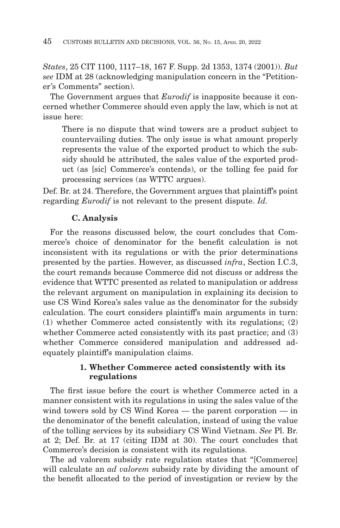*States*, 25 CIT 1100, 1117–18, 167 F. Supp. 2d 1353, 1374 (2001)). *But see* IDM at 28 (acknowledging manipulation concern in the "Petitioner's Comments" section).

The Government argues that *Eurodif* is inapposite because it concerned whether Commerce should even apply the law, which is not at issue here:

There is no dispute that wind towers are a product subject to countervailing duties. The only issue is what amount properly represents the value of the exported product to which the subsidy should be attributed, the sales value of the exported product (as [sic] Commerce's contends), or the tolling fee paid for processing services (as WTTC argues).

Def. Br. at 24. Therefore, the Government argues that plaintiff's point regarding *Eurodif* is not relevant to the present dispute. *Id.*

# **C. Analysis**

For the reasons discussed below, the court concludes that Commerce's choice of denominator for the benefit calculation is not inconsistent with its regulations or with the prior determinations presented by the parties. However, as discussed *infra*, Section I.C.3, the court remands because Commerce did not discuss or address the evidence that WTTC presented as related to manipulation or address the relevant argument on manipulation in explaining its decision to use CS Wind Korea's sales value as the denominator for the subsidy calculation. The court considers plaintiff's main arguments in turn: (1) whether Commerce acted consistently with its regulations; (2) whether Commerce acted consistently with its past practice; and (3) whether Commerce considered manipulation and addressed adequately plaintiff's manipulation claims.

## **1. Whether Commerce acted consistently with its regulations**

The first issue before the court is whether Commerce acted in a manner consistent with its regulations in using the sales value of the wind towers sold by CS Wind Korea — the parent corporation — in the denominator of the benefit calculation, instead of using the value of the tolling services by its subsidiary CS Wind Vietnam. *See* Pl. Br. at 2; Def. Br. at 17 (citing IDM at 30). The court concludes that Commerce's decision is consistent with its regulations.

The ad valorem subsidy rate regulation states that "[Commerce] will calculate an *ad valorem* subsidy rate by dividing the amount of the benefit allocated to the period of investigation or review by the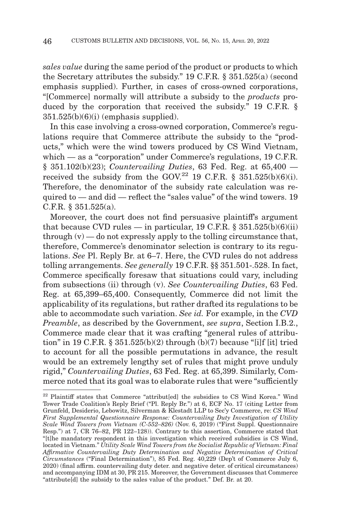*sales value* during the same period of the product or products to which the Secretary attributes the subsidy." 19 C.F.R. § 351.525(a) (second emphasis supplied). Further, in cases of cross-owned corporations, "[Commerce] normally will attribute a subsidy to the *products* produced by the corporation that received the subsidy." 19 C.F.R. § 351.525(b)(6)(i) (emphasis supplied).

In this case involving a cross-owned corporation, Commerce's regulations require that Commerce attribute the subsidy to the "products," which were the wind towers produced by CS Wind Vietnam, which — as a "corporation" under Commerce's regulations, 19 C.F.R. § 351.102(b)(23); *Countervailing Duties*, 63 Fed. Reg. at 65,400 received the subsidy from the GOV.<sup>22</sup> 19 C.F.R. § 351.525(b)(6)(i). Therefore, the denominator of the subsidy rate calculation was required to — and did — reflect the "sales value" of the wind towers. 19 C.F.R. § 351.525(a).

Moreover, the court does not find persuasive plaintiff's argument that because CVD rules — in particular, 19 C.F.R.  $\S 351.525(b)(6)(ii)$ through  $(v)$  — do not expressly apply to the tolling circumstance that, therefore, Commerce's denominator selection is contrary to its regulations. *See* Pl. Reply Br. at 6–7. Here, the CVD rules do not address tolling arrangements. *See generally* 19 C.F.R. §§ 351.501-.528. In fact, Commerce specifically foresaw that situations could vary, including from subsections (ii) through (v). *See Countervailing Duties*, 63 Fed. Reg. at 65,399–65,400. Consequently, Commerce did not limit the applicability of its regulations, but rather drafted its regulations to be able to accommodate such variation. *See id.* For example, in the *CVD Preamble*, as described by the Government, *see supra*, Section I.B.2., Commerce made clear that it was crafting "general rules of attribution" in 19 C.F.R.  $\S 351.525(b)(2)$  through  $(b)(7)$  because "[i]f [it] tried to account for all the possible permutations in advance, the result would be an extremely lengthy set of rules that might prove unduly rigid," *Countervailing Duties*, 63 Fed. Reg. at 65,399. Similarly, Commerce noted that its goal was to elaborate rules that were "sufficiently

<sup>22</sup> Plaintiff states that Commerce "attribut[ed] the subsidies to CS Wind Korea." Wind Tower Trade Coalition's Reply Brief ("Pl. Reply Br.") at 6, ECF No. 17 (citing Letter from Grunfeld, Desiderio, Lebowitz, Silverman & Klestadt LLP to Sec'y Commerce, re: *CS Wind First Supplemental Questionnaire Response: Countervailing Duty Investigation of Utility Scale Wind Towers from Vietnam (C-552–826)* (Nov. 6, 2019) ("First Suppl. Questionnaire Resp.") at 7, CR 76–82, PR 122–128)). Contrary to this assertion, Commerce stated that "[t]he mandatory respondent in this investigation which received subsidies is CS Wind, located in Vietnam." *Utility Scale Wind Towers from the Socialist Republic of Vietnam: Final Affirmative Countervailing Duty Determination and Negative Determination of Critical Circumstances* ("Final Determination"), 85 Fed. Reg. 40,229 (Dep't of Commerce July 6, 2020) (final affirm. countervailing duty deter. and negative deter. of critical circumstances) and accompanying IDM at 30, PR 215. Moreover, the Government discusses that Commerce "attribute[d] the subsidy to the sales value of the product." Def. Br. at 20.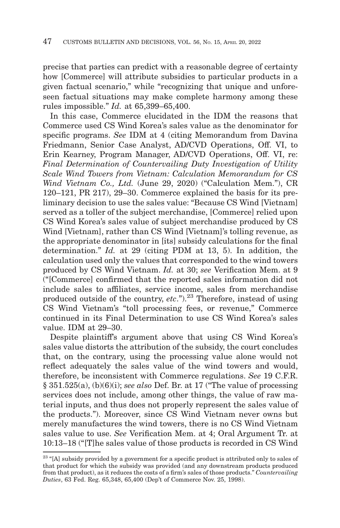precise that parties can predict with a reasonable degree of certainty how [Commerce] will attribute subsidies to particular products in a given factual scenario," while "recognizing that unique and unforeseen factual situations may make complete harmony among these rules impossible." *Id.* at 65,399–65,400.

In this case, Commerce elucidated in the IDM the reasons that Commerce used CS Wind Korea's sales value as the denominator for specific programs. *See* IDM at 4 (citing Memorandum from Davina Friedmann, Senior Case Analyst, AD/CVD Operations, Off. VI, to Erin Kearney, Program Manager, AD/CVD Operations, Off. VI, re: *Final Determination of Countervailing Duty Investigation of Utility Scale Wind Towers from Vietnam: Calculation Memorandum for CS Wind Vietnam Co., Ltd.* (June 29, 2020) ("Calculation Mem."), CR 120–121, PR 217), 29–30. Commerce explained the basis for its preliminary decision to use the sales value: "Because CS Wind [Vietnam] served as a toller of the subject merchandise, [Commerce] relied upon CS Wind Korea's sales value of subject merchandise produced by CS Wind [Vietnam], rather than CS Wind [Vietnam]'s tolling revenue, as the appropriate denominator in [its] subsidy calculations for the final determination." *Id.* at 29 (citing PDM at 13, 5). In addition, the calculation used only the values that corresponded to the wind towers produced by CS Wind Vietnam. *Id.* at 30; *see* Verification Mem. at 9 ("[Commerce] confirmed that the reported sales information did not include sales to affiliates, service income, sales from merchandise produced outside of the country, *etc*.").23 Therefore, instead of using CS Wind Vietnam's "toll processing fees, or revenue," Commerce continued in its Final Determination to use CS Wind Korea's sales value. IDM at 29–30.

Despite plaintiff's argument above that using CS Wind Korea's sales value distorts the attribution of the subsidy, the court concludes that, on the contrary, using the processing value alone would not reflect adequately the sales value of the wind towers and would, therefore, be inconsistent with Commerce regulations. *See* 19 C.F.R. § 351.525(a), (b)(6)(i); *see also* Def. Br. at 17 ("The value of processing services does not include, among other things, the value of raw material inputs, and thus does not properly represent the sales value of the products."). Moreover, since CS Wind Vietnam never owns but merely manufactures the wind towers, there is no CS Wind Vietnam sales value to use. *See* Verification Mem. at 4; Oral Argument Tr. at 10:13–18 ("[T]he sales value of those products is recorded in CS Wind

 $^{23}$  "[A] subsidy provided by a government for a specific product is attributed only to sales of that product for which the subsidy was provided (and any downstream products produced from that product), as it reduces the costs of a firm's sales of those products." *Countervailing Duties*, 63 Fed. Reg. 65,348, 65,400 (Dep't of Commerce Nov. 25, 1998).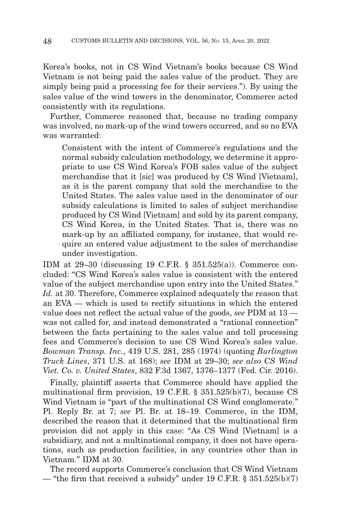Korea's books, not in CS Wind Vietnam's books because CS Wind Vietnam is not being paid the sales value of the product. They are simply being paid a processing fee for their services."). By using the sales value of the wind towers in the denominator, Commerce acted consistently with its regulations.

Further, Commerce reasoned that, because no trading company was involved, no mark-up of the wind towers occurred, and so no EVA was warranted:

Consistent with the intent of Commerce's regulations and the normal subsidy calculation methodology, we determine it appropriate to use CS Wind Korea's FOB sales value of the subject merchandise that it [sic] was produced by CS Wind [Vietnam], as it is the parent company that sold the merchandise to the United States. The sales value used in the denominator of our subsidy calculations is limited to sales of subject merchandise produced by CS Wind [Vietnam] and sold by its parent company, CS Wind Korea, in the United States. That is, there was no mark-up by an affiliated company, for instance, that would require an entered value adjustment to the sales of merchandise under investigation.

IDM at 29–30 (discussing 19 C.F.R. § 351.525(a)). Commerce concluded: "CS Wind Korea's sales value is consistent with the entered value of the subject merchandise upon entry into the United States." *Id.* at 30. Therefore, Commerce explained adequately the reason that an EVA — which is used to rectify situations in which the entered value does not reflect the actual value of the goods, *see* PDM at 13 was not called for, and instead demonstrated a "rational connection" between the facts pertaining to the sales value and toll processing fees and Commerce's decision to use CS Wind Korea's sales value. *Bowman Transp. Inc.*, 419 U.S. 281, 285 (1974) (quoting *Burlington Truck Lines*, 371 U.S. at 168); *see* IDM at 29–30; *see also CS Wind Viet. Co. v. United States*, 832 F.3d 1367, 1376–1377 (Fed. Cir. 2016).

Finally, plaintiff asserts that Commerce should have applied the multinational firm provision, 19 C.F.R. § 351.525(b)(7), because CS Wind Vietnam is "part of the multinational CS Wind conglomerate." Pl. Reply Br. at 7; *see* Pl. Br. at 18–19. Commerce, in the IDM, described the reason that it determined that the multinational firm provision did not apply in this case: "As CS Wind [Vietnam] is a subsidiary, and not a multinational company, it does not have operations, such as production facilities, in any countries other than in Vietnam." IDM at 30.

The record supports Commerce's conclusion that CS Wind Vietnam — "the firm that received a subsidy" under 19 C.F.R.  $\S 351.525(b)(7)$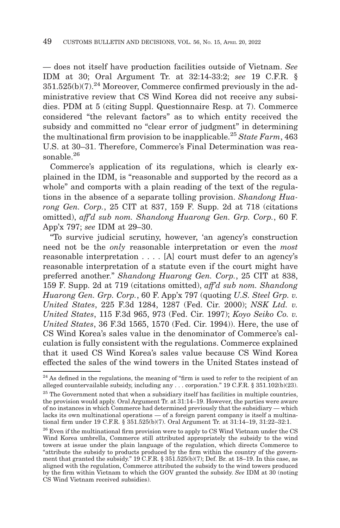— does not itself have production facilities outside of Vietnam. *See* IDM at 30; Oral Argument Tr. at 32:14-33:2; *see* 19 C.F.R. §  $351.525(b)(7).^{24}$  Moreover, Commerce confirmed previously in the administrative review that CS Wind Korea did not receive any subsidies. PDM at 5 (citing Suppl. Questionnaire Resp. at 7). Commerce considered "the relevant factors" as to which entity received the subsidy and committed no "clear error of judgment" in determining the multinational firm provision to be inapplicable.25 *State Farm*, 463 U.S. at 30–31. Therefore, Commerce's Final Determination was reasonable  $^{26}$ 

Commerce's application of its regulations, which is clearly explained in the IDM, is "reasonable and supported by the record as a whole" and comports with a plain reading of the text of the regulations in the absence of a separate tolling provision. *Shandong Huarong Gen. Corp.*, 25 CIT at 837, 159 F. Supp. 2d at 718 (citations omitted), *aff'd sub nom. Shandong Huarong Gen. Grp. Corp.*, 60 F. App'x 797; *see* IDM at 29–30.

"To survive judicial scrutiny, however, 'an agency's construction need not be the *only* reasonable interpretation or even the *most* reasonable interpretation . . . . [A] court must defer to an agency's reasonable interpretation of a statute even if the court might have preferred another." *Shandong Huarong Gen. Corp.*, 25 CIT at 838, 159 F. Supp. 2d at 719 (citations omitted), *aff'd sub nom. Shandong Huarong Gen. Grp. Corp.*, 60 F. App'x 797 (quoting *U.S. Steel Grp. v. United States*, 225 F.3d 1284, 1287 (Fed. Cir. 2000); *NSK Ltd. v. United States*, 115 F.3d 965, 973 (Fed. Cir. 1997); *Koyo Seiko Co. v. United States*, 36 F.3d 1565, 1570 (Fed. Cir. 1994)). Here, the use of CS Wind Korea's sales value in the denominator of Commerce's calculation is fully consistent with the regulations. Commerce explained that it used CS Wind Korea's sales value because CS Wind Korea effected the sales of the wind towers in the United States instead of

 $24$  As defined in the regulations, the meaning of "firm is used to refer to the recipient of an alleged countervailable subsidy, including any . . . corporation." 19 C.F.R. § 351.102(b)(23).

 $^\mathrm{25}$  The Government noted that when a subsidiary itself has facilities in multiple countries, the provision would apply. Oral Argument Tr. at 31:14–19. However, the parties were aware of no instances in which Commerce had determined previously that the subsidiary — which lacks its own multinational operations — of a foreign parent company is itself a multinational firm under 19 C.F.R. § 351.525(b)(7). Oral Argument Tr. at 31:14–19, 31:22–32:1.

<sup>&</sup>lt;sup>26</sup> Even if the multinational firm provision were to apply to CS Wind Vietnam under the CS Wind Korea umbrella, Commerce still attributed appropriately the subsidy to the wind towers at issue under the plain language of the regulation, which directs Commerce to "attribute the subsidy to products produced by the firm within the country of the government that granted the subsidy." 19 C.F.R. § 351.525(b)(7); Def. Br. at 18–19. In this case, as aligned with the regulation, Commerce attributed the subsidy to the wind towers produced by the firm within Vietnam to which the GOV granted the subsidy. *See* IDM at 30 (noting CS Wind Vietnam received subsidies).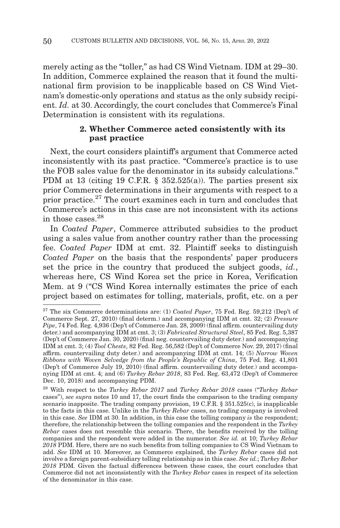merely acting as the "toller," as had CS Wind Vietnam. IDM at 29–30. In addition, Commerce explained the reason that it found the multinational firm provision to be inapplicable based on CS Wind Vietnam's domestic-only operations and status as the only subsidy recipient. *Id.* at 30. Accordingly, the court concludes that Commerce's Final Determination is consistent with its regulations.

## **2. Whether Commerce acted consistently with its past practice**

Next, the court considers plaintiff's argument that Commerce acted inconsistently with its past practice. "Commerce's practice is to use the FOB sales value for the denominator in its subsidy calculations." PDM at 13 (citing 19 C.F.R.  $\S$  352.525(a)). The parties present six prior Commerce determinations in their arguments with respect to a prior practice.27 The court examines each in turn and concludes that Commerce's actions in this case are not inconsistent with its actions in those cases.28

In *Coated Paper*, Commerce attributed subsidies to the product using a sales value from another country rather than the processing fee. *Coated Paper* IDM at cmt. 32. Plaintiff seeks to distinguish *Coated Paper* on the basis that the respondents' paper producers set the price in the country that produced the subject goods, *id.*, whereas here, CS Wind Korea set the price in Korea, Verification Mem. at 9 ("CS Wind Korea internally estimates the price of each project based on estimates for tolling, materials, profit, etc. on a per

<sup>27</sup> The six Commerce determinations are: (1) *Coated Paper*, 75 Fed. Reg. 59,212 (Dep't of Commerce Sept. 27, 2010) (final determ.) and accompanying IDM at cmt. 32; (2) *Pressure Pipe*, 74 Fed. Reg. 4,936 (Dep't of Commerce Jan. 28, 2009) (final affirm. countervailing duty deter.) and accompanying IDM at cmt. 3; (3) *Fabricated Structural Steel*, 85 Fed. Reg. 5,387 (Dep't of Commerce Jan. 30, 2020) (final neg. countervailing duty deter.) and accompanying IDM at cmt. 3; (4) *Tool Chests*, 82 Fed. Reg. 56,582 (Dep't of Commerce Nov. 29, 2017) (final affirm. countervailing duty deter.) and accompanying IDM at cmt. 14; (5) *Narrow Woven Ribbons with Woven Selvedge from the People's Republic of China*, 75 Fed. Reg. 41,801 (Dep't of Commerce July 19, 2010) (final affirm. countervailing duty deter.) and accompanying IDM at cmt. 4; and (6) *Turkey Rebar 2018*, 83 Fed. Reg. 63,472 (Dep't of Commerce Dec. 10, 2018) and accompanying PDM.

<sup>28</sup> With respect to the *Turkey Rebar 2017* and *Turkey Rebar 2018* cases ("*Turkey Rebar* cases"), *see supra* notes 10 and 17, the court finds the comparison to the trading company scenario inapposite. The trading company provision, 19 C.F.R. § 351.525(c), is inapplicable to the facts in this case. Unlike in the *Turkey Rebar* cases, no trading company is involved in this case. *See* IDM at 30. In addition, in this case the tolling company *is* the respondent; therefore, the relationship between the tolling companies and the respondent in the *Turkey Rebar* cases does not resemble this scenario. There, the benefits received by the tolling companies and the respondent were added in the numerator. *See id.* at 10; *Turkey Rebar 2018* PDM. Here, there are no such benefits from tolling companies to CS Wind Vietnam to add. *See* IDM at 10. Moreover, as Commerce explained, the *Turkey Rebar* cases did not involve a foreign parent-subsidiary tolling relationship as in this case. *See id.*; *Turkey Rebar 2018* PDM. Given the factual differences between these cases, the court concludes that Commerce did not act inconsistently with the *Turkey Rebar* cases in respect of its selection of the denominator in this case.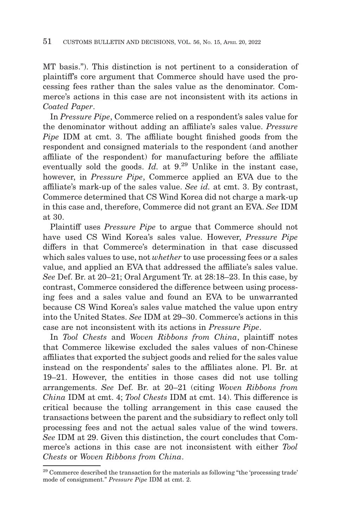MT basis."). This distinction is not pertinent to a consideration of plaintiff's core argument that Commerce should have used the processing fees rather than the sales value as the denominator. Commerce's actions in this case are not inconsistent with its actions in *Coated Paper*.

In *Pressure Pipe*, Commerce relied on a respondent's sales value for the denominator without adding an affiliate's sales value. *Pressure Pipe* IDM at cmt. 3. The affiliate bought finished goods from the respondent and consigned materials to the respondent (and another affiliate of the respondent) for manufacturing before the affiliate eventually sold the goods. *Id.* at 9.<sup>29</sup> Unlike in the instant case, however, in *Pressure Pipe*, Commerce applied an EVA due to the affiliate's mark-up of the sales value. *See id.* at cmt. 3. By contrast, Commerce determined that CS Wind Korea did not charge a mark-up in this case and, therefore, Commerce did not grant an EVA. *See* IDM at 30.

Plaintiff uses *Pressure Pipe* to argue that Commerce should not have used CS Wind Korea's sales value. However, *Pressure Pipe* differs in that Commerce's determination in that case discussed which sales values to use, not *whether* to use processing fees or a sales value, and applied an EVA that addressed the affiliate's sales value. *See* Def. Br. at 20–21; Oral Argument Tr. at 28:18–23. In this case, by contrast, Commerce considered the difference between using processing fees and a sales value and found an EVA to be unwarranted because CS Wind Korea's sales value matched the value upon entry into the United States. *See* IDM at 29–30. Commerce's actions in this case are not inconsistent with its actions in *Pressure Pipe*.

In *Tool Chests* and *Woven Ribbons from China*, plaintiff notes that Commerce likewise excluded the sales values of non-Chinese affiliates that exported the subject goods and relied for the sales value instead on the respondents' sales to the affiliates alone. Pl. Br. at 19–21. However, the entities in those cases did not use tolling arrangements. *See* Def. Br. at 20–21 (citing *Woven Ribbons from China* IDM at cmt. 4; *Tool Chests* IDM at cmt. 14). This difference is critical because the tolling arrangement in this case caused the transactions between the parent and the subsidiary to reflect only toll processing fees and not the actual sales value of the wind towers. *See* IDM at 29. Given this distinction, the court concludes that Commerce's actions in this case are not inconsistent with either *Tool Chests* or *Woven Ribbons from China*.

<sup>29</sup> Commerce described the transaction for the materials as following "the 'processing trade' mode of consignment." *Pressure Pipe* IDM at cmt. 2.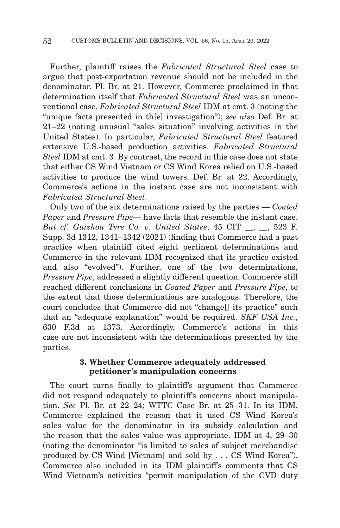Further, plaintiff raises the *Fabricated Structural Steel* case to argue that post-exportation revenue should not be included in the denominator. Pl. Br. at 21. However, Commerce proclaimed in that determination itself that *Fabricated Structural Steel* was an unconventional case. *Fabricated Structural Steel* IDM at cmt. 3 (noting the "unique facts presented in th[e] investigation"); *see also* Def. Br. at 21–22 (noting unusual "sales situation" involving activities in the United States). In particular, *Fabricated Structural Steel* featured extensive U.S.-based production activities. *Fabricated Structural Steel* IDM at cmt. 3. By contrast, the record in this case does not state that either CS Wind Vietnam or CS Wind Korea relied on U.S.-based activities to produce the wind towers. Def. Br. at 22. Accordingly, Commerce's actions in the instant case are not inconsistent with *Fabricated Structural Steel*.

Only two of the six determinations raised by the parties — *Coated Paper* and *Pressure Pipe*— have facts that resemble the instant case. *But cf. Guizhou Tyre Co. v. United States*, 45 CIT \_\_, \_\_, 523 F. Supp. 3d 1312, 1341–1342 (2021) (finding that Commerce had a past practice when plaintiff cited eight pertinent determinations and Commerce in the relevant IDM recognized that its practice existed and also "evolved"). Further, one of the two determinations, *Pressure Pipe*, addressed a slightly different question. Commerce still reached different conclusions in *Coated Paper* and *Pressure Pipe*, to the extent that those determinations are analogous. Therefore, the court concludes that Commerce did not "change[] its practice" such that an "adequate explanation" would be required. *SKF USA Inc.*, 630 F.3d at 1373. Accordingly, Commerce's actions in this case are not inconsistent with the determinations presented by the parties.

### **3. Whether Commerce adequately addressed petitioner's manipulation concerns**

The court turns finally to plaintiff's argument that Commerce did not respond adequately to plaintiff's concerns about manipulation. *See* Pl. Br. at 22–24; WTTC Case Br. at 25–31. In its IDM, Commerce explained the reason that it used CS Wind Korea's sales value for the denominator in its subsidy calculation and the reason that the sales value was appropriate. IDM at 4, 29–30 (noting the denominator "is limited to sales of subject merchandise produced by CS Wind [Vietnam] and sold by . . . CS Wind Korea"). Commerce also included in its IDM plaintiff's comments that CS Wind Vietnam's activities "permit manipulation of the CVD duty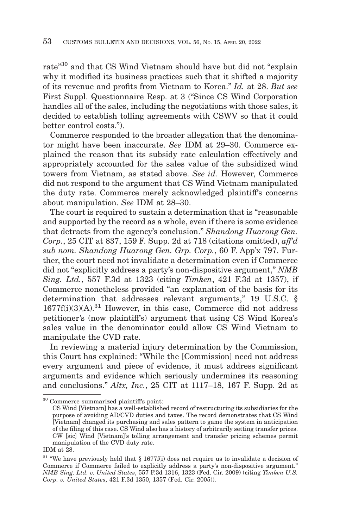rate"30 and that CS Wind Vietnam should have but did not "explain why it modified its business practices such that it shifted a majority of its revenue and profits from Vietnam to Korea." *Id.* at 28. *But see* First Suppl. Questionnaire Resp. at 3 ("Since CS Wind Corporation handles all of the sales, including the negotiations with those sales, it decided to establish tolling agreements with CSWV so that it could better control costs.").

Commerce responded to the broader allegation that the denominator might have been inaccurate. *See* IDM at 29–30. Commerce explained the reason that its subsidy rate calculation effectively and appropriately accounted for the sales value of the subsidized wind towers from Vietnam, as stated above. *See id.* However, Commerce did not respond to the argument that CS Wind Vietnam manipulated the duty rate. Commerce merely acknowledged plaintiff's concerns about manipulation. *See* IDM at 28–30.

The court is required to sustain a determination that is "reasonable and supported by the record as a whole, even if there is some evidence that detracts from the agency's conclusion." *Shandong Huarong Gen. Corp.*, 25 CIT at 837, 159 F. Supp. 2d at 718 (citations omitted), *aff'd sub nom. Shandong Huarong Gen. Grp. Corp.*, 60 F. App'x 797. Further, the court need not invalidate a determination even if Commerce did not "explicitly address a party's non-dispositive argument," *NMB Sing. Ltd.*, 557 F.3d at 1323 (citing *Timken*, 421 F.3d at 1357), if Commerce nonetheless provided "an explanation of the basis for its determination that addresses relevant arguments," 19 U.S.C. §  $1677f(i)(3)(A).$ <sup>31</sup> However, in this case, Commerce did not address petitioner's (now plaintiff's) argument that using CS Wind Korea's sales value in the denominator could allow CS Wind Vietnam to manipulate the CVD rate.

In reviewing a material injury determination by the Commission, this Court has explained: "While the [Commission] need not address every argument and piece of evidence, it must address significant arguments and evidence which seriously undermines its reasoning and conclusions." *Altx, Inc.*, 25 CIT at 1117–18, 167 F. Supp. 2d at

<sup>30</sup> Commerce summarized plaintiff's point:

CS Wind [Vietnam] has a well-established record of restructuring its subsidiaries for the purpose of avoiding AD/CVD duties and taxes. The record demonstrates that CS Wind [Vietnam] changed its purchasing and sales pattern to game the system in anticipation of the filing of this case. CS Wind also has a history of arbitrarily setting transfer prices. CW [sic] Wind [Vietnam]'s tolling arrangement and transfer pricing schemes permit manipulation of the CVD duty rate.

IDM at 28.

 $31$  "We have previously held that § 1677f(i) does not require us to invalidate a decision of Commerce if Commerce failed to explicitly address a party's non-dispositive argument." *NMB Sing. Ltd. v. United States*, 557 F.3d 1316, 1323 (Fed. Cir. 2009) (citing *Timken U.S. Corp. v. United States*, 421 F.3d 1350, 1357 (Fed. Cir. 2005)).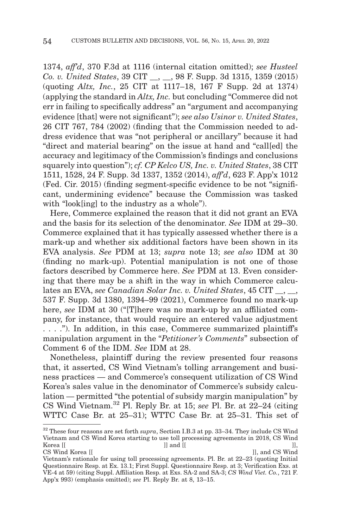1374, *aff'd*, 370 F.3d at 1116 (internal citation omitted); *see Husteel Co. v. United States*, 39 CIT \_\_, \_\_, 98 F. Supp. 3d 1315, 1359 (2015) (quoting *Altx, Inc.*, 25 CIT at 1117–18, 167 F Supp. 2d at 1374) (applying the standard in *Altx, Inc.* but concluding "Commerce did not err in failing to specifically address" an "argument and accompanying evidence [that] were not significant"); *see also Usinor v. United States*, 26 CIT 767, 784 (2002) (finding that the Commission needed to address evidence that was "not peripheral or ancillary" because it had "direct and material bearing" on the issue at hand and "call[ed] the accuracy and legitimacy of the Commission's findings and conclusions squarely into question"); *cf. CP Kelco US, Inc. v. United States*, 38 CIT 1511, 1528, 24 F. Supp. 3d 1337, 1352 (2014), *aff'd*, 623 F. App'x 1012 (Fed. Cir. 2015) (finding segment-specific evidence to be not "significant, undermining evidence" because the Commission was tasked with "look[ing] to the industry as a whole").

Here, Commerce explained the reason that it did not grant an EVA and the basis for its selection of the denominator. *See* IDM at 29–30. Commerce explained that it has typically assessed whether there is a mark-up and whether six additional factors have been shown in its EVA analysis. *See* PDM at 13; *supra* note 13; *see also* IDM at 30 (finding no mark-up). Potential manipulation is not one of those factors described by Commerce here. *See* PDM at 13. Even considering that there may be a shift in the way in which Commerce calculates an EVA, *see Canadian Solar Inc. v. United States*, 45 CIT \_\_, \_\_, 537 F. Supp. 3d 1380, 1394–99 (2021), Commerce found no mark-up here, *see* IDM at 30 ("There was no mark-up by an affiliated company, for instance, that would require an entered value adjustment . . . ."). In addition, in this case, Commerce summarized plaintiff's manipulation argument in the "*Petitioner's Comments*" subsection of Comment 6 of the IDM. *See* IDM at 28.

Nonetheless, plaintiff during the review presented four reasons that, it asserted, CS Wind Vietnam's tolling arrangement and business practices — and Commerce's consequent utilization of CS Wind Korea's sales value in the denominator of Commerce's subsidy calculation — permitted "the potential of subsidy margin manipulation" by CS Wind Vietnam.32 Pl. Reply Br. at 15; *see* Pl. Br. at 22–24 (citing WTTC Case Br. at 25–31); WTTC Case Br. at 25–31. This set of

<sup>32</sup> These four reasons are set forth *supra*, Section I.B.3 at pp. 33–34. They include CS Wind Vietnam and CS Wind Korea starting to use toll processing agreements in 2018, CS Wind Korea [[  $\qquad$  ]] and [[ Korea  $[[$   $]]$  and  $[[$   $]]$  and  $[[$   $]]$ ,  $]$ CS Wind Korea [[ ]], and CS Wind

Vietnam's rationale for using toll processing agreements. Pl. Br. at 22–23 (quoting Initial Questionnaire Resp. at Ex. 13.1; First Suppl. Questionnaire Resp. at 3; Verification Exs. at VE-4 at 59) (citing Suppl. Affiliation Resp. at Exs. SA-2 and SA-3; *CS Wind Viet. Co.*, 721 F. App'x 993) (emphasis omitted); *see* Pl. Reply Br. at 8, 13–15.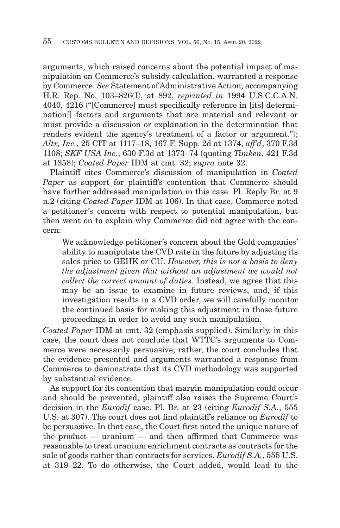arguments, which raised concerns about the potential impact of manipulation on Commerce's subsidy calculation, warranted a response by Commerce. *See* Statement of Administrative Action, accompanying H.R. Rep. No. 103–826(I), at 892, *reprinted in* 1994 U.S.C.C.A.N. 4040, 4216 ("[Commerce] must specifically reference in [its] determination[] factors and arguments that are material and relevant or must provide a discussion or explanation in the determination that renders evident the agency's treatment of a factor or argument."); *Altx, Inc.*, 25 CIT at 1117–18, 167 F. Supp. 2d at 1374, *aff'd*, 370 F.3d 1108; *SKF USA Inc.*, 630 F.3d at 1373–74 (quoting *Timken*, 421 F.3d at 1358); *Coated Paper* IDM at cmt. 32; *supra* note 32.

Plaintiff cites Commerce's discussion of manipulation in *Coated Paper* as support for plaintiff's contention that Commerce should have further addressed manipulation in this case. Pl. Reply Br. at 9 n.2 (citing *Coated Paper* IDM at 106). In that case, Commerce noted a petitioner's concern with respect to potential manipulation, but then went on to explain why Commerce did not agree with the concern:

We acknowledge petitioner's concern about the Gold companies' ability to manipulate the CVD rate in the future by adjusting its sales price to GEHK or CU. *However, this is not a basis to deny the adjustment given that without an adjustment we would not collect the correct amount of duties.* Instead, we agree that this may be an issue to examine in future reviews, and, if this investigation results in a CVD order, we will carefully monitor the continued basis for making this adjustment in those future proceedings in order to avoid any such manipulation.

*Coated Paper* IDM at cmt. 32 (emphasis supplied). Similarly, in this case, the court does not conclude that WTTC's arguments to Commerce were necessarily persuasive; rather, the court concludes that the evidence presented and arguments warranted a response from Commerce to demonstrate that its CVD methodology was supported by substantial evidence.

As support for its contention that margin manipulation could occur and should be prevented, plaintiff also raises the Supreme Court's decision in the *Eurodif* case. Pl. Br. at 23 (citing *Eurodif S.A.*, 555 U.S. at 307). The court does not find plaintiff's reliance on *Eurodif* to be persuasive. In that case, the Court first noted the unique nature of the product — uranium — and then affirmed that Commerce was reasonable to treat uranium enrichment contracts as contracts for the sale of goods rather than contracts for services. *Eurodif S.A.*, 555 U.S. at 319–22. To do otherwise, the Court added, would lead to the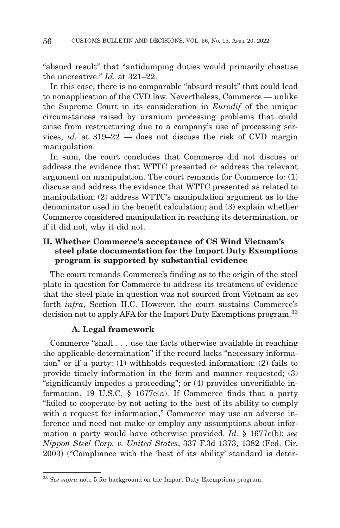"absurd result" that "antidumping duties would primarily chastise the uncreative." *Id.* at 321–22.

In this case, there is no comparable "absurd result" that could lead to nonapplication of the CVD law. Nevertheless, Commerce — unlike the Supreme Court in its consideration in *Eurodif* of the unique circumstances raised by uranium processing problems that could arise from restructuring due to a company's use of processing services, *id.* at 319–22 — does not discuss the risk of CVD margin manipulation.

In sum, the court concludes that Commerce did not discuss or address the evidence that WTTC presented or address the relevant argument on manipulation. The court remands for Commerce to: (1) discuss and address the evidence that WTTC presented as related to manipulation; (2) address WTTC's manipulation argument as to the denominator used in the benefit calculation; and (3) explain whether Commerce considered manipulation in reaching its determination, or if it did not, why it did not.

## **II. Whether Commerce's acceptance of CS Wind Vietnam's steel plate documentation for the Import Duty Exemptions program is supported by substantial evidence**

The court remands Commerce's finding as to the origin of the steel plate in question for Commerce to address its treatment of evidence that the steel plate in question was not sourced from Vietnam as set forth *infra*, Section II.C. However, the court sustains Commerce's decision not to apply AFA for the Import Duty Exemptions program.<sup>33</sup>

## **A. Legal framework**

Commerce "shall . . . use the facts otherwise available in reaching the applicable determination" if the record lacks "necessary information" or if a party: (1) withholds requested information; (2) fails to provide timely information in the form and manner requested; (3) "significantly impedes a proceeding"; or (4) provides unverifiable information. 19 U.S.C. § 1677e(a). If Commerce finds that a party "failed to cooperate by not acting to the best of its ability to comply with a request for information," Commerce may use an adverse inference and need not make or employ any assumptions about information a party would have otherwise provided. *Id.* § 1677e(b); *see Nippon Steel Corp. v. United States*, 337 F.3d 1373, 1382 (Fed. Cir. 2003) ("Compliance with the 'best of its ability' standard is deter-

<sup>&</sup>lt;sup>33</sup> See supra note 5 for background on the Import Duty Exemptions program.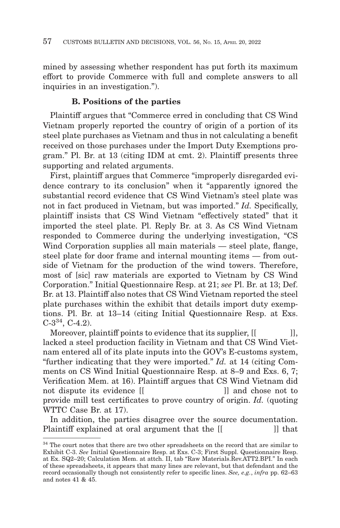mined by assessing whether respondent has put forth its maximum effort to provide Commerce with full and complete answers to all inquiries in an investigation.").

## **B. Positions of the parties**

Plaintiff argues that "Commerce erred in concluding that CS Wind Vietnam properly reported the country of origin of a portion of its steel plate purchases as Vietnam and thus in not calculating a benefit received on those purchases under the Import Duty Exemptions program." Pl. Br. at 13 (citing IDM at cmt. 2). Plaintiff presents three supporting and related arguments.

First, plaintiff argues that Commerce "improperly disregarded evidence contrary to its conclusion" when it "apparently ignored the substantial record evidence that CS Wind Vietnam's steel plate was not in fact produced in Vietnam, but was imported." *Id.* Specifically, plaintiff insists that CS Wind Vietnam "effectively stated" that it imported the steel plate. Pl. Reply Br. at 3. As CS Wind Vietnam responded to Commerce during the underlying investigation, "CS Wind Corporation supplies all main materials — steel plate, flange, steel plate for door frame and internal mounting items — from outside of Vietnam for the production of the wind towers. Therefore, most of [sic] raw materials are exported to Vietnam by CS Wind Corporation." Initial Questionnaire Resp. at 21; *see* Pl. Br. at 13; Def. Br. at 13. Plaintiff also notes that CS Wind Vietnam reported the steel plate purchases within the exhibit that details import duty exemptions. Pl. Br. at 13–14 (citing Initial Questionnaire Resp. at Exs.  $C-3^{34}$ ,  $C-4.2$ ).

Moreover, plaintiff points to evidence that its supplier, [[]], lacked a steel production facility in Vietnam and that CS Wind Vietnam entered all of its plate inputs into the GOV's E-customs system, "further indicating that they were imported." *Id.* at 14 (citing Comments on CS Wind Initial Questionnaire Resp. at 8–9 and Exs. 6, 7; Verification Mem. at 16). Plaintiff argues that CS Wind Vietnam did not dispute its evidence  $\begin{bmatrix} \end{bmatrix}$  and chose not to provide mill test certificates to prove country of origin. *Id.* (quoting WTTC Case Br. at 17).

In addition, the parties disagree over the source documentation. Plaintiff explained at oral argument that the  $\lceil \cdot \rceil$  | that

<sup>&</sup>lt;sup>34</sup> The court notes that there are two other spreadsheets on the record that are similar to Exhibit C-3. *See* Initial Questionnaire Resp. at Exs. C-3; First Suppl. Questionnaire Resp. at Ex. SQ2–20; Calculation Mem. at attch. II, tab "Raw Materials.Rev.ATT2.BPI." In each of these spreadsheets, it appears that many lines are relevant, but that defendant and the record occasionally though not consistently refer to specific lines. *See, e.g.*, *infra* pp. 62–63 and notes 41 & 45.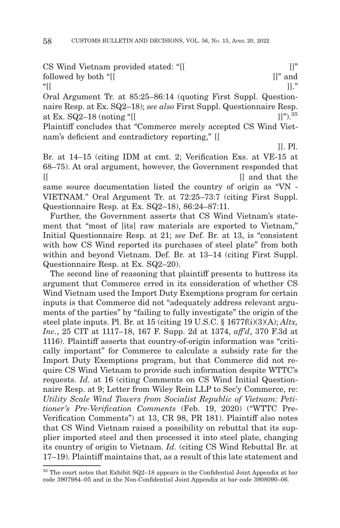CS Wind Vietnam provided stated: "[[[[]]]"

followed by both "[[]]]" and

" $\left[\left[\right]$   $\right]$ ." Oral Argument Tr. at 85:25–86:14 (quoting First Suppl. Questionnaire Resp. at Ex. SQ2–18); *see also* First Suppl. Questionnaire Resp. at Ex.  $SQ2-18$  (noting "[[]

Plaintiff concludes that "Commerce merely accepted CS Wind Vietnam's deficient and contradictory reporting," [[

 $\Box$ ]. Pl.

Br. at 14–15 (citing IDM at cmt. 2; Verification Exs. at VE-15 at 68–75). At oral argument, however, the Government responded that [[ ]] and that the

same source documentation listed the country of origin as "VN - VIETNAM." Oral Argument Tr. at 72:25–73:7 (citing First Suppl. Questionnaire Resp. at Ex. SQ2–18), 86:24–87:11.

Further, the Government asserts that CS Wind Vietnam's statement that "most of [its] raw materials are exported to Vietnam," Initial Questionnaire Resp. at 21; *see* Def. Br. at 13, is "consistent with how CS Wind reported its purchases of steel plate" from both within and beyond Vietnam. Def. Br. at 13–14 (citing First Suppl. Questionnaire Resp. at Ex. SQ2–20).

The second line of reasoning that plaintiff presents to buttress its argument that Commerce erred in its consideration of whether CS Wind Vietnam used the Import Duty Exemptions program for certain inputs is that Commerce did not "adequately address relevant arguments of the parties" by "failing to fully investigate" the origin of the steel plate inputs. Pl. Br. at 15 (citing 19 U.S.C. § 1677f(i)(3)(A); *Altx, Inc.*, 25 CIT at 1117–18, 167 F. Supp. 2d at 1374, *aff'd*, 370 F.3d at 1116). Plaintiff asserts that country-of-origin information was "critically important" for Commerce to calculate a subsidy rate for the Import Duty Exemptions program, but that Commerce did not require CS Wind Vietnam to provide such information despite WTTC's requests. *Id.* at 16 (citing Comments on CS Wind Initial Questionnaire Resp. at 9; Letter from Wiley Rein LLP to Sec'y Commerce, re: *Utility Scale Wind Towers from Socialist Republic of Vietnam: Petitioner's Pre-Verification Comments* (Feb. 19, 2020) ("WTTC Pre-Verification Comments") at 13, CR 98, PR 181). Plaintiff also notes that CS Wind Vietnam raised a possibility on rebuttal that its supplier imported steel and then processed it into steel plate, changing its country of origin to Vietnam. *Id.* (citing CS Wind Rebuttal Br. at 17–19). Plaintiff maintains that, as a result of this late statement and

 $^\mathrm{35}$  The court notes that Exhibit SQ2–18 appears in the Confidential Joint Appendix at bar code 3907984–05 and in the Non-Confidential Joint Appendix at bar code 3908090–06.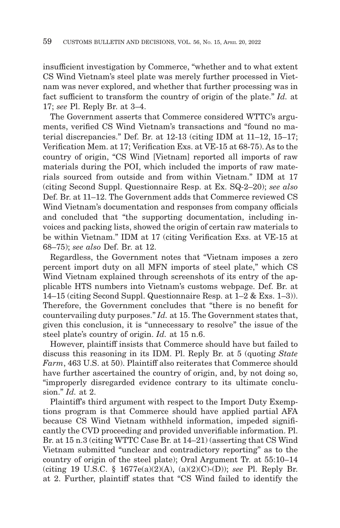insufficient investigation by Commerce, "whether and to what extent CS Wind Vietnam's steel plate was merely further processed in Vietnam was never explored, and whether that further processing was in fact sufficient to transform the country of origin of the plate." *Id.* at 17; *see* Pl. Reply Br. at 3–4.

The Government asserts that Commerce considered WTTC's arguments, verified CS Wind Vietnam's transactions and "found no material discrepancies." Def. Br. at 12-13 (citing IDM at 11–12, 15–17; Verification Mem. at 17; Verification Exs. at VE-15 at 68-75). As to the country of origin, "CS Wind [Vietnam] reported all imports of raw materials during the POI, which included the imports of raw materials sourced from outside and from within Vietnam." IDM at 17 (citing Second Suppl. Questionnaire Resp. at Ex. SQ-2–20); *see also* Def. Br. at 11–12. The Government adds that Commerce reviewed CS Wind Vietnam's documentation and responses from company officials and concluded that "the supporting documentation, including invoices and packing lists, showed the origin of certain raw materials to be within Vietnam." IDM at 17 (citing Verification Exs. at VE-15 at 68–75); *see also* Def. Br. at 12.

Regardless, the Government notes that "Vietnam imposes a zero percent import duty on all MFN imports of steel plate," which CS Wind Vietnam explained through screenshots of its entry of the applicable HTS numbers into Vietnam's customs webpage. Def. Br. at 14–15 (citing Second Suppl. Questionnaire Resp. at 1–2 & Exs. 1–3)). Therefore, the Government concludes that "there is no benefit for countervailing duty purposes." *Id.* at 15. The Government states that, given this conclusion, it is "unnecessary to resolve" the issue of the steel plate's country of origin. *Id.* at 15 n.6.

However, plaintiff insists that Commerce should have but failed to discuss this reasoning in its IDM. Pl. Reply Br. at 5 (quoting *State Farm*, 463 U.S. at 50). Plaintiff also reiterates that Commerce should have further ascertained the country of origin, and, by not doing so, "improperly disregarded evidence contrary to its ultimate conclusion." *Id.* at 2.

Plaintiff's third argument with respect to the Import Duty Exemptions program is that Commerce should have applied partial AFA because CS Wind Vietnam withheld information, impeded significantly the CVD proceeding and provided unverifiable information. Pl. Br. at 15 n.3 (citing WTTC Case Br. at 14–21) (asserting that CS Wind Vietnam submitted "unclear and contradictory reporting" as to the country of origin of the steel plate); Oral Argument Tr. at 55:10–14 (citing 19 U.S.C. § 1677e(a)(2)(A), (a)(2)(C)-(D)); *see* Pl. Reply Br. at 2. Further, plaintiff states that "CS Wind failed to identify the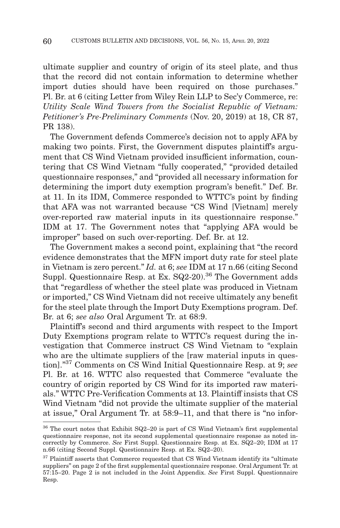ultimate supplier and country of origin of its steel plate, and thus that the record did not contain information to determine whether import duties should have been required on those purchases." Pl. Br. at 6 (citing Letter from Wiley Rein LLP to Sec'y Commerce, re: *Utility Scale Wind Towers from the Socialist Republic of Vietnam: Petitioner's Pre-Preliminary Comments* (Nov. 20, 2019) at 18, CR 87, PR 138).

The Government defends Commerce's decision not to apply AFA by making two points. First, the Government disputes plaintiff's argument that CS Wind Vietnam provided insufficient information, countering that CS Wind Vietnam "fully cooperated," "provided detailed questionnaire responses," and "provided all necessary information for determining the import duty exemption program's benefit." Def. Br. at 11. In its IDM, Commerce responded to WTTC's point by finding that AFA was not warranted because "CS Wind [Vietnam] merely over-reported raw material inputs in its questionnaire response." IDM at 17. The Government notes that "applying AFA would be improper" based on such over-reporting. Def. Br. at 12.

The Government makes a second point, explaining that "the record evidence demonstrates that the MFN import duty rate for steel plate in Vietnam is zero percent." *Id.* at 6; *see* IDM at 17 n.66 (citing Second Suppl. Questionnaire Resp. at Ex. SQ2-20).<sup>36</sup> The Government adds that "regardless of whether the steel plate was produced in Vietnam or imported," CS Wind Vietnam did not receive ultimately any benefit for the steel plate through the Import Duty Exemptions program. Def. Br. at 6; *see also* Oral Argument Tr. at 68:9.

Plaintiff's second and third arguments with respect to the Import Duty Exemptions program relate to WTTC's request during the investigation that Commerce instruct CS Wind Vietnam to "explain who are the ultimate suppliers of the [raw material inputs in question]."37 Comments on CS Wind Initial Questionnaire Resp. at 9; *see* Pl. Br. at 16. WTTC also requested that Commerce "evaluate the country of origin reported by CS Wind for its imported raw materials." WTTC Pre-Verification Comments at 13. Plaintiff insists that CS Wind Vietnam "did not provide the ultimate supplier of the material at issue," Oral Argument Tr. at 58:9–11, and that there is "no infor-

<sup>36</sup> The court notes that Exhibit SQ2–20 is part of CS Wind Vietnam's first supplemental questionnaire response, not its second supplemental questionnaire response as noted incorrectly by Commerce. *See* First Suppl. Questionnaire Resp. at Ex. SQ2–20; IDM at 17 n.66 (citing Second Suppl. Questionnaire Resp. at Ex. SQ2–20).

 $^{37}$  Plaintiff asserts that Commerce requested that CS Wind Vietnam identify its "ultimate suppliers" on page 2 of the first supplemental questionnaire response. Oral Argument Tr. at 57:15–20. Page 2 is not included in the Joint Appendix. *See* First Suppl. Questionnaire Resp.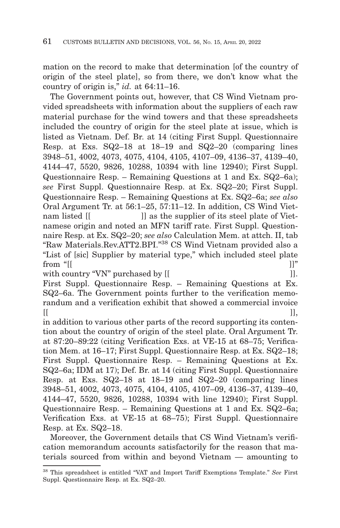mation on the record to make that determination [of the country of origin of the steel plate], so from there, we don't know what the country of origin is," *id.* at 64:11–16.

The Government points out, however, that CS Wind Vietnam provided spreadsheets with information about the suppliers of each raw material purchase for the wind towers and that these spreadsheets included the country of origin for the steel plate at issue, which is listed as Vietnam. Def. Br. at 14 (citing First Suppl. Questionnaire Resp. at Exs. SQ2–18 at 18–19 and SQ2–20 (comparing lines 3948–51, 4002, 4073, 4075, 4104, 4105, 4107–09, 4136–37, 4139–40, 4144–47, 5520, 9826, 10288, 10394 with line 12940); First Suppl. Questionnaire Resp. – Remaining Questions at 1 and Ex. SQ2–6a); *see* First Suppl. Questionnaire Resp. at Ex. SQ2–20; First Suppl. Questionnaire Resp. – Remaining Questions at Ex. SQ2–6a; *see also* Oral Argument Tr. at 56:1–25, 57:11–12. In addition, CS Wind Vietnam listed [[ ]] as the supplier of its steel plate of Vietnamese origin and noted an MFN tariff rate. First Suppl. Questionnaire Resp. at Ex. SQ2–20; *see also* Calculation Mem. at attch. II, tab "Raw Materials.Rev.ATT2.BPI."38 CS Wind Vietnam provided also a "List of [sic] Supplier by material type," which included steel plate from "[[ $\qquad \qquad$  ]]"

with country "VN" purchased by [[[[[]]].

First Suppl. Questionnaire Resp. – Remaining Questions at Ex. SQ2–6a. The Government points further to the verification memorandum and a verification exhibit that showed a commercial invoice  $[[$ 

in addition to various other parts of the record supporting its contention about the country of origin of the steel plate. Oral Argument Tr. at 87:20–89:22 (citing Verification Exs. at VE-15 at 68–75; Verification Mem. at 16–17; First Suppl. Questionnaire Resp. at Ex. SQ2–18; First Suppl. Questionnaire Resp. – Remaining Questions at Ex. SQ2–6a; IDM at 17); Def. Br. at 14 (citing First Suppl. Questionnaire Resp. at Exs. SQ2–18 at 18–19 and SQ2–20 (comparing lines 3948–51, 4002, 4073, 4075, 4104, 4105, 4107–09, 4136–37, 4139–40, 4144–47, 5520, 9826, 10288, 10394 with line 12940); First Suppl. Questionnaire Resp. – Remaining Questions at 1 and Ex. SQ2–6a; Verification Exs. at VE-15 at 68–75); First Suppl. Questionnaire Resp. at Ex. SQ2–18.

Moreover, the Government details that CS Wind Vietnam's verification memorandum accounts satisfactorily for the reason that materials sourced from within and beyond Vietnam — amounting to

<sup>38</sup> This spreadsheet is entitled "VAT and Import Tariff Exemptions Template." *See* First Suppl. Questionnaire Resp. at Ex. SQ2–20.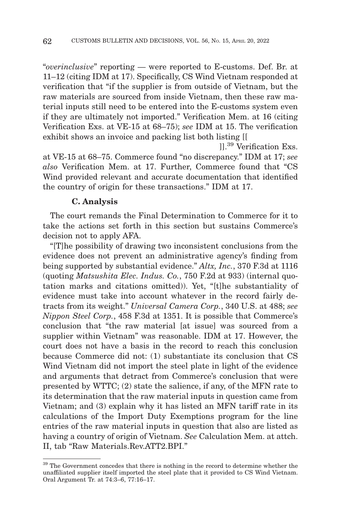"*overinclusive*" reporting — were reported to E-customs. Def. Br. at 11–12 (citing IDM at 17). Specifically, CS Wind Vietnam responded at verification that "if the supplier is from outside of Vietnam, but the raw materials are sourced from inside Vietnam, then these raw material inputs still need to be entered into the E-customs system even if they are ultimately not imported." Verification Mem. at 16 (citing Verification Exs. at VE-15 at 68–75); *see* IDM at 15. The verification exhibit shows an invoice and packing list both listing [[

 ]].39 Verification Exs. at VE-15 at 68–75. Commerce found "no discrepancy." IDM at 17; *see also* Verification Mem. at 17. Further, Commerce found that "CS Wind provided relevant and accurate documentation that identified the country of origin for these transactions." IDM at 17.

### **C. Analysis**

The court remands the Final Determination to Commerce for it to take the actions set forth in this section but sustains Commerce's decision not to apply AFA.

"[T]he possibility of drawing two inconsistent conclusions from the evidence does not prevent an administrative agency's finding from being supported by substantial evidence." *Altx, Inc.*, 370 F.3d at 1116 (quoting *Matsushita Elec. Indus. Co.*, 750 F.2d at 933) (internal quotation marks and citations omitted)). Yet, "[t]he substantiality of evidence must take into account whatever in the record fairly detracts from its weight." *Universal Camera Corp.*, 340 U.S. at 488; *see Nippon Steel Corp.*, 458 F.3d at 1351. It is possible that Commerce's conclusion that "the raw material [at issue] was sourced from a supplier within Vietnam" was reasonable. IDM at 17. However, the court does not have a basis in the record to reach this conclusion because Commerce did not: (1) substantiate its conclusion that CS Wind Vietnam did not import the steel plate in light of the evidence and arguments that detract from Commerce's conclusion that were presented by WTTC; (2) state the salience, if any, of the MFN rate to its determination that the raw material inputs in question came from Vietnam; and (3) explain why it has listed an MFN tariff rate in its calculations of the Import Duty Exemptions program for the line entries of the raw material inputs in question that also are listed as having a country of origin of Vietnam. *See* Calculation Mem. at attch. II, tab "Raw Materials.Rev.ATT2.BPI."

<sup>&</sup>lt;sup>39</sup> The Government concedes that there is nothing in the record to determine whether the unaffiliated supplier itself imported the steel plate that it provided to CS Wind Vietnam. Oral Argument Tr. at 74:3–6, 77:16–17.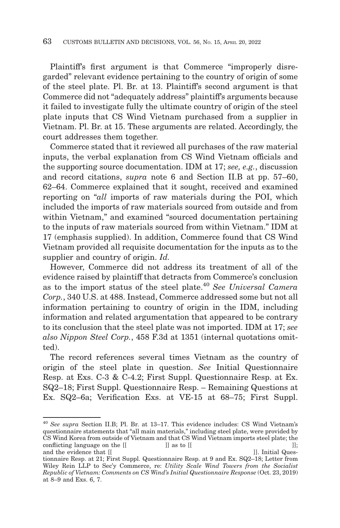Plaintiff's first argument is that Commerce "improperly disregarded" relevant evidence pertaining to the country of origin of some of the steel plate. Pl. Br. at 13. Plaintiff's second argument is that Commerce did not "adequately address" plaintiff's arguments because it failed to investigate fully the ultimate country of origin of the steel plate inputs that CS Wind Vietnam purchased from a supplier in Vietnam. Pl. Br. at 15. These arguments are related. Accordingly, the court addresses them together.

Commerce stated that it reviewed all purchases of the raw material inputs, the verbal explanation from CS Wind Vietnam officials and the supporting source documentation. IDM at 17; *see, e.g.*, discussion and record citations, *supra* note 6 and Section II.B at pp. 57–60, 62–64. Commerce explained that it sought, received and examined reporting on "*all* imports of raw materials during the POI, which included the imports of raw materials sourced from outside and from within Vietnam," and examined "sourced documentation pertaining to the inputs of raw materials sourced from within Vietnam." IDM at 17 (emphasis supplied). In addition, Commerce found that CS Wind Vietnam provided all requisite documentation for the inputs as to the supplier and country of origin. *Id.*

However, Commerce did not address its treatment of all of the evidence raised by plaintiff that detracts from Commerce's conclusion as to the import status of the steel plate.40 *See Universal Camera Corp.*, 340 U.S. at 488. Instead, Commerce addressed some but not all information pertaining to country of origin in the IDM, including information and related argumentation that appeared to be contrary to its conclusion that the steel plate was not imported. IDM at 17; *see also Nippon Steel Corp.*, 458 F.3d at 1351 (internal quotations omitted).

The record references several times Vietnam as the country of origin of the steel plate in question. *See* Initial Questionnaire Resp. at Exs. C-3 & C-4.2; First Suppl. Questionnaire Resp. at Ex. SQ2–18; First Suppl. Questionnaire Resp. – Remaining Questions at Ex. SQ2–6a; Verification Exs. at VE-15 at 68–75; First Suppl.

<sup>40</sup>*See supra* Section II.B; Pl. Br. at 13–17. This evidence includes: CS Wind Vietnam's questionnaire statements that "all main materials," including steel plate, were provided by CS Wind Korea from outside of Vietnam and that CS Wind Vietnam imports steel plate; the conflicting language on the [[ ]] as to [[]]; and the evidence that II

tionnaire Resp. at 21; First Suppl. Questionnaire Resp. at 9 and Ex. SQ2–18; Letter from Wiley Rein LLP to Sec'y Commerce, re: *Utility Scale Wind Towers from the Socialist Republic of Vietnam: Comments on CS Wind's Initial Questionnaire Response* (Oct. 23, 2019) at 8–9 and Exs. 6, 7.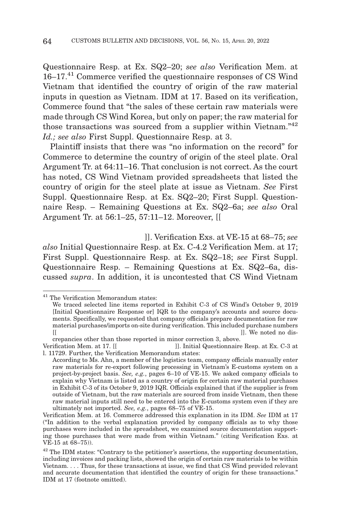Questionnaire Resp. at Ex. SQ2–20; *see also* Verification Mem. at  $16-17<sup>41</sup>$  Commerce verified the questionnaire responses of CS Wind Vietnam that identified the country of origin of the raw material inputs in question as Vietnam. IDM at 17. Based on its verification, Commerce found that "the sales of these certain raw materials were made through CS Wind Korea, but only on paper; the raw material for those transactions was sourced from a supplier within Vietnam."42 *Id.; see also* First Suppl. Questionnaire Resp. at 3.

Plaintiff insists that there was "no information on the record" for Commerce to determine the country of origin of the steel plate. Oral Argument Tr. at 64:11–16. That conclusion is not correct. As the court has noted, CS Wind Vietnam provided spreadsheets that listed the country of origin for the steel plate at issue as Vietnam. *See* First Suppl. Questionnaire Resp. at Ex. SQ2–20; First Suppl. Questionnaire Resp. – Remaining Questions at Ex. SQ2–6a; *see also* Oral Argument Tr. at 56:1–25, 57:11–12. Moreover, [[

]]. Verification Exs. at VE-15 at 68–75; *see*

*also* Initial Questionnaire Resp. at Ex. C-4.2 Verification Mem. at 17; First Suppl. Questionnaire Resp. at Ex. SQ2–18; *see* First Suppl. Questionnaire Resp. – Remaining Questions at Ex. SQ2–6a, discussed *supra*. In addition, it is uncontested that CS Wind Vietnam

<sup>41</sup> The Verification Memorandum states:

We traced selected line items reported in Exhibit C-3 of CS Wind's October 9, 2019 [Initial Questionnaire Response or] IQR to the company's accounts and source documents. Specifically, we requested that company officials prepare documentation for raw material purchases/imports on-site during verification. This included purchase numbers [[ ]]. We noted no dis-

crepancies other than those reported in minor correction 3, above. Verification Mem. at 17. [[ ]]. Initial Questionnaire Resp. at Ex. C-3 at l. 11729. Further, the Verification Memorandum states:

According to Ms. Ahn, a member of the logistics team, company officials manually enter raw materials for re-export following processing in Vietnam's E-customs system on a project-by-project basis. *See, e.g.*, pages 6–10 of VE-15. We asked company officials to explain why Vietnam is listed as a country of origin for certain raw material purchases in Exhibit C-3 of its October 9, 2019 IQR. Officials explained that if the supplier is from outside of Vietnam, but the raw materials are sourced from inside Vietnam, then these raw material inputs still need to be entered into the E-customs system even if they are ultimately not imported. *See, e.g.*, pages 68–75 of VE-15.

Verification Mem. at 16. Commerce addressed this explanation in its IDM. *See* IDM at 17 ("In addition to the verbal explanation provided by company officials as to why those purchases were included in the spreadsheet, we examined source documentation supporting those purchases that were made from within Vietnam." (citing Verification Exs. at VE-15 at 68–75)).

<sup>&</sup>lt;sup>42</sup> The IDM states: "Contrary to the petitioner's assertions, the supporting documentation, including invoices and packing lists, showed the origin of certain raw materials to be within Vietnam. . . . Thus, for these transactions at issue, we find that CS Wind provided relevant and accurate documentation that identified the country of origin for these transactions." IDM at 17 (footnote omitted).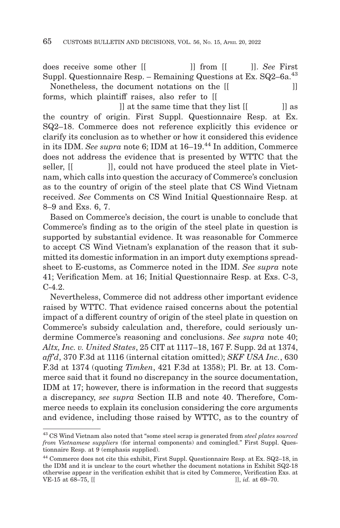does receive some other [[ ]] from [[ ]]. See First Suppl. Questionnaire Resp. – Remaining Questions at Ex. SQ2–6a.<sup>43</sup> Nonetheless, the document notations on the [[[[[[]]]] forms, which plaintiff raises, also refer to [[

]] at the same time that they list [[]] as the country of origin. First Suppl. Questionnaire Resp. at Ex. SQ2–18. Commerce does not reference explicitly this evidence or clarify its conclusion as to whether or how it considered this evidence in its IDM. *See supra* note 6; IDM at  $16-19$ .<sup>44</sup> In addition, Commerce does not address the evidence that is presented by WTTC that the seller,  $\begin{bmatrix} \cdot & \cdot & \cdot \\ \cdot & \cdot & \cdot \\ \cdot & \cdot & \cdot \end{bmatrix}$ , could not have produced the steel plate in Vietnam, which calls into question the accuracy of Commerce's conclusion as to the country of origin of the steel plate that CS Wind Vietnam received. *See* Comments on CS Wind Initial Questionnaire Resp. at 8–9 and Exs. 6, 7.

Based on Commerce's decision, the court is unable to conclude that Commerce's finding as to the origin of the steel plate in question is supported by substantial evidence. It was reasonable for Commerce to accept CS Wind Vietnam's explanation of the reason that it submitted its domestic information in an import duty exemptions spreadsheet to E-customs, as Commerce noted in the IDM. *See supra* note 41; Verification Mem. at 16; Initial Questionnaire Resp. at Exs. C-3,  $C-4.2.$ 

Nevertheless, Commerce did not address other important evidence raised by WTTC. That evidence raised concerns about the potential impact of a different country of origin of the steel plate in question on Commerce's subsidy calculation and, therefore, could seriously undermine Commerce's reasoning and conclusions. *See supra* note 40; *Altx, Inc. v. United States*, 25 CIT at 1117–18, 167 F. Supp. 2d at 1374, *aff'd*, 370 F.3d at 1116 (internal citation omitted); *SKF USA Inc.*, 630 F.3d at 1374 (quoting *Timken*, 421 F.3d at 1358); Pl. Br. at 13. Commerce said that it found no discrepancy in the source documentation, IDM at 17; however, there is information in the record that suggests a discrepancy, *see supra* Section II.B and note 40. Therefore, Commerce needs to explain its conclusion considering the core arguments and evidence, including those raised by WTTC, as to the country of

<sup>43</sup> CS Wind Vietnam also noted that "some steel scrap is generated from *steel plates sourced from Vietnamese suppliers* (for internal components) and comingled." First Suppl. Questionnaire Resp. at  $9$  (emphasis supplied).

<sup>44</sup> Commerce does not cite this exhibit, First Suppl. Questionnaire Resp. at Ex. SQ2–18, in the IDM and it is unclear to the court whether the document notations in Exhibit SQ2-18 otherwise appear in the verification exhibit that is cited by Commerce, Verification Exs. at VE-15 at 68–75, [[]], *id.* at 69–70.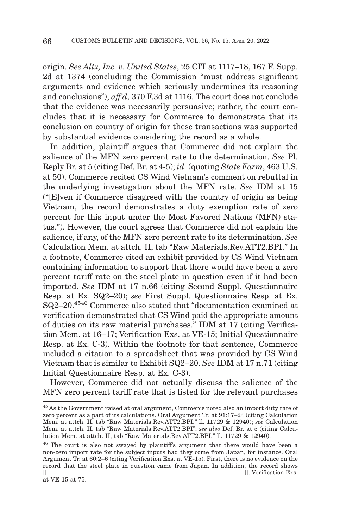origin. *See Altx, Inc. v. United States*, 25 CIT at 1117–18, 167 F. Supp. 2d at 1374 (concluding the Commission "must address significant arguments and evidence which seriously undermines its reasoning and conclusions"), *aff'd*, 370 F.3d at 1116. The court does not conclude that the evidence was necessarily persuasive; rather, the court concludes that it is necessary for Commerce to demonstrate that its conclusion on country of origin for these transactions was supported by substantial evidence considering the record as a whole.

In addition, plaintiff argues that Commerce did not explain the salience of the MFN zero percent rate to the determination. *See* Pl. Reply Br. at 5 (citing Def. Br. at 4-5); *id.* (quoting *State Farm*, 463 U.S. at 50). Commerce recited CS Wind Vietnam's comment on rebuttal in the underlying investigation about the MFN rate. *See* IDM at 15 ("[E]ven if Commerce disagreed with the country of origin as being Vietnam, the record demonstrates a duty exemption rate of zero percent for this input under the Most Favored Nations (MFN) status."). However, the court agrees that Commerce did not explain the salience, if any, of the MFN zero percent rate to its determination. *See* Calculation Mem. at attch. II, tab "Raw Materials.Rev.ATT2.BPI." In a footnote, Commerce cited an exhibit provided by CS Wind Vietnam containing information to support that there would have been a zero percent tariff rate on the steel plate in question even if it had been imported. *See* IDM at 17 n.66 (citing Second Suppl. Questionnaire Resp. at Ex. SQ2–20); *see* First Suppl. Questionnaire Resp. at Ex. SQ2–20.4546 Commerce also stated that "documentation examined at verification demonstrated that CS Wind paid the appropriate amount of duties on its raw material purchases." IDM at 17 (citing Verification Mem. at 16–17; Verification Exs. at VE-15; Initial Questionnaire Resp. at Ex. C-3). Within the footnote for that sentence, Commerce included a citation to a spreadsheet that was provided by CS Wind Vietnam that is similar to Exhibit SQ2–20. *See* IDM at 17 n.71 (citing Initial Questionnaire Resp. at Ex. C-3).

However, Commerce did not actually discuss the salience of the MFN zero percent tariff rate that is listed for the relevant purchases

<sup>45</sup> As the Government raised at oral argument, Commerce noted also an import duty rate of zero percent as a part of its calculations. Oral Argument Tr. at 91:17–24 (citing Calculation Mem. at attch. II, tab "Raw Materials.Rev.ATT2.BPI," ll. 11729 & 12940); *see* Calculation Mem. at attch. II, tab "Raw Materials.Rev.ATT2.BPI"; *see also* Def. Br. at 5 (citing Calculation Mem. at attch. II, tab "Raw Materials.Rev.ATT2.BPI," ll. 11729 & 12940).

<sup>&</sup>lt;sup>46</sup> The court is also not swayed by plaintiff's argument that there would have been a non-zero import rate for the subject inputs had they come from Japan, for instance. Oral Argument Tr. at 60:2–6 (citing Verification Exs. at VE-15). First, there is no evidence on the record that the steel plate in question came from Japan. In addition, the record shows [[ ]]. Verification Exs.

at VE-15 at 75.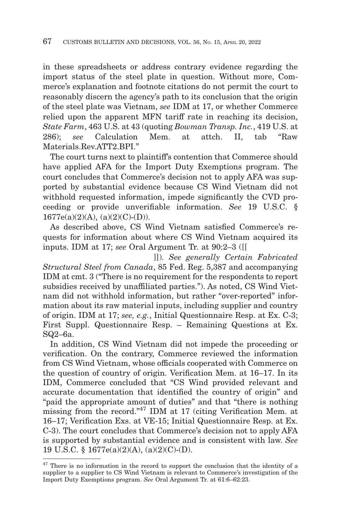in these spreadsheets or address contrary evidence regarding the import status of the steel plate in question. Without more, Commerce's explanation and footnote citations do not permit the court to reasonably discern the agency's path to its conclusion that the origin of the steel plate was Vietnam, *see* IDM at 17, or whether Commerce relied upon the apparent MFN tariff rate in reaching its decision, *State Farm*, 463 U.S. at 43 (quoting *Bowman Transp. Inc.*, 419 U.S. at 286); *see* Calculation Mem. at attch. II, tab "Raw Materials.Rev.ATT2.BPI<sup>"</sup>

The court turns next to plaintiff's contention that Commerce should have applied AFA for the Import Duty Exemptions program. The court concludes that Commerce's decision not to apply AFA was supported by substantial evidence because CS Wind Vietnam did not withhold requested information, impede significantly the CVD proceeding or provide unverifiable information. *See* 19 U.S.C. §  $1677e(a)(2)(A), (a)(2)(C)-(D)).$ 

As described above, CS Wind Vietnam satisfied Commerce's requests for information about where CS Wind Vietnam acquired its inputs. IDM at 17; *see* Oral Argument Tr. at 90:2–3 ([[

 ]]). *See generally Certain Fabricated Structural Steel from Canada*, 85 Fed. Reg. 5,387 and accompanying IDM at cmt. 3 ("There is no requirement for the respondents to report subsidies received by unaffiliated parties."). As noted, CS Wind Vietnam did not withhold information, but rather "over-reported" information about its raw material inputs, including supplier and country of origin. IDM at 17; *see, e.g.*, Initial Questionnaire Resp. at Ex. C-3; First Suppl. Questionnaire Resp. – Remaining Questions at Ex. SQ2–6a.

In addition, CS Wind Vietnam did not impede the proceeding or verification. On the contrary, Commerce reviewed the information from CS Wind Vietnam, whose officials cooperated with Commerce on the question of country of origin. Verification Mem. at 16–17. In its IDM, Commerce concluded that "CS Wind provided relevant and accurate documentation that identified the country of origin" and "paid the appropriate amount of duties" and that "there is nothing missing from the record."47 IDM at 17 (citing Verification Mem. at 16–17; Verification Exs. at VE-15; Initial Questionnaire Resp. at Ex. C-3). The court concludes that Commerce's decision not to apply AFA is supported by substantial evidence and is consistent with law. *See* 19 U.S.C. § 1677e(a)(2)(A), (a)(2)(C)-(D).

 $47$  There is no information in the record to support the conclusion that the identity of a supplier to a supplier to CS Wind Vietnam is relevant to Commerce's investigation of the Import Duty Exemptions program. *See* Oral Argument Tr. at 61:6–62:23.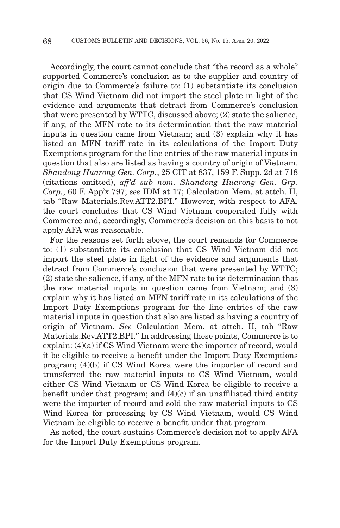Accordingly, the court cannot conclude that "the record as a whole" supported Commerce's conclusion as to the supplier and country of origin due to Commerce's failure to: (1) substantiate its conclusion that CS Wind Vietnam did not import the steel plate in light of the evidence and arguments that detract from Commerce's conclusion that were presented by WTTC, discussed above; (2) state the salience, if any, of the MFN rate to its determination that the raw material inputs in question came from Vietnam; and (3) explain why it has listed an MFN tariff rate in its calculations of the Import Duty Exemptions program for the line entries of the raw material inputs in question that also are listed as having a country of origin of Vietnam. *Shandong Huarong Gen. Corp.*, 25 CIT at 837, 159 F. Supp. 2d at 718 (citations omitted), *aff'd sub nom. Shandong Huarong Gen. Grp. Corp.*, 60 F. App'x 797; *see* IDM at 17; Calculation Mem. at attch. II, tab "Raw Materials.Rev.ATT2.BPI." However, with respect to AFA, the court concludes that CS Wind Vietnam cooperated fully with Commerce and, accordingly, Commerce's decision on this basis to not apply AFA was reasonable.

For the reasons set forth above, the court remands for Commerce to: (1) substantiate its conclusion that CS Wind Vietnam did not import the steel plate in light of the evidence and arguments that detract from Commerce's conclusion that were presented by WTTC; (2) state the salience, if any, of the MFN rate to its determination that the raw material inputs in question came from Vietnam; and (3) explain why it has listed an MFN tariff rate in its calculations of the Import Duty Exemptions program for the line entries of the raw material inputs in question that also are listed as having a country of origin of Vietnam. *See* Calculation Mem. at attch. II, tab "Raw Materials.Rev.ATT2.BPI." In addressing these points, Commerce is to explain: (4)(a) if CS Wind Vietnam were the importer of record, would it be eligible to receive a benefit under the Import Duty Exemptions program; (4)(b) if CS Wind Korea were the importer of record and transferred the raw material inputs to CS Wind Vietnam, would either CS Wind Vietnam or CS Wind Korea be eligible to receive a benefit under that program; and  $(4)(c)$  if an unaffiliated third entity were the importer of record and sold the raw material inputs to CS Wind Korea for processing by CS Wind Vietnam, would CS Wind Vietnam be eligible to receive a benefit under that program.

As noted, the court sustains Commerce's decision not to apply AFA for the Import Duty Exemptions program.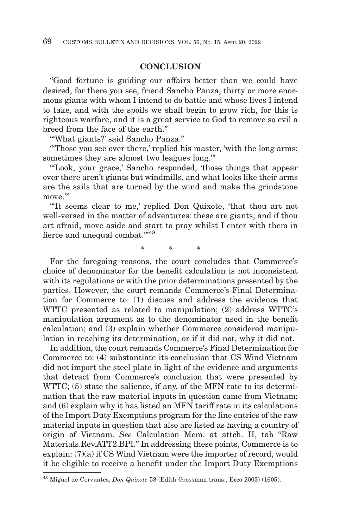#### **CONCLUSION**

"Good fortune is guiding our affairs better than we could have desired, for there you see, friend Sancho Panza, thirty or more enormous giants with whom I intend to do battle and whose lives I intend to take, and with the spoils we shall begin to grow rich, for this is righteous warfare, and it is a great service to God to remove so evil a breed from the face of the earth."

"'What giants?' said Sancho Panza."

"Those you see over there,' replied his master, 'with the long arms; sometimes they are almost two leagues long.'"

"'Look, your grace,' Sancho responded, 'those things that appear over there aren't giants but windmills, and what looks like their arms are the sails that are turned by the wind and make the grindstone move.'"

"'It seems clear to me,' replied Don Quixote, 'that thou art not well-versed in the matter of adventures: these are giants; and if thou art afraid, move aside and start to pray whilst I enter with them in fierce and unequal combat.'"48

\*\* \*

For the foregoing reasons, the court concludes that Commerce's choice of denominator for the benefit calculation is not inconsistent with its regulations or with the prior determinations presented by the parties. However, the court remands Commerce's Final Determination for Commerce to: (1) discuss and address the evidence that WTTC presented as related to manipulation; (2) address WTTC's manipulation argument as to the denominator used in the benefit calculation; and (3) explain whether Commerce considered manipulation in reaching its determination, or if it did not, why it did not.

In addition, the court remands Commerce's Final Determination for Commerce to: (4) substantiate its conclusion that CS Wind Vietnam did not import the steel plate in light of the evidence and arguments that detract from Commerce's conclusion that were presented by WTTC; (5) state the salience, if any, of the MFN rate to its determination that the raw material inputs in question came from Vietnam; and (6) explain why it has listed an MFN tariff rate in its calculations of the Import Duty Exemptions program for the line entries of the raw material inputs in question that also are listed as having a country of origin of Vietnam. *See* Calculation Mem. at attch. II, tab "Raw Materials.Rev.ATT2.BPI." In addressing these points, Commerce is to explain: (7)(a) if CS Wind Vietnam were the importer of record, would it be eligible to receive a benefit under the Import Duty Exemptions

<sup>48</sup> Miguel de Cervantes, *Don Quixote* 58 (Edith Grossman trans., Ecco 2003) (1605).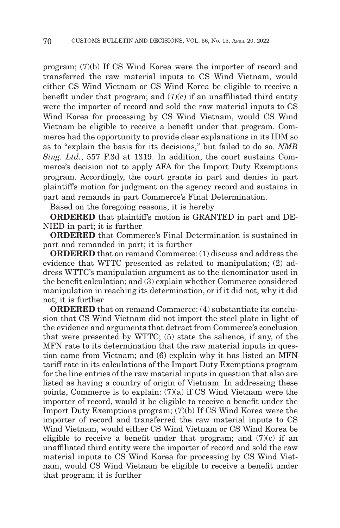program; (7)(b) If CS Wind Korea were the importer of record and transferred the raw material inputs to CS Wind Vietnam, would either CS Wind Vietnam or CS Wind Korea be eligible to receive a benefit under that program; and  $(7)(c)$  if an unaffiliated third entity were the importer of record and sold the raw material inputs to CS Wind Korea for processing by CS Wind Vietnam, would CS Wind Vietnam be eligible to receive a benefit under that program. Commerce had the opportunity to provide clear explanations in its IDM so as to "explain the basis for its decisions," but failed to do so. *NMB Sing. Ltd.*, 557 F.3d at 1319. In addition, the court sustains Commerce's decision not to apply AFA for the Import Duty Exemptions program. Accordingly, the court grants in part and denies in part plaintiff's motion for judgment on the agency record and sustains in part and remands in part Commerce's Final Determination.

Based on the foregoing reasons, it is hereby

**ORDERED** that plaintiff's motion is GRANTED in part and DE-NIED in part; it is further

**ORDERED** that Commerce's Final Determination is sustained in part and remanded in part; it is further

**ORDERED** that on remand Commerce: (1) discuss and address the evidence that WTTC presented as related to manipulation; (2) address WTTC's manipulation argument as to the denominator used in the benefit calculation; and (3) explain whether Commerce considered manipulation in reaching its determination, or if it did not, why it did not; it is further

**ORDERED** that on remand Commerce: (4) substantiate its conclusion that CS Wind Vietnam did not import the steel plate in light of the evidence and arguments that detract from Commerce's conclusion that were presented by WTTC; (5) state the salience, if any, of the MFN rate to its determination that the raw material inputs in question came from Vietnam; and (6) explain why it has listed an MFN tariff rate in its calculations of the Import Duty Exemptions program for the line entries of the raw material inputs in question that also are listed as having a country of origin of Vietnam. In addressing these points, Commerce is to explain: (7)(a) if CS Wind Vietnam were the importer of record, would it be eligible to receive a benefit under the Import Duty Exemptions program; (7)(b) If CS Wind Korea were the importer of record and transferred the raw material inputs to CS Wind Vietnam, would either CS Wind Vietnam or CS Wind Korea be eligible to receive a benefit under that program; and  $(7)(c)$  if an unaffiliated third entity were the importer of record and sold the raw material inputs to CS Wind Korea for processing by CS Wind Vietnam, would CS Wind Vietnam be eligible to receive a benefit under that program; it is further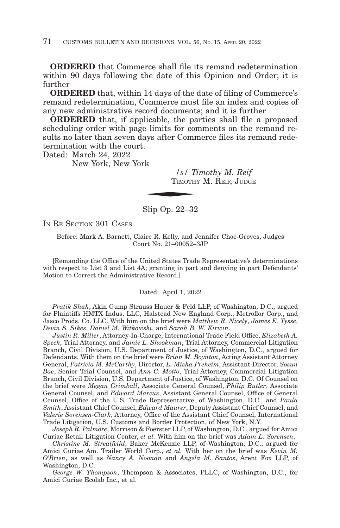**ORDERED** that Commerce shall file its remand redetermination within 90 days following the date of this Opinion and Order; it is further

**ORDERED** that, within 14 days of the date of filing of Commerce's remand redetermination, Commerce must file an index and copies of any new administrative record documents; and it is further

**ORDERED** that, if applicable, the parties shall file a proposed scheduling order with page limits for comments on the remand results no later than seven days after Commerce files its remand redetermination with the court. Arrived the USA Company of the USA Company of the Company of the Company of the Company of the Company of the Company of the Company of the Company of the Company of the Company of the Company of the Company of the Company

Dated: March 24, 2022

New York, New York

*/s/ Timothy M. Reif* TIMOTHY M. REIF, JUDGE

Slip Op. 22–32

IN RE SECTION 301 CASES

Before: Mark A. Barnett, Claire R. Kelly, and Jennifer Choe-Groves, Judges Court No. 21–00052–3JP

[Remanding the Office of the United States Trade Representative's determinations with respect to List 3 and List 4A; granting in part and denying in part Defendants' Motion to Correct the Administrative Record.]

#### Dated: April 1, 2022

*Pratik Shah*, Akin Gump Strauss Hauer & Feld LLP, of Washington, D.C., argued for Plaintiffs HMTX Indus. LLC, Halstead New England Corp., Metroflor Corp., and Jasco Prods. Co. LLC. With him on the brief were *Matthew R. Nicely*, *James E. Tysse*, *Devin S. Sikes*, *Daniel M. Witkowski*, and *Sarah B. W. Kirwin*.

*Justin R. Miller*, Attorney-In-Charge, International Trade Field Office, *Elizabeth A. Speck*, Trial Attorney, and *Jamie L. Shookman*, Trial Attorney, Commercial Litigation Branch, Civil Division, U.S. Department of Justice, of Washington, D.C., argued for Defendants. With them on the brief were *Brian M. Boynton*, Acting Assistant Attorney General, *Patricia M. McCarthy*, Director, *L. Misha Preheim*, Assistant Director, *Sosun Bae*, Senior Trial Counsel, and *Ann C. Motto*, Trial Attorney, Commercial Litigation Branch, Civil Division, U.S. Department of Justice, of Washington, D.C. Of Counsel on the brief were *Megan Grimball*, Associate General Counsel, *Philip Butler*, Associate General Counsel, and *Edward Marcus*, Assistant General Counsel, Office of General Counsel, Office of the U.S. Trade Representative, of Washington, D.C., and *Paula Smith*, Assistant Chief Counsel, *Edward Maurer*, Deputy Assistant Chief Counsel, and *Valerie Sorensen-Clark*, Attorney, Office of the Assistant Chief Counsel, International Trade Litigation, U.S. Customs and Border Protection, of New York, N.Y.

*Joseph R. Palmore*, Morrison & Foerster LLP, of Washington, D.C., argued for Amici Curiae Retail Litigation Center, *et al.* With him on the brief was *Adam L. Sorensen*.

*Christine M. Streatfeild*, Baker McKenzie LLP, of Washington, D.C., argued for Amici Curiae Am. Trailer World Corp., *et al.* With her on the brief was *Kevin M. O'Brien*, as well as *Nancy A. Noonan* and *Angela M. Santos*, Arent Fox LLP, of Washington, D.C.

*George W. Thompson*, Thompson & Associates, PLLC, of Washington, D.C., for Amici Curiae Ecolab Inc., et al.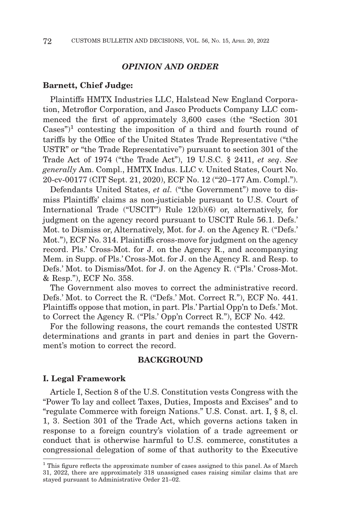### *OPINION AND ORDER*

#### **Barnett, Chief Judge:**

Plaintiffs HMTX Industries LLC, Halstead New England Corporation, Metroflor Corporation, and Jasco Products Company LLC commenced the first of approximately 3,600 cases (the "Section 301  $\text{Cases}^{\prime\prime}$  contesting the imposition of a third and fourth round of tariffs by the Office of the United States Trade Representative ("the USTR" or "the Trade Representative") pursuant to section 301 of the Trade Act of 1974 ("the Trade Act"), 19 U.S.C. § 2411, *et seq*. *See generally* Am. Compl., HMTX Indus. LLC v. United States, Court No. 20-cv-00177 (CIT Sept. 21, 2020), ECF No. 12 ("20–177 Am. Compl.").

Defendants United States, *et al.* ("the Government") move to dismiss Plaintiffs' claims as non-justiciable pursuant to U.S. Court of International Trade ("USCIT") Rule 12(b)(6) or, alternatively, for judgment on the agency record pursuant to USCIT Rule 56.1. Defs.' Mot. to Dismiss or, Alternatively, Mot. for J. on the Agency R. ("Defs.' Mot."), ECF No. 314. Plaintiffs cross-move for judgment on the agency record. Pls.' Cross-Mot. for J. on the Agency R., and accompanying Mem. in Supp. of Pls.' Cross-Mot. for J. on the Agency R. and Resp. to Defs.' Mot. to Dismiss/Mot. for J. on the Agency R. ("Pls.' Cross-Mot. & Resp."), ECF No. 358.

The Government also moves to correct the administrative record. Defs.' Mot. to Correct the R. ("Defs.' Mot. Correct R."), ECF No. 441. Plaintiffs oppose that motion, in part. Pls.' Partial Opp'n to Defs.' Mot. to Correct the Agency R. ("Pls.' Opp'n Correct R."), ECF No. 442.

For the following reasons, the court remands the contested USTR determinations and grants in part and denies in part the Government's motion to correct the record.

## **BACKGROUND**

#### **I. Legal Framework**

Article I, Section 8 of the U.S. Constitution vests Congress with the "Power To lay and collect Taxes, Duties, Imposts and Excises" and to "regulate Commerce with foreign Nations." U.S. Const. art. I, § 8, cl. 1, 3. Section 301 of the Trade Act, which governs actions taken in response to a foreign country's violation of a trade agreement or conduct that is otherwise harmful to U.S. commerce, constitutes a congressional delegation of some of that authority to the Executive

<sup>&</sup>lt;sup>1</sup> This figure reflects the approximate number of cases assigned to this panel. As of March 31, 2022, there are approximately 318 unassigned cases raising similar claims that are stayed pursuant to Administrative Order 21–02.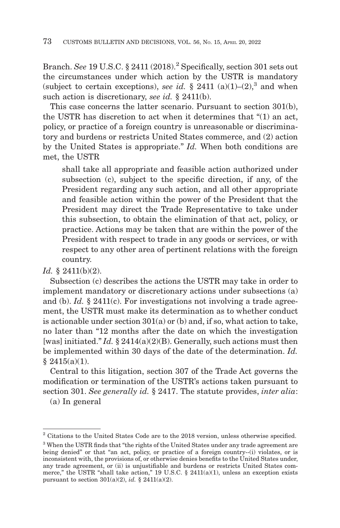Branch. *See* 19 U.S.C. § 2411 (2018).2 Specifically, section 301 sets out the circumstances under which action by the USTR is mandatory (subject to certain exceptions), *see id.*  $\frac{8}{3}$  2411 (a)(1)–(2),<sup>3</sup> and when such action is discretionary, *see id.* § 2411(b).

This case concerns the latter scenario. Pursuant to section 301(b), the USTR has discretion to act when it determines that "(1) an act, policy, or practice of a foreign country is unreasonable or discriminatory and burdens or restricts United States commerce, and (2) action by the United States is appropriate." *Id.* When both conditions are met, the USTR

shall take all appropriate and feasible action authorized under subsection (c), subject to the specific direction, if any, of the President regarding any such action, and all other appropriate and feasible action within the power of the President that the President may direct the Trade Representative to take under this subsection, to obtain the elimination of that act, policy, or practice. Actions may be taken that are within the power of the President with respect to trade in any goods or services, or with respect to any other area of pertinent relations with the foreign country.

*Id.* § 2411(b)(2).

Subsection (c) describes the actions the USTR may take in order to implement mandatory or discretionary actions under subsections (a) and (b). *Id.* § 2411(c). For investigations not involving a trade agreement, the USTR must make its determination as to whether conduct is actionable under section  $301(a)$  or (b) and, if so, what action to take, no later than "12 months after the date on which the investigation [was] initiated." *Id.* § 2414(a)(2)(B). Generally, such actions must then be implemented within 30 days of the date of the determination. *Id.*  $$2415(a)(1).$ 

Central to this litigation, section 307 of the Trade Act governs the modification or termination of the USTR's actions taken pursuant to section 301. *See generally id.* § 2417. The statute provides, *inter alia*:

(a) In general

<sup>2</sup> Citations to the United States Code are to the 2018 version, unless otherwise specified.

<sup>3</sup> When the USTR finds that "the rights of the United States under any trade agreement are being denied" or that "an act, policy, or practice of a foreign country--(i) violates, or is inconsistent with, the provisions of, or otherwise denies benefits to the United States under, any trade agreement, or (ii) is unjustifiable and burdens or restricts United States commerce," the USTR "shall take action," 19 U.S.C.  $\S$  2411(a)(1), unless an exception exists pursuant to section 301(a)(2), *id.* § 2411(a)(2).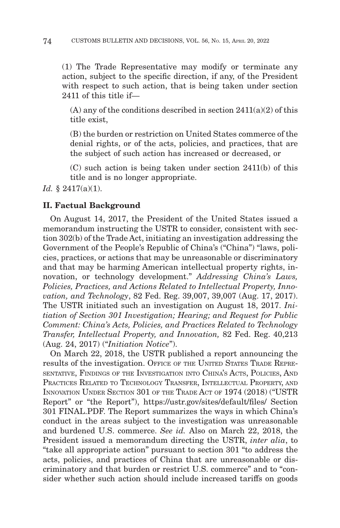(1) The Trade Representative may modify or terminate any action, subject to the specific direction, if any, of the President with respect to such action, that is being taken under section 2411 of this title if—

 $(A)$  any of the conditions described in section  $2411(a)(2)$  of this title exist,

(B) the burden or restriction on United States commerce of the denial rights, or of the acts, policies, and practices, that are the subject of such action has increased or decreased, or

(C) such action is being taken under section 2411(b) of this title and is no longer appropriate.

*Id.* § 2417(a)(1).

#### **II. Factual Background**

On August 14, 2017, the President of the United States issued a memorandum instructing the USTR to consider, consistent with section 302(b) of the Trade Act, initiating an investigation addressing the Government of the People's Republic of China's ("China") "laws, policies, practices, or actions that may be unreasonable or discriminatory and that may be harming American intellectual property rights, innovation, or technology development." *Addressing China's Laws, Policies, Practices, and Actions Related to Intellectual Property, Innovation, and Technology*, 82 Fed. Reg. 39,007, 39,007 (Aug. 17, 2017). The USTR initiated such an investigation on August 18, 2017. *Initiation of Section 301 Investigation; Hearing; and Request for Public Comment: China's Acts, Policies, and Practices Related to Technology Transfer, Intellectual Property, and Innovation,* 82 Fed. Reg. 40,213 (Aug. 24, 2017) ("*Initiation Notice*").

On March 22, 2018, the USTR published a report announcing the results of the investigation. OFFICE OF THE UNITED STATES TRADE REPRE-SENTATIVE, FINDINGS OF THE INVESTIGATION INTO CHINA'S ACTS, POLICIES, AND PRACTICES RELATED TO TECHNOLOGY TRANSFER, INTELLECTUAL PROPERTY, AND INNOVATION UNDER SECTION 301 OF THE TRADE ACT OF 1974 (2018) ("USTR Report" or "the Report"), https://ustr.gov/sites/default/files/ Section 301 FINAL.PDF. The Report summarizes the ways in which China's conduct in the areas subject to the investigation was unreasonable and burdened U.S. commerce. *See id.* Also on March 22, 2018, the President issued a memorandum directing the USTR, *inter alia*, to "take all appropriate action" pursuant to section 301 "to address the acts, policies, and practices of China that are unreasonable or discriminatory and that burden or restrict U.S. commerce" and to "consider whether such action should include increased tariffs on goods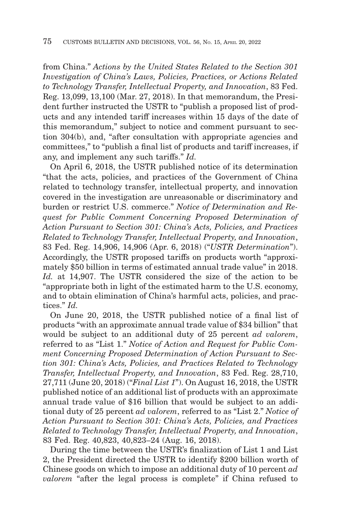from China." *Actions by the United States Related to the Section 301 Investigation of China's Laws, Policies, Practices, or Actions Related to Technology Transfer, Intellectual Property, and Innovation*, 83 Fed. Reg. 13,099, 13,100 (Mar. 27, 2018). In that memorandum, the President further instructed the USTR to "publish a proposed list of products and any intended tariff increases within 15 days of the date of this memorandum," subject to notice and comment pursuant to section 304(b), and, "after consultation with appropriate agencies and committees," to "publish a final list of products and tariff increases, if any, and implement any such tariffs." *Id.*

On April 6, 2018, the USTR published notice of its determination "that the acts, policies, and practices of the Government of China related to technology transfer, intellectual property, and innovation covered in the investigation are unreasonable or discriminatory and burden or restrict U.S. commerce." *Notice of Determination and Request for Public Comment Concerning Proposed Determination of Action Pursuant to Section 301: China's Acts, Policies, and Practices Related to Technology Transfer, Intellectual Property, and Innovation*, 83 Fed. Reg. 14,906, 14,906 (Apr. 6, 2018) ("*USTR Determination*"). Accordingly, the USTR proposed tariffs on products worth "approximately \$50 billion in terms of estimated annual trade value" in 2018. *Id.* at 14,907. The USTR considered the size of the action to be "appropriate both in light of the estimated harm to the U.S. economy, and to obtain elimination of China's harmful acts, policies, and practices." *Id.*

On June 20, 2018, the USTR published notice of a final list of products "with an approximate annual trade value of \$34 billion" that would be subject to an additional duty of 25 percent *ad valorem*, referred to as "List 1." *Notice of Action and Request for Public Comment Concerning Proposed Determination of Action Pursuant to Section 301: China's Acts, Policies, and Practices Related to Technology Transfer, Intellectual Property, and Innovation*, 83 Fed. Reg. 28,710, 27,711 (June 20, 2018) ("*Final List 1*"). On August 16, 2018, the USTR published notice of an additional list of products with an approximate annual trade value of \$16 billion that would be subject to an additional duty of 25 percent *ad valorem*, referred to as "List 2." *Notice of Action Pursuant to Section 301: China's Acts, Policies, and Practices Related to Technology Transfer, Intellectual Property, and Innovation*, 83 Fed. Reg. 40,823, 40,823–24 (Aug. 16, 2018).

During the time between the USTR's finalization of List 1 and List 2, the President directed the USTR to identify \$200 billion worth of Chinese goods on which to impose an additional duty of 10 percent *ad valorem* "after the legal process is complete" if China refused to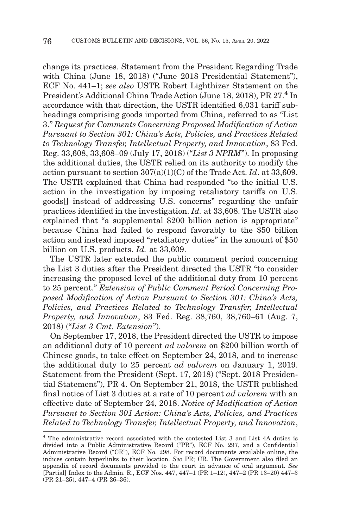change its practices. Statement from the President Regarding Trade with China (June 18, 2018) ("June 2018 Presidential Statement"), ECF No. 441–1; *see also* USTR Robert Lighthizer Statement on the President's Additional China Trade Action (June 18, 2018), PR 27.<sup>4</sup> In accordance with that direction, the USTR identified 6,031 tariff subheadings comprising goods imported from China, referred to as "List 3." *Request for Comments Concerning Proposed Modification of Action Pursuant to Section 301: China's Acts, Policies, and Practices Related to Technology Transfer, Intellectual Property, and Innovation*, 83 Fed. Reg. 33,608, 33,608–09 (July 17, 2018) ("*List 3 NPRM*"). In proposing the additional duties, the USTR relied on its authority to modify the action pursuant to section 307(a)(1)(C) of the Trade Act. *Id*. at 33,609. The USTR explained that China had responded "to the initial U.S. action in the investigation by imposing retaliatory tariffs on U.S. goods[] instead of addressing U.S. concerns" regarding the unfair practices identified in the investigation. *Id.* at 33,608. The USTR also explained that "a supplemental \$200 billion action is appropriate" because China had failed to respond favorably to the \$50 billion action and instead imposed "retaliatory duties" in the amount of \$50 billion on U.S. products. *Id.* at 33,609.

The USTR later extended the public comment period concerning the List 3 duties after the President directed the USTR "to consider increasing the proposed level of the additional duty from 10 percent to 25 percent." *Extension of Public Comment Period Concerning Proposed Modification of Action Pursuant to Section 301: China's Acts, Policies, and Practices Related to Technology Transfer, Intellectual Property, and Innovation*, 83 Fed. Reg. 38,760, 38,760–61 (Aug. 7, 2018) ("*List 3 Cmt. Extension*").

On September 17, 2018, the President directed the USTR to impose an additional duty of 10 percent *ad valorem* on \$200 billion worth of Chinese goods, to take effect on September 24, 2018, and to increase the additional duty to 25 percent *ad valorem* on January 1, 2019. Statement from the President (Sept. 17, 2018) ("Sept. 2018 Presidential Statement"), PR 4. On September 21, 2018, the USTR published final notice of List 3 duties at a rate of 10 percent *ad valorem* with an effective date of September 24, 2018. *Notice of Modification of Action Pursuant to Section 301 Action: China's Acts, Policies, and Practices Related to Technology Transfer, Intellectual Property, and Innovation*,

<sup>4</sup> The administrative record associated with the contested List 3 and List 4A duties is divided into a Public Administrative Record ("PR"), ECF No. 297, and a Confidential Administrative Record ("CR"), ECF No. 298. For record documents available online, the indices contain hyperlinks to their location. *See* PR; CR. The Government also filed an appendix of record documents provided to the court in advance of oral argument. *See* [Partial] Index to the Admin. R., ECF Nos. 447, 447–1 (PR 1–12), 447–2 (PR 13–20) 447–3 (PR 21–25), 447–4 (PR 26–36).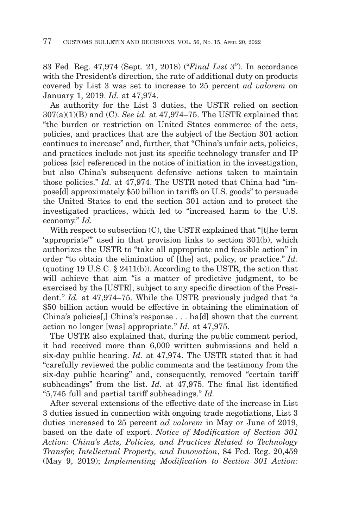83 Fed. Reg. 47,974 (Sept. 21, 2018) ("*Final List 3*"). In accordance with the President's direction, the rate of additional duty on products covered by List 3 was set to increase to 25 percent *ad valorem* on January 1, 2019. *Id.* at 47,974.

As authority for the List 3 duties, the USTR relied on section 307(a)(1)(B) and (C). *See id.* at 47,974–75. The USTR explained that "the burden or restriction on United States commerce of the acts, policies, and practices that are the subject of the Section 301 action continues to increase" and, further, that "China's unfair acts, policies, and practices include not just its specific technology transfer and IP polices [*sic*] referenced in the notice of initiation in the investigation, but also China's subsequent defensive actions taken to maintain those policies." *Id.* at 47,974. The USTR noted that China had "impose[d] approximately \$50 billion in tariffs on U.S. goods" to persuade the United States to end the section 301 action and to protect the investigated practices, which led to "increased harm to the U.S. economy." *Id.*

With respect to subsection (C), the USTR explained that "[t]he term 'appropriate'" used in that provision links to section 301(b), which authorizes the USTR to "take all appropriate and feasible action" in order "to obtain the elimination of [the] act, policy, or practice.'' *Id.* (quoting 19 U.S.C. § 2411(b)). According to the USTR, the action that will achieve that aim "is a matter of predictive judgment, to be exercised by the [USTR], subject to any specific direction of the President." *Id.* at 47,974–75. While the USTR previously judged that "a \$50 billion action would be effective in obtaining the elimination of China's policies[,] China's response . . . ha[d] shown that the current action no longer [was] appropriate." *Id.* at 47,975.

The USTR also explained that, during the public comment period, it had received more than 6,000 written submissions and held a six-day public hearing. *Id.* at 47,974. The USTR stated that it had "carefully reviewed the public comments and the testimony from the six-day public hearing" and, consequently, removed "certain tariff subheadings" from the list. *Id.* at 47,975. The final list identified "5,745 full and partial tariff subheadings." *Id.*

After several extensions of the effective date of the increase in List 3 duties issued in connection with ongoing trade negotiations, List 3 duties increased to 25 percent *ad valorem* in May or June of 2019, based on the date of export. *Notice of Modification of Section 301 Action: China's Acts, Policies, and Practices Related to Technology Transfer, Intellectual Property, and Innovation*, 84 Fed. Reg. 20,459 (May 9, 2019); *Implementing Modification to Section 301 Action:*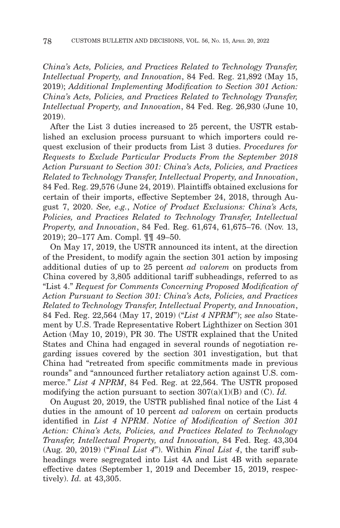*China's Acts, Policies, and Practices Related to Technology Transfer, Intellectual Property, and Innovation*, 84 Fed. Reg. 21,892 (May 15, 2019); *Additional Implementing Modification to Section 301 Action: China's Acts, Policies, and Practices Related to Technology Transfer, Intellectual Property, and Innovation*, 84 Fed. Reg. 26,930 (June 10, 2019).

After the List 3 duties increased to 25 percent, the USTR established an exclusion process pursuant to which importers could request exclusion of their products from List 3 duties. *Procedures for Requests to Exclude Particular Products From the September 2018 Action Pursuant to Section 301: China's Acts, Policies, and Practices Related to Technology Transfer, Intellectual Property, and Innovation*, 84 Fed. Reg. 29,576 (June 24, 2019). Plaintiffs obtained exclusions for certain of their imports, effective September 24, 2018, through August 7, 2020. *See, e.g.*, *Notice of Product Exclusions: China's Acts, Policies, and Practices Related to Technology Transfer, Intellectual Property, and Innovation*, 84 Fed. Reg. 61,674, 61,675–76. (Nov. 13, 2019); 20–177 Am. Compl. ¶¶ 49–50.

On May 17, 2019, the USTR announced its intent, at the direction of the President, to modify again the section 301 action by imposing additional duties of up to 25 percent *ad valorem* on products from China covered by 3,805 additional tariff subheadings, referred to as "List 4." *Request for Comments Concerning Proposed Modification of Action Pursuant to Section 301: China's Acts, Policies, and Practices Related to Technology Transfer, Intellectual Property, and Innovation*, 84 Fed. Reg. 22,564 (May 17, 2019) ("*List 4 NPRM*"); *see also* Statement by U.S. Trade Representative Robert Lighthizer on Section 301 Action (May 10, 2019), PR 30. The USTR explained that the United States and China had engaged in several rounds of negotiation regarding issues covered by the section 301 investigation, but that China had "retreated from specific commitments made in previous rounds" and "announced further retaliatory action against U.S. commerce." *List 4 NPRM*, 84 Fed. Reg. at 22,564. The USTR proposed modifying the action pursuant to section 307(a)(1)(B) and (C). *Id.*

On August 20, 2019, the USTR published final notice of the List 4 duties in the amount of 10 percent *ad valorem* on certain products identified in *List 4 NPRM*. *Notice of Modification of Section 301 Action: China's Acts, Policies, and Practices Related to Technology Transfer, Intellectual Property, and Innovation,* 84 Fed. Reg. 43,304 (Aug. 20, 2019) ("*Final List 4*"). Within *Final List 4*, the tariff subheadings were segregated into List 4A and List 4B with separate effective dates (September 1, 2019 and December 15, 2019, respectively). *Id.* at 43,305.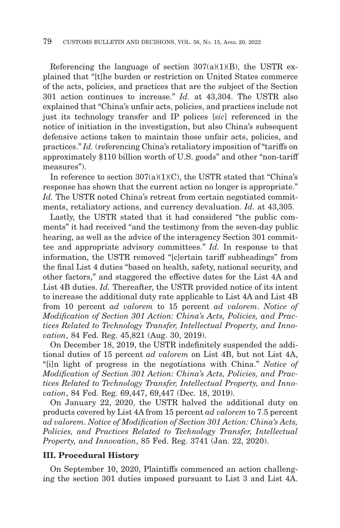Referencing the language of section  $307(a)(1)(B)$ , the USTR explained that "[t]he burden or restriction on United States commerce of the acts, policies, and practices that are the subject of the Section 301 action continues to increase." *Id.* at 43,304. The USTR also explained that "China's unfair acts, policies, and practices include not just its technology transfer and IP polices [*sic*] referenced in the notice of initiation in the investigation, but also China's subsequent defensive actions taken to maintain those unfair acts, policies, and practices." *Id.* (referencing China's retaliatory imposition of "tariffs on approximately \$110 billion worth of U.S. goods" and other "non-tariff measures").

In reference to section  $307(a)(1)(C)$ , the USTR stated that "China's response has shown that the current action no longer is appropriate." *Id.* The USTR noted China's retreat from certain negotiated commitments, retaliatory actions, and currency devaluation. *Id.* at 43,305.

Lastly, the USTR stated that it had considered "the public comments" it had received "and the testimony from the seven-day public hearing, as well as the advice of the interagency Section 301 committee and appropriate advisory committees." *Id.* In response to that information, the USTR removed "[c]ertain tariff subheadings" from the final List 4 duties "based on health, safety, national security, and other factors," and staggered the effective dates for the List 4A and List 4B duties. *Id.* Thereafter, the USTR provided notice of its intent to increase the additional duty rate applicable to List 4A and List 4B from 10 percent *ad valorem* to 15 percent *ad valorem*. *Notice of Modification of Section 301 Action: China's Acts, Policies, and Practices Related to Technology Transfer, Intellectual Property, and Innovation*, 84 Fed. Reg. 45,821 (Aug. 30, 2019).

On December 18, 2019, the USTR indefinitely suspended the additional duties of 15 percent *ad valorem* on List 4B, but not List 4A, "[i]n light of progress in the negotiations with China." *Notice of Modification of Section 301 Action: China's Acts, Policies, and Practices Related to Technology Transfer, Intellectual Property, and Innovation*, 84 Fed. Reg. 69,447, 69,447 (Dec. 18, 2019).

On January 22, 2020, the USTR halved the additional duty on products covered by List 4A from 15 percent *ad valorem* to 7.5 percent *ad valorem*. *Notice of Modification of Section 301 Action: China's Acts, Policies, and Practices Related to Technology Transfer, Intellectual Property, and Innovation*, 85 Fed. Reg. 3741 (Jan. 22, 2020).

### **III. Procedural History**

On September 10, 2020, Plaintiffs commenced an action challenging the section 301 duties imposed pursuant to List 3 and List 4A.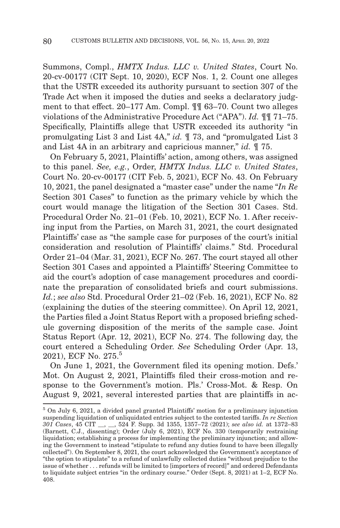Summons, Compl., *HMTX Indus. LLC v. United States*, Court No. 20-cv-00177 (CIT Sept. 10, 2020), ECF Nos. 1, 2. Count one alleges that the USTR exceeded its authority pursuant to section 307 of the Trade Act when it imposed the duties and seeks a declaratory judgment to that effect. 20–177 Am. Compl. ¶¶ 63–70. Count two alleges violations of the Administrative Procedure Act ("APA"). *Id.* ¶¶ 71–75. Specifically, Plaintiffs allege that USTR exceeded its authority "in promulgating List 3 and List 4A," *id.* ¶ 73, and "promulgated List 3 and List 4A in an arbitrary and capricious manner," *id.* ¶ 75.

On February 5, 2021, Plaintiffs' action, among others, was assigned to this panel. *See, e.g.*, Order, *HMTX Indus. LLC v. United States*, Court No. 20-cv-00177 (CIT Feb. 5, 2021), ECF No. 43. On February 10, 2021, the panel designated a "master case" under the name "*In Re* Section 301 Cases" to function as the primary vehicle by which the court would manage the litigation of the Section 301 Cases. Std. Procedural Order No. 21–01 (Feb. 10, 2021), ECF No. 1. After receiving input from the Parties, on March 31, 2021, the court designated Plaintiffs' case as "the sample case for purposes of the court's initial consideration and resolution of Plaintiffs' claims." Std. Procedural Order 21–04 (Mar. 31, 2021), ECF No. 267. The court stayed all other Section 301 Cases and appointed a Plaintiffs' Steering Committee to aid the court's adoption of case management procedures and coordinate the preparation of consolidated briefs and court submissions. *Id.*; *see also* Std. Procedural Order 21–02 (Feb. 16, 2021), ECF No. 82 (explaining the duties of the steering committee). On April 12, 2021, the Parties filed a Joint Status Report with a proposed briefing schedule governing disposition of the merits of the sample case. Joint Status Report (Apr. 12, 2021), ECF No. 274. The following day, the court entered a Scheduling Order. *See* Scheduling Order (Apr. 13, 2021), ECF No. 275.<sup>5</sup>

On June 1, 2021, the Government filed its opening motion. Defs.' Mot. On August 2, 2021, Plaintiffs filed their cross-motion and response to the Government's motion. Pls.' Cross-Mot. & Resp. On August 9, 2021, several interested parties that are plaintiffs in ac-

<sup>5</sup> On July 6, 2021, a divided panel granted Plaintiffs' motion for a preliminary injunction suspending liquidation of unliquidated entries subject to the contested tariffs. *In re Section 301 Cases*, 45 CIT \_\_, \_\_, 524 F. Supp. 3d 1355, 1357–72 (2021); *see also id.* at 1372–83 (Barnett, C.J., dissenting); Order (July 6, 2021), ECF No. 330 (temporarily restraining liquidation; establishing a process for implementing the preliminary injunction; and allowing the Government to instead "stipulate to refund any duties found to have been illegally collected"). On September 8, 2021, the court acknowledged the Government's acceptance of "the option to stipulate" to a refund of unlawfully collected duties "without prejudice to the issue of whether . . . refunds will be limited to [importers of record]" and ordered Defendants to liquidate subject entries "in the ordinary course." Order (Sept. 8, 2021) at 1–2, ECF No. 408.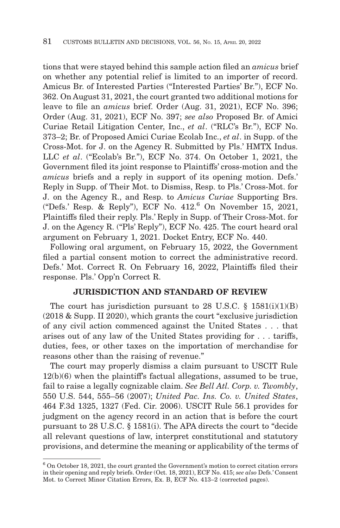tions that were stayed behind this sample action filed an *amicus* brief on whether any potential relief is limited to an importer of record. Amicus Br. of Interested Parties ("Interested Parties' Br."), ECF No. 362. On August 31, 2021, the court granted two additional motions for leave to file an *amicus* brief. Order (Aug. 31, 2021), ECF No. 396; Order (Aug. 31, 2021), ECF No. 397; *see also* Proposed Br. of Amici Curiae Retail Litigation Center, Inc., *et al*. ("RLC's Br."), ECF No. 373–2; Br. of Proposed Amici Curiae Ecolab Inc., *et al*. in Supp. of the Cross-Mot. for J. on the Agency R. Submitted by Pls.' HMTX Indus. LLC *et al*. ("Ecolab's Br."), ECF No. 374. On October 1, 2021, the Government filed its joint response to Plaintiffs' cross-motion and the *amicus* briefs and a reply in support of its opening motion. Defs.' Reply in Supp. of Their Mot. to Dismiss, Resp. to Pls.' Cross-Mot. for J. on the Agency R., and Resp. to *Amicus Curiae* Supporting Brs. ("Defs.' Resp. & Reply"), ECF No. 412.6 On November 15, 2021, Plaintiffs filed their reply. Pls.' Reply in Supp. of Their Cross-Mot. for J. on the Agency R. ("Pls' Reply"), ECF No. 425. The court heard oral argument on February 1, 2021. Docket Entry, ECF No. 440.

Following oral argument, on February 15, 2022, the Government filed a partial consent motion to correct the administrative record. Defs.' Mot. Correct R. On February 16, 2022, Plaintiffs filed their response. Pls.' Opp'n Correct R.

## **JURISDICTION AND STANDARD OF REVIEW**

The court has jurisdiction pursuant to 28 U.S.C.  $\S$  1581(i)(1)(B) (2018 & Supp. II 2020), which grants the court "exclusive jurisdiction of any civil action commenced against the United States . . . that arises out of any law of the United States providing for . . . tariffs, duties, fees, or other taxes on the importation of merchandise for reasons other than the raising of revenue."

The court may properly dismiss a claim pursuant to USCIT Rule 12(b)(6) when the plaintiff's factual allegations, assumed to be true, fail to raise a legally cognizable claim. *See Bell Atl. Corp. v. Twombly*, 550 U.S. 544, 555–56 (2007); *United Pac. Ins. Co. v. United States*, 464 F.3d 1325, 1327 (Fed. Cir. 2006). USCIT Rule 56.1 provides for judgment on the agency record in an action that is before the court pursuant to 28 U.S.C. § 1581(i). The APA directs the court to "decide all relevant questions of law, interpret constitutional and statutory provisions, and determine the meaning or applicability of the terms of

<sup>6</sup> On October 18, 2021, the court granted the Government's motion to correct citation errors in their opening and reply briefs. Order (Oct. 18, 2021), ECF No. 415; *see also* Defs.' Consent Mot. to Correct Minor Citation Errors, Ex. B, ECF No. 413–2 (corrected pages).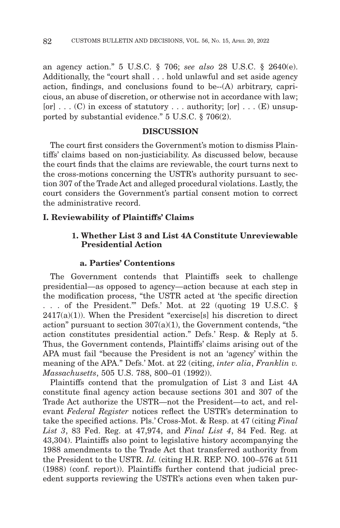an agency action." 5 U.S.C. § 706; *see also* 28 U.S.C. § 2640(e). Additionally, the "court shall . . . hold unlawful and set aside agency action, findings, and conclusions found to be--(A) arbitrary, capricious, an abuse of discretion, or otherwise not in accordance with law; [or]  $\dots$  (C) in excess of statutory  $\dots$  authority; [or]  $\dots$  (E) unsupported by substantial evidence." 5 U.S.C. § 706(2).

### **DISCUSSION**

The court first considers the Government's motion to dismiss Plaintiffs' claims based on non-justiciability. As discussed below, because the court finds that the claims are reviewable, the court turns next to the cross-motions concerning the USTR's authority pursuant to section 307 of the Trade Act and alleged procedural violations. Lastly, the court considers the Government's partial consent motion to correct the administrative record.

## **I. Reviewability of Plaintiffs' Claims**

## **1. Whether List 3 and List 4A Constitute Unreviewable Presidential Action**

#### **a. Parties' Contentions**

The Government contends that Plaintiffs seek to challenge presidential—as opposed to agency—action because at each step in the modification process, "the USTR acted at 'the specific direction . . . of the President.'" Defs.' Mot. at 22 (quoting 19 U.S.C. §  $2417(a)(1)$ ). When the President "exercise<sup>[s]</sup> his discretion to direct action" pursuant to section  $307(a)(1)$ , the Government contends, "the action constitutes presidential action." Defs.' Resp. & Reply at 5. Thus, the Government contends, Plaintiffs' claims arising out of the APA must fail "because the President is not an 'agency' within the meaning of the APA." Defs.' Mot. at 22 (citing, *inter alia*, *Franklin v. Massachusetts*, 505 U.S. 788, 800–01 (1992)).

Plaintiffs contend that the promulgation of List 3 and List 4A constitute final agency action because sections 301 and 307 of the Trade Act authorize the USTR—not the President—to act, and relevant *Federal Register* notices reflect the USTR's determination to take the specified actions. Pls.' Cross-Mot. & Resp. at 47 (citing *Final List 3*, 83 Fed. Reg. at 47,974, and *Final List 4*, 84 Fed. Reg. at 43,304). Plaintiffs also point to legislative history accompanying the 1988 amendments to the Trade Act that transferred authority from the President to the USTR. *Id.* (citing H.R. REP. NO. 100–576 at 511 (1988) (conf. report)). Plaintiffs further contend that judicial precedent supports reviewing the USTR's actions even when taken pur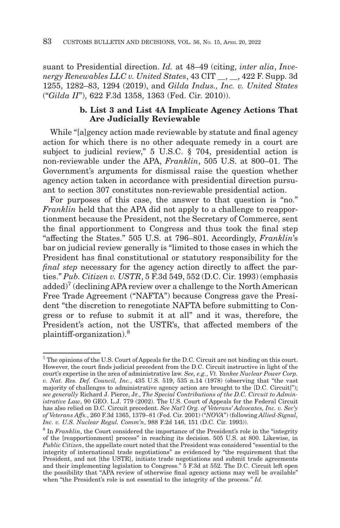suant to Presidential direction. *Id.* at 48–49 (citing, *inter alia*, *Invenergy Renewables LLC v. United States*, 43 CIT \_\_, \_\_, 422 F. Supp. 3d 1255, 1282–83, 1294 (2019), and *Gilda Indus., Inc. v. United States* ("*Gilda II*"), 622 F.3d 1358, 1363 (Fed. Cir. 2010)).

## **b. List 3 and List 4A Implicate Agency Actions That Are Judicially Reviewable**

While "lalgency action made reviewable by statute and final agency action for which there is no other adequate remedy in a court are subject to judicial review," 5 U.S.C.  $\frac{8}{3}$  704, presidential action is non-reviewable under the APA, *Franklin*, 505 U.S. at 800–01. The Government's arguments for dismissal raise the question whether agency action taken in accordance with presidential direction pursuant to section 307 constitutes non-reviewable presidential action.

For purposes of this case, the answer to that question is "no." *Franklin* held that the APA did not apply to a challenge to reapportionment because the President, not the Secretary of Commerce, sent the final apportionment to Congress and thus took the final step "affecting the States." 505 U.S. at 796–801. Accordingly, *Franklin*'s bar on judicial review generally is "limited to those cases in which the President has final constitutional or statutory responsibility for the *final step* necessary for the agency action directly to affect the parties." *Pub. Citizen v. USTR*, 5 F.3d 549, 552 (D.C. Cir. 1993) (emphasis  $added$ <sup>7</sup> (declining APA review over a challenge to the North American Free Trade Agreement ("NAFTA") because Congress gave the President "the discretion to renegotiate NAFTA before submitting to Congress or to refuse to submit it at all" and it was, therefore, the President's action, not the USTR's, that affected members of the plaintiff-organization).8

<sup>&</sup>lt;sup>7</sup> The opinions of the U.S. Court of Appeals for the D.C. Circuit are not binding on this court. However, the court finds judicial precedent from the D.C. Circuit instructive in light of the court's expertise in the area of administrative law. *See, e.g.*, *Vt. Yankee Nuclear Power Corp. v. Nat. Res. Def. Council, Inc.*, 435 U.S. 519, 535 n.14 (1978) (observing that "the vast majority of challenges to administrative agency action are brought to the [D.C. Circuit]"); *see generally* Richard J. Pierce, Jr., *The Special Contributions of the D.C. Circuit to Administrative Law*, 90 GEO. L.J. 779 (2002). The U.S. Court of Appeals for the Federal Circuit has also relied on D.C. Circuit precedent. *See Nat'l Org. of Veterans' Advocates, Inc. v. Sec'y of Veterans Affs.*, 260 F.3d 1365, 1379–81 (Fed. Cir. 2001) ("*NOVA*") (following *Allied-Signal, Inc. v. U.S. Nuclear Regul. Comm'n*, 988 F.2d 146, 151 (D.C. Cir. 1993)).

<sup>&</sup>lt;sup>8</sup> In *Franklin*, the Court considered the importance of the President's role in the "integrity" of the [reapportionment] process" in reaching its decision. 505 U.S. at 800. Likewise, in *Public Citizen*, the appellate court noted that the President was considered "essential to the integrity of international trade negotiations" as evidenced by "the requirement that the President, and not [the USTR], initiate trade negotiations and submit trade agreements and their implementing legislation to Congress." 5 F.3d at 552. The D.C. Circuit left open the possibility that "APA review of otherwise final agency actions may well be available" when "the President's role is not essential to the integrity of the process." *Id.*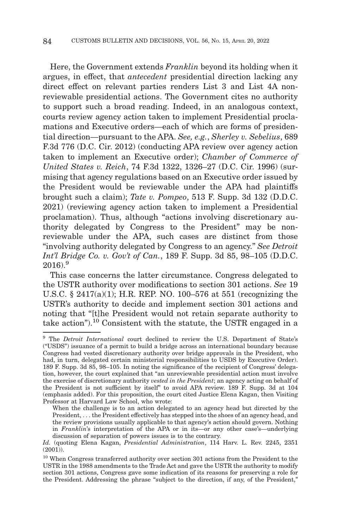Here, the Government extends *Franklin* beyond its holding when it argues, in effect, that *antecedent* presidential direction lacking any direct effect on relevant parties renders List 3 and List 4A nonreviewable presidential actions. The Government cites no authority to support such a broad reading. Indeed, in an analogous context, courts review agency action taken to implement Presidential proclamations and Executive orders—each of which are forms of presidential direction—pursuant to the APA. *See, e.g.*, *Sherley v. Sebelius*, 689 F.3d 776 (D.C. Cir. 2012) (conducting APA review over agency action taken to implement an Executive order); *Chamber of Commerce of United States v. Reich*, 74 F.3d 1322, 1326–27 (D.C. Cir. 1996) (surmising that agency regulations based on an Executive order issued by the President would be reviewable under the APA had plaintiffs brought such a claim); *Tate v. Pompeo*, 513 F. Supp. 3d 132 (D.D.C. 2021) (reviewing agency action taken to implement a Presidential proclamation). Thus, although "actions involving discretionary authority delegated by Congress to the President" may be nonreviewable under the APA, such cases are distinct from those "involving authority delegated by Congress to an agency." *See Detroit Int'l Bridge Co. v. Gov't of Can.*, 189 F. Supp. 3d 85, 98–105 (D.D.C.  $2016$ ).<sup>9</sup>

This case concerns the latter circumstance. Congress delegated to the USTR authority over modifications to section 301 actions. *See* 19 U.S.C. § 2417(a)(1); H.R. REP. NO. 100–576 at 551 (recognizing the USTR's authority to decide and implement section 301 actions and noting that "[t]he President would not retain separate authority to take action").10 Consistent with the statute, the USTR engaged in a

<sup>9</sup> The *Detroit International* court declined to review the U.S. Department of State's ("USDS") issuance of a permit to build a bridge across an international boundary because Congress had vested discretionary authority over bridge approvals in the President, who had, in turn, delegated certain ministerial responsibilities to USDS by Executive Order). 189 F. Supp. 3d 85, 98–105. In noting the significance of the recipient of Congress' delegation, however, the court explained that "an unreviewable presidential action must involve the exercise of discretionary authority *vested in the President*; an agency acting on behalf of the President is not sufficient by itself" to avoid APA review. 189 F. Supp. 3d at 104 (emphasis added). For this proposition, the court cited Justice Elena Kagan, then Visiting Professor at Harvard Law School, who wrote:

When the challenge is to an action delegated to an agency head but directed by the President, . . . the President effectively has stepped into the shoes of an agency head, and the review provisions usually applicable to that agency's action should govern. Nothing in *Franklin*'s interpretation of the APA or in its—or any other case's—underlying discussion of separation of powers issues is to the contrary.

*Id.* (quoting Elena Kagan, *Presidential Administration*, 114 Harv. L. Rev. 2245, 2351 (2001)).

<sup>10</sup> When Congress transferred authority over section 301 actions from the President to the USTR in the 1988 amendments to the Trade Act and gave the USTR the authority to modify section 301 actions, Congress gave some indication of its reasons for preserving a role for the President. Addressing the phrase "subject to the direction, if any, of the President,"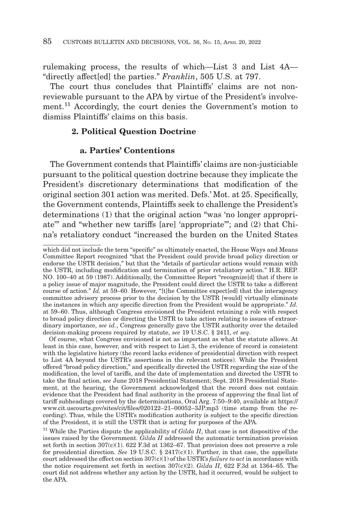rulemaking process, the results of which—List 3 and List 4A— "directly affect[ed] the parties." *Franklin*, 505 U.S. at 797.

The court thus concludes that Plaintiffs' claims are not nonreviewable pursuant to the APA by virtue of the President's involvement.11 Accordingly, the court denies the Government's motion to dismiss Plaintiffs' claims on this basis.

### **2. Political Question Doctrine**

### **a. Parties' Contentions**

The Government contends that Plaintiffs' claims are non-justiciable pursuant to the political question doctrine because they implicate the President's discretionary determinations that modification of the original section 301 action was merited. Defs.' Mot. at 25. Specifically, the Government contends, Plaintiffs seek to challenge the President's determinations (1) that the original action "was 'no longer appropriate'" and "whether new tariffs [are] 'appropriate'"; and (2) that China's retaliatory conduct "increased the burden on the United States

which did not include the term "specific" as ultimately enacted, the House Ways and Means Committee Report recognized "that the President could provide broad policy direction or endorse the USTR decision," but that the "details of particular actions would remain with the USTR, including modification and termination of prior retaliatory action." H.R. REP. NO. 100–40 at 59 (1987). Additionally, the Committee Report "recognize[d] that if there is a policy issue of major magnitude, the President could direct the USTR to take a different course of action." *Id.* at 59–60. However, "[t]he Committee expect[ed] that the interagency committee advisory process prior to the decision by the USTR [would] virtually eliminate the instances in which any specific direction from the President would be appropriate." *Id.* at 59–60. Thus, although Congress envisioned the President retaining a role with respect to broad policy direction or directing the USTR to take action relating to issues of extraordinary importance, *see id.*, Congress generally gave the USTR authority over the detailed decision-making process required by statute, *see* 19 U.S.C. § 2411, *et seq*.

Of course, what Congress envisioned is not as important as what the statute allows. At least in this case, however, and with respect to List 3, the evidence of record is consistent with the legislative history (the record lacks evidence of presidential direction with respect to List 4A beyond the USTR's assertions in the relevant notices). While the President offered "broad policy direction," and specifically directed the USTR regarding the size of the modification, the level of tariffs, and the date of implementation and directed the USTR to take the final action, *see* June 2018 Presidential Statement; Sept. 2018 Presidential Statement, at the hearing, the Government acknowledged that the record does not contain evidence that the President had final authority in the process of approving the final list of tariff subheadings covered by the determinations, Oral Arg. 7:50–9:40, available at https:// www.cit.uscourts.gov/sites/cit/files/020122–21–00052–3JP.mp3 (time stamp from the recording). Thus, while the USTR's modification authority is subject to the specific direction of the President, it is still the USTR that is acting for purposes of the APA.

<sup>&</sup>lt;sup>11</sup> While the Parties dispute the applicability of *Gilda II*, that case is not dispositive of the issues raised by the Government. *Gilda II* addressed the automatic termination provision set forth in section 307(c)(1). 622 F.3d at 1362–67. That provision does not preserve a role for presidential direction. *See* 19 U.S.C. § 2417(c)(1). Further, in that case, the appellate court addressed the effect on section 307(c)(1) of the USTR's *failure to act* in accordance with the notice requirement set forth in section 307(c)(2). *Gilda II*, 622 F.3d at 1364–65. The court did not address whether any action by the USTR, had it occurred, would be subject to the APA.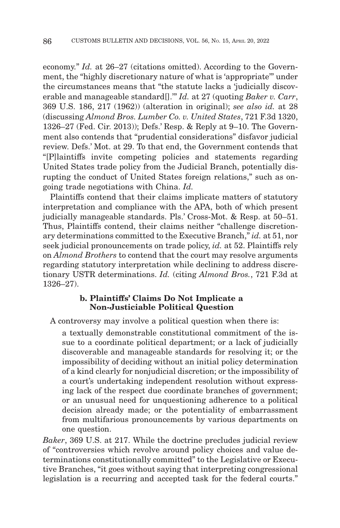economy." *Id.* at 26–27 (citations omitted). According to the Government, the "highly discretionary nature of what is 'appropriate'" under the circumstances means that "the statute lacks a 'judicially discoverable and manageable standard[].'" *Id.* at 27 (quoting *Baker v. Carr*, 369 U.S. 186, 217 (1962)) (alteration in original); *see also id.* at 28 (discussing *Almond Bros. Lumber Co. v. United States*, 721 F.3d 1320, 1326–27 (Fed. Cir. 2013)); Defs.' Resp. & Reply at 9–10. The Government also contends that "prudential considerations" disfavor judicial review. Defs.' Mot. at 29. To that end, the Government contends that "[P]laintiffs invite competing policies and statements regarding United States trade policy from the Judicial Branch, potentially disrupting the conduct of United States foreign relations," such as ongoing trade negotiations with China. *Id.*

Plaintiffs contend that their claims implicate matters of statutory interpretation and compliance with the APA, both of which present judicially manageable standards. Pls.' Cross-Mot. & Resp. at 50–51. Thus, Plaintiffs contend, their claims neither "challenge discretionary determinations committed to the Executive Branch," *id.* at 51, nor seek judicial pronouncements on trade policy, *id.* at 52. Plaintiffs rely on *Almond Brothers* to contend that the court may resolve arguments regarding statutory interpretation while declining to address discretionary USTR determinations. *Id.* (citing *Almond Bros.*, 721 F.3d at 1326–27).

## **b. Plaintiffs' Claims Do Not Implicate a Non-Justiciable Political Question**

A controversy may involve a political question when there is:

a textually demonstrable constitutional commitment of the issue to a coordinate political department; or a lack of judicially discoverable and manageable standards for resolving it; or the impossibility of deciding without an initial policy determination of a kind clearly for nonjudicial discretion; or the impossibility of a court's undertaking independent resolution without expressing lack of the respect due coordinate branches of government; or an unusual need for unquestioning adherence to a political decision already made; or the potentiality of embarrassment from multifarious pronouncements by various departments on one question.

*Baker*, 369 U.S. at 217. While the doctrine precludes judicial review of "controversies which revolve around policy choices and value determinations constitutionally committed" to the Legislative or Executive Branches, "it goes without saying that interpreting congressional legislation is a recurring and accepted task for the federal courts."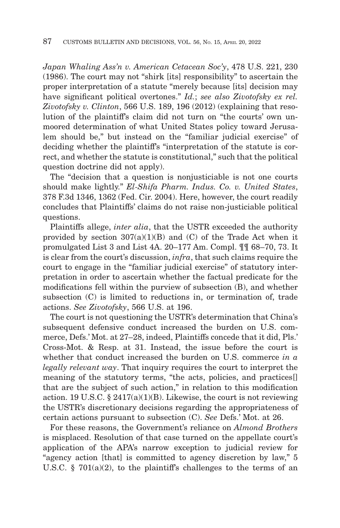*Japan Whaling Ass'n v. American Cetacean Soc'y*, 478 U.S. 221, 230 (1986). The court may not "shirk [its] responsibility" to ascertain the proper interpretation of a statute "merely because [its] decision may have significant political overtones." *Id.*; *see also Zivotofsky ex rel. Zivotofsky v. Clinton*, 566 U.S. 189, 196 (2012) (explaining that resolution of the plaintiff's claim did not turn on "the courts' own unmoored determination of what United States policy toward Jerusalem should be," but instead on the "familiar judicial exercise" of deciding whether the plaintiff's "interpretation of the statute is correct, and whether the statute is constitutional," such that the political question doctrine did not apply).

The "decision that a question is nonjusticiable is not one courts should make lightly." *El-Shifa Pharm. Indus. Co. v. United States*, 378 F.3d 1346, 1362 (Fed. Cir. 2004). Here, however, the court readily concludes that Plaintiffs' claims do not raise non-justiciable political questions.

Plaintiffs allege, *inter alia*, that the USTR exceeded the authority provided by section  $307(a)(1)(B)$  and (C) of the Trade Act when it promulgated List 3 and List 4A. 20–177 Am. Compl. ¶¶ 68–70, 73. It is clear from the court's discussion, *infra*, that such claims require the court to engage in the "familiar judicial exercise" of statutory interpretation in order to ascertain whether the factual predicate for the modifications fell within the purview of subsection (B), and whether subsection (C) is limited to reductions in, or termination of, trade actions. *See Zivotofsky*, 566 U.S. at 196.

The court is not questioning the USTR's determination that China's subsequent defensive conduct increased the burden on U.S. commerce, Defs.' Mot. at 27–28, indeed, Plaintiffs concede that it did, Pls.' Cross-Mot. & Resp. at 31. Instead, the issue before the court is whether that conduct increased the burden on U.S. commerce *in a legally relevant way*. That inquiry requires the court to interpret the meaning of the statutory terms, "the acts, policies, and practices[] that are the subject of such action," in relation to this modification action. 19 U.S.C.  $\S 2417(a)(1)(B)$ . Likewise, the court is not reviewing the USTR's discretionary decisions regarding the appropriateness of certain actions pursuant to subsection (C). *See* Defs.' Mot. at 26.

For these reasons, the Government's reliance on *Almond Brothers* is misplaced. Resolution of that case turned on the appellate court's application of the APA's narrow exception to judicial review for "agency action [that] is committed to agency discretion by law," 5 U.S.C.  $\S$  701(a)(2), to the plaintiff's challenges to the terms of an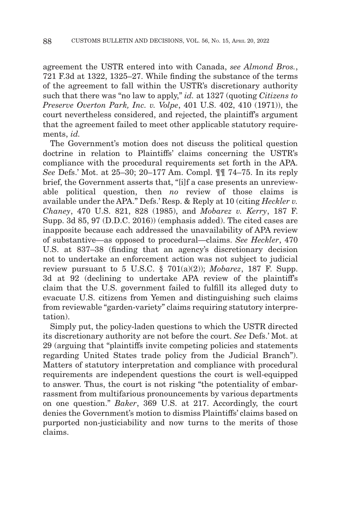agreement the USTR entered into with Canada, *see Almond Bros.*, 721 F.3d at 1322, 1325–27. While finding the substance of the terms of the agreement to fall within the USTR's discretionary authority such that there was "no law to apply," *id.* at 1327 (quoting *Citizens to Preserve Overton Park, Inc. v. Volpe*, 401 U.S. 402, 410 (1971)), the court nevertheless considered, and rejected, the plaintiff's argument that the agreement failed to meet other applicable statutory requirements, *id.*

The Government's motion does not discuss the political question doctrine in relation to Plaintiffs' claims concerning the USTR's compliance with the procedural requirements set forth in the APA. *See* Defs.' Mot. at 25–30; 20–177 Am. Compl. ¶¶ 74–75. In its reply brief, the Government asserts that, "[i]f a case presents an unreviewable political question, then *no* review of those claims is available under the APA." Defs.' Resp. & Reply at 10 (citing *Heckler v. Chaney*, 470 U.S. 821, 828 (1985), and *Mobarez v. Kerry*, 187 F. Supp. 3d 85, 97 (D.D.C. 2016)) (emphasis added). The cited cases are inapposite because each addressed the unavailability of APA review of substantive—as opposed to procedural—claims. *See Heckler*, 470 U.S. at 837–38 (finding that an agency's discretionary decision not to undertake an enforcement action was not subject to judicial review pursuant to 5 U.S.C. § 701(a)(2)); *Mobarez*, 187 F. Supp. 3d at 92 (declining to undertake APA review of the plaintiff's claim that the U.S. government failed to fulfill its alleged duty to evacuate U.S. citizens from Yemen and distinguishing such claims from reviewable "garden-variety" claims requiring statutory interpretation).

Simply put, the policy-laden questions to which the USTR directed its discretionary authority are not before the court. *See* Defs.' Mot. at 29 (arguing that "plaintiffs invite competing policies and statements regarding United States trade policy from the Judicial Branch"). Matters of statutory interpretation and compliance with procedural requirements are independent questions the court is well-equipped to answer. Thus, the court is not risking "the potentiality of embarrassment from multifarious pronouncements by various departments on one question." *Baker*, 369 U.S. at 217. Accordingly, the court denies the Government's motion to dismiss Plaintiffs' claims based on purported non-justiciability and now turns to the merits of those claims.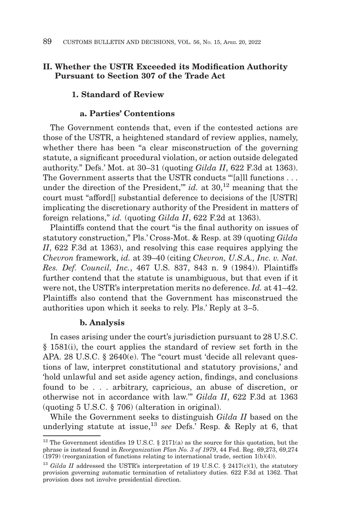## **II. Whether the USTR Exceeded its Modification Authority Pursuant to Section 307 of the Trade Act**

## **1. Standard of Review**

## **a. Parties' Contentions**

The Government contends that, even if the contested actions are those of the USTR, a heightened standard of review applies, namely, whether there has been "a clear misconstruction of the governing statute, a significant procedural violation, or action outside delegated authority." Defs.' Mot. at 30–31 (quoting *Gilda II*, 622 F.3d at 1363). The Government asserts that the USTR conducts "[a]ll functions . . . under the direction of the President," *id.* at 30,<sup>12</sup> meaning that the court must "afford[] substantial deference to decisions of the [USTR] implicating the discretionary authority of the President in matters of foreign relations," *id.* (quoting *Gilda II*, 622 F.2d at 1363).

Plaintiffs contend that the court "is the final authority on issues of statutory construction," Pls.' Cross-Mot. & Resp. at 39 (quoting *Gilda II*, 622 F.3d at 1363), and resolving this case requires applying the *Chevron* framework, *id.* at 39–40 (citing *Chevron, U.S.A., Inc. v. Nat. Res. Def. Council, Inc.*, 467 U.S. 837, 843 n. 9 (1984)). Plaintiffs further contend that the statute is unambiguous, but that even if it were not, the USTR's interpretation merits no deference. *Id.* at 41–42. Plaintiffs also contend that the Government has misconstrued the authorities upon which it seeks to rely. Pls.' Reply at 3–5.

#### **b. Analysis**

In cases arising under the court's jurisdiction pursuant to 28 U.S.C. § 1581(i), the court applies the standard of review set forth in the APA. 28 U.S.C. § 2640(e). The "court must 'decide all relevant questions of law, interpret constitutional and statutory provisions,' and 'hold unlawful and set aside agency action, findings, and conclusions found to be . . . arbitrary, capricious, an abuse of discretion, or otherwise not in accordance with law.'" *Gilda II*, 622 F.3d at 1363 (quoting 5 U.S.C. § 706) (alteration in original).

While the Government seeks to distinguish *Gilda II* based on the underlying statute at issue,<sup>13</sup> see Defs.' Resp. & Reply at 6, that

 $^{12}$  The Government identifies 19 U.S.C. § 2171(a) as the source for this quotation, but the phrase is instead found in *Reorganization Plan No. 3 of 1979*, 44 Fed. Reg. 69,273, 69,274  $(1979)$  (reorganization of functions relating to international trade, section  $1(b)(4)$ ).

<sup>&</sup>lt;sup>13</sup> Gilda II addressed the USTR's interpretation of 19 U.S.C. § 2417(c)(1), the statutory provision governing automatic termination of retaliatory duties. 622 F.3d at 1362. That provision does not involve presidential direction.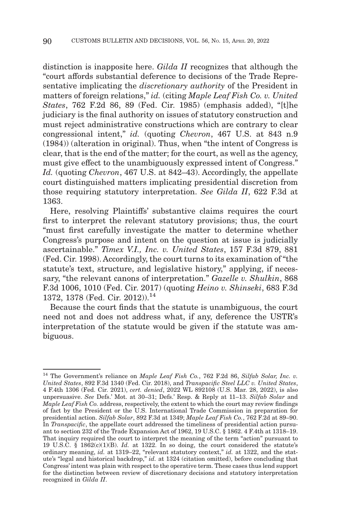distinction is inapposite here. *Gilda II* recognizes that although the "court affords substantial deference to decisions of the Trade Representative implicating the *discretionary authority* of the President in matters of foreign relations," *id.* (citing *Maple Leaf Fish Co. v. United States*, 762 F.2d 86, 89 (Fed. Cir. 1985) (emphasis added), "[t]he judiciary is the final authority on issues of statutory construction and must reject administrative constructions which are contrary to clear congressional intent," *id.* (quoting *Chevron*, 467 U.S. at 843 n.9 (1984)) (alteration in original). Thus, when "the intent of Congress is clear, that is the end of the matter; for the court, as well as the agency, must give effect to the unambiguously expressed intent of Congress." *Id.* (quoting *Chevron*, 467 U.S. at 842–43). Accordingly, the appellate court distinguished matters implicating presidential discretion from those requiring statutory interpretation. *See Gilda II*, 622 F.3d at 1363.

Here, resolving Plaintiffs' substantive claims requires the court first to interpret the relevant statutory provisions; thus, the court "must first carefully investigate the matter to determine whether Congress's purpose and intent on the question at issue is judicially ascertainable." *Timex V.I., Inc. v. United States*, 157 F.3d 879, 881 (Fed. Cir. 1998). Accordingly, the court turns to its examination of "the statute's text, structure, and legislative history," applying, if necessary, "the relevant canons of interpretation." *Gazelle v. Shulkin*, 868 F.3d 1006, 1010 (Fed. Cir. 2017) (quoting *Heino v. Shinseki*, 683 F.3d 1372, 1378 (Fed. Cir. 2012)).14

Because the court finds that the statute is unambiguous, the court need not and does not address what, if any, deference the USTR's interpretation of the statute would be given if the statute was ambiguous.

<sup>14</sup> The Government's reliance on *Maple Leaf Fish Co.*, 762 F.2d 86, *Silfab Solar, Inc. v. United States*, 892 F.3d 1340 (Fed. Cir. 2018), and *Transpacific Steel LLC v. United States*, 4 F.4th 1306 (Fed. Cir. 2021), *cert. denied*, 2022 WL 892108 (U.S. Mar. 28, 2022), is also unpersuasive. *See* Defs.' Mot. at 30–31; Defs.' Resp. & Reply at 11–13. *Silfab Solar* and *Maple Leaf Fish Co.* address, respectively, the extent to which the court may review findings of fact by the President or the U.S. International Trade Commission in preparation for presidential action. *Silfab Solar*, 892 F.3d at 1349; *Maple Leaf Fish Co.*, 762 F.2d at 89–90. In *Transpacific*, the appellate court addressed the timeliness of presidential action pursuant to section 232 of the Trade Expansion Act of 1962, 19 U.S.C. § 1862. 4 F.4th at 1318–19. That inquiry required the court to interpret the meaning of the term "action" pursuant to 19 U.S.C. § 1862(c)(1)(B). *Id.* at 1322. In so doing, the court considered the statute's ordinary meaning, *id.* at 1319–22, "relevant statutory context," *id.* at 1322, and the statute's "legal and historical backdrop," *id.* at 1324 (citation omitted), before concluding that Congress' intent was plain with respect to the operative term. These cases thus lend support for the distinction between review of discretionary decisions and statutory interpretation recognized in *Gilda II*.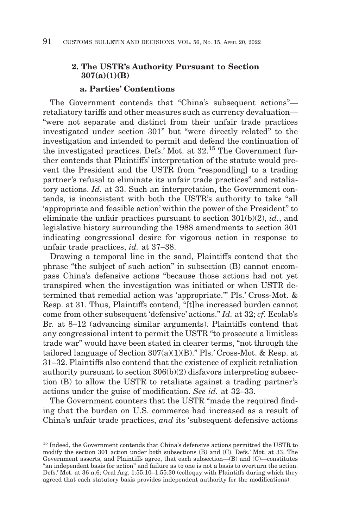## **2. The USTR's Authority Pursuant to Section 307(a)(1)(B)**

## **a. Parties' Contentions**

The Government contends that "China's subsequent actions" retaliatory tariffs and other measures such as currency devaluation— "were not separate and distinct from their unfair trade practices investigated under section 301" but "were directly related" to the investigation and intended to permit and defend the continuation of the investigated practices. Defs.' Mot. at 32.15 The Government further contends that Plaintiffs' interpretation of the statute would prevent the President and the USTR from "respond[ing] to a trading partner's refusal to eliminate its unfair trade practices" and retaliatory actions. *Id.* at 33. Such an interpretation, the Government contends, is inconsistent with both the USTR's authority to take "all 'appropriate and feasible action' within the power of the President" to eliminate the unfair practices pursuant to section 301(b)(2), *id.*, and legislative history surrounding the 1988 amendments to section 301 indicating congressional desire for vigorous action in response to unfair trade practices, *id.* at 37–38.

Drawing a temporal line in the sand, Plaintiffs contend that the phrase "the subject of such action" in subsection (B) cannot encompass China's defensive actions "because those actions had not yet transpired when the investigation was initiated or when USTR determined that remedial action was 'appropriate.'" Pls.' Cross-Mot. & Resp. at 31. Thus, Plaintiffs contend, "[t]he increased burden cannot come from other subsequent 'defensive' actions." *Id.* at 32; *cf.* Ecolab's Br. at 8–12 (advancing similar arguments). Plaintiffs contend that any congressional intent to permit the USTR "to prosecute a limitless trade war" would have been stated in clearer terms, "not through the tailored language of Section  $307(a)(1)(B)$ ." Pls.' Cross-Mot. & Resp. at 31–32. Plaintiffs also contend that the existence of explicit retaliation authority pursuant to section 306(b)(2) disfavors interpreting subsection (B) to allow the USTR to retaliate against a trading partner's actions under the guise of modification. *See id.* at 32–33.

The Government counters that the USTR "made the required finding that the burden on U.S. commerce had increased as a result of China's unfair trade practices, *and* its 'subsequent defensive actions

 $^{\rm 15}$  Indeed, the Government contends that China's defensive actions permitted the USTR to modify the section 301 action under both subsections (B) and (C). Defs.' Mot. at 33. The Government asserts, and Plaintiffs agree, that each subsection—(B) and (C)—constitutes "an independent basis for action" and failure as to one is not a basis to overturn the action. Defs.' Mot. at 36 n.6; Oral Arg. 1:55:10–1:55:30 (colloquy with Plaintiffs during which they agreed that each statutory basis provides independent authority for the modifications).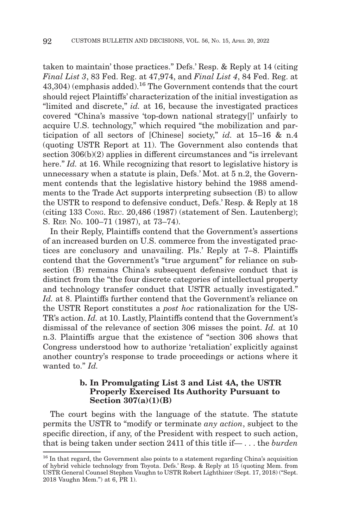taken to maintain' those practices." Defs.' Resp. & Reply at 14 (citing *Final List 3*, 83 Fed. Reg. at 47,974, and *Final List 4*, 84 Fed. Reg. at 43,304) (emphasis added).16 The Government contends that the court should reject Plaintiffs' characterization of the initial investigation as "limited and discrete," *id.* at 16, because the investigated practices covered "China's massive 'top-down national strategy[]' unfairly to acquire U.S. technology," which required "the mobilization and participation of all sectors of [Chinese] society," *id.* at 15–16 & n.4 (quoting USTR Report at 11). The Government also contends that section 306(b)(2) applies in different circumstances and "is irrelevant here." *Id.* at 16. While recognizing that resort to legislative history is unnecessary when a statute is plain, Defs.' Mot. at 5 n.2, the Government contends that the legislative history behind the 1988 amendments to the Trade Act supports interpreting subsection (B) to allow the USTR to respond to defensive conduct, Defs.' Resp. & Reply at 18 (citing 133 CONG. REC. 20,486 (1987) (statement of Sen. Lautenberg); S. REP. NO. 100–71 (1987), at 73–74).

In their Reply, Plaintiffs contend that the Government's assertions of an increased burden on U.S. commerce from the investigated practices are conclusory and unavailing. Pls.' Reply at 7–8. Plaintiffs contend that the Government's "true argument" for reliance on subsection (B) remains China's subsequent defensive conduct that is distinct from the "the four discrete categories of intellectual property and technology transfer conduct that USTR actually investigated." *Id.* at 8. Plaintiffs further contend that the Government's reliance on the USTR Report constitutes a *post hoc* rationalization for the US-TR's action. *Id.* at 10. Lastly, Plaintiffs contend that the Government's dismissal of the relevance of section 306 misses the point. *Id.* at 10 n.3. Plaintiffs argue that the existence of "section 306 shows that Congress understood how to authorize 'retaliation' explicitly against another country's response to trade proceedings or actions where it wanted to." *Id.*

### **b. In Promulgating List 3 and List 4A, the USTR Properly Exercised Its Authority Pursuant to Section 307(a)(1)(B)**

The court begins with the language of the statute. The statute permits the USTR to "modify or terminate *any action*, subject to the specific direction, if any, of the President with respect to such action, that is being taken under section 2411 of this title if— . . . the *burden*

 $^{16}$  In that regard, the Government also points to a statement regarding China's acquisition of hybrid vehicle technology from Toyota. Defs.' Resp. & Reply at 15 (quoting Mem. from USTR General Counsel Stephen Vaughn to USTR Robert Lighthizer (Sept. 17, 2018) ("Sept. 2018 Vaughn Mem.") at 6, PR 1).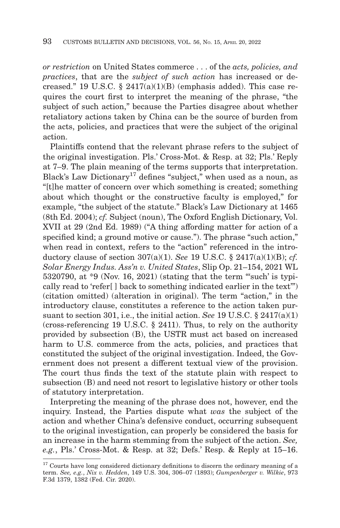*or restriction* on United States commerce . . . of the *acts, policies, and practices*, that are the *subject of such action* has increased or decreased." 19 U.S.C.  $\frac{8}{2417(a)(1)(B)}$  (emphasis added). This case requires the court first to interpret the meaning of the phrase, "the subject of such action," because the Parties disagree about whether retaliatory actions taken by China can be the source of burden from the acts, policies, and practices that were the subject of the original action.

Plaintiffs contend that the relevant phrase refers to the subject of the original investigation. Pls.' Cross-Mot. & Resp. at 32; Pls.' Reply at 7–9. The plain meaning of the terms supports that interpretation. Black's Law Dictionary<sup>17</sup> defines "subject," when used as a noun, as "[t]he matter of concern over which something is created; something about which thought or the constructive faculty is employed," for example, "the subject of the statute." Black's Law Dictionary at 1465 (8th Ed. 2004); *cf.* Subject (noun), The Oxford English Dictionary, Vol. XVII at 29 (2nd Ed. 1989) ("A thing affording matter for action of a specified kind; a ground motive or cause."). The phrase "such action," when read in context, refers to the "action" referenced in the introductory clause of section 307(a)(1). *See* 19 U.S.C. § 2417(a)(1)(B); *cf. Solar Energy Indus. Ass'n v. United States*, Slip Op. 21–154, 2021 WL 5320790, at \*9 (Nov. 16, 2021) (stating that the term "'such' is typically read to 'refer[ ] back to something indicated earlier in the text'") (citation omitted) (alteration in original). The term "action," in the introductory clause, constitutes a reference to the action taken pursuant to section 301, i.e., the initial action. *See* 19 U.S.C. § 2417(a)(1) (cross-referencing 19 U.S.C. § 2411). Thus, to rely on the authority provided by subsection (B), the USTR must act based on increased harm to U.S. commerce from the acts, policies, and practices that constituted the subject of the original investigation. Indeed, the Government does not present a different textual view of the provision. The court thus finds the text of the statute plain with respect to subsection (B) and need not resort to legislative history or other tools of statutory interpretation.

Interpreting the meaning of the phrase does not, however, end the inquiry. Instead, the Parties dispute what *was* the subject of the action and whether China's defensive conduct, occurring subsequent to the original investigation, can properly be considered the basis for an increase in the harm stemming from the subject of the action. *See, e.g.*, Pls.' Cross-Mot. & Resp. at 32; Defs.' Resp. & Reply at 15–16.

<sup>&</sup>lt;sup>17</sup> Courts have long considered dictionary definitions to discern the ordinary meaning of a term. *See, e.g.*, *Nix v. Hedden*, 149 U.S. 304, 306–07 (1893); *Gumpenberger v. Wilkie*, 973 F.3d 1379, 1382 (Fed. Cir. 2020).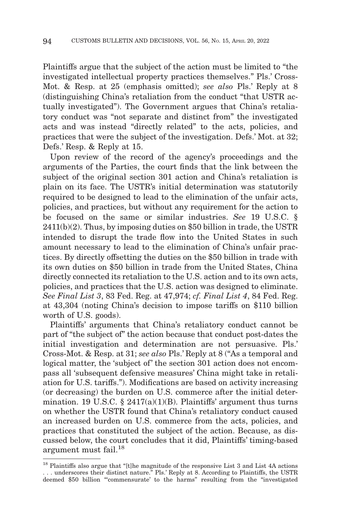Plaintiffs argue that the subject of the action must be limited to "the investigated intellectual property practices themselves." Pls.' Cross-Mot. & Resp. at 25 (emphasis omitted); *see also* Pls.' Reply at 8 (distinguishing China's retaliation from the conduct "that USTR actually investigated"). The Government argues that China's retaliatory conduct was "not separate and distinct from" the investigated acts and was instead "directly related" to the acts, policies, and practices that were the subject of the investigation. Defs.' Mot. at 32; Defs.' Resp. & Reply at 15.

Upon review of the record of the agency's proceedings and the arguments of the Parties, the court finds that the link between the subject of the original section 301 action and China's retaliation is plain on its face. The USTR's initial determination was statutorily required to be designed to lead to the elimination of the unfair acts, policies, and practices, but without any requirement for the action to be focused on the same or similar industries. *See* 19 U.S.C. §  $2411(b)(2)$ . Thus, by imposing duties on \$50 billion in trade, the USTR intended to disrupt the trade flow into the United States in such amount necessary to lead to the elimination of China's unfair practices. By directly offsetting the duties on the \$50 billion in trade with its own duties on \$50 billion in trade from the United States, China directly connected its retaliation to the U.S. action and to its own acts, policies, and practices that the U.S. action was designed to eliminate. *See Final List 3*, 83 Fed. Reg. at 47,974; *cf. Final List 4*, 84 Fed. Reg. at 43,304 (noting China's decision to impose tariffs on \$110 billion worth of U.S. goods).

Plaintiffs' arguments that China's retaliatory conduct cannot be part of "the subject of" the action because that conduct post-dates the initial investigation and determination are not persuasive. Pls.' Cross-Mot. & Resp. at 31; *see also* Pls.' Reply at 8 ("As a temporal and logical matter, the 'subject of' the section 301 action does not encompass all 'subsequent defensive measures' China might take in retaliation for U.S. tariffs."). Modifications are based on activity increasing (or decreasing) the burden on U.S. commerce after the initial determination. 19 U.S.C.  $\S$  2417(a)(1)(B). Plaintiffs' argument thus turns on whether the USTR found that China's retaliatory conduct caused an increased burden on U.S. commerce from the acts, policies, and practices that constituted the subject of the action. Because, as discussed below, the court concludes that it did, Plaintiffs' timing-based argument must fail.<sup>18</sup>

<sup>18</sup> Plaintiffs also argue that "[t]he magnitude of the responsive List 3 and List 4A actions . . . underscores their distinct nature." Pls.' Reply at 8. According to Plaintiffs, the USTR deemed \$50 billion "'commensurate' to the harms" resulting from the "investigated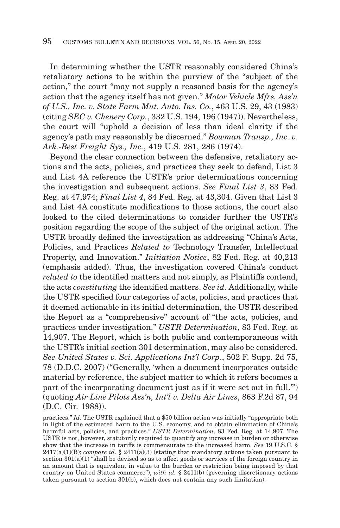In determining whether the USTR reasonably considered China's retaliatory actions to be within the purview of the "subject of the action," the court "may not supply a reasoned basis for the agency's action that the agency itself has not given." *Motor Vehicle Mfrs. Ass'n of U.S., Inc. v. State Farm Mut. Auto. Ins. Co.*, 463 U.S. 29, 43 (1983) (citing *SEC v. Chenery Corp.*, 332 U.S. 194, 196 (1947)). Nevertheless, the court will "uphold a decision of less than ideal clarity if the agency's path may reasonably be discerned." *Bowman Transp., Inc. v. Ark.-Best Freight Sys., Inc.*, 419 U.S. 281, 286 (1974).

Beyond the clear connection between the defensive, retaliatory actions and the acts, policies, and practices they seek to defend, List 3 and List 4A reference the USTR's prior determinations concerning the investigation and subsequent actions. *See Final List 3*, 83 Fed. Reg. at 47,974; *Final List 4*, 84 Fed. Reg. at 43,304. Given that List 3 and List 4A constitute modifications to those actions, the court also looked to the cited determinations to consider further the USTR's position regarding the scope of the subject of the original action. The USTR broadly defined the investigation as addressing "China's Acts, Policies, and Practices *Related to* Technology Transfer, Intellectual Property, and Innovation." *Initiation Notice*, 82 Fed. Reg. at 40,213 (emphasis added). Thus, the investigation covered China's conduct *related to* the identified matters and not simply, as Plaintiffs contend, the acts *constituting* the identified matters. *See id.* Additionally, while the USTR specified four categories of acts, policies, and practices that it deemed actionable in its initial determination, the USTR described the Report as a "comprehensive" account of "the acts, policies, and practices under investigation." *USTR Determination*, 83 Fed. Reg. at 14,907. The Report, which is both public and contemporaneous with the USTR's initial section 301 determination, may also be considered. *See United States v. Sci. Applications Int'l Corp*., 502 F. Supp. 2d 75, 78 (D.D.C. 2007) ("Generally, 'when a document incorporates outside material by reference, the subject matter to which it refers becomes a part of the incorporating document just as if it were set out in full.'") (quoting *Air Line Pilots Ass'n, Int'l v. Delta Air Lines*, 863 F.2d 87, 94 (D.C. Cir. 1988)).

practices." *Id.* The USTR explained that a \$50 billion action was initially "appropriate both in light of the estimated harm to the U.S. economy, and to obtain elimination of China's harmful acts, policies, and practices." *USTR Determination*, 83 Fed. Reg. at 14,907. The USTR is not, however, statutorily required to quantify any increase in burden or otherwise show that the increase in tariffs is commensurate to the increased harm. *See* 19 U.S.C. § 2417(a)(1)(B); *compare id.* § 2411(a)(3) (stating that mandatory actions taken pursuant to section  $301(a)(1)$  "shall be devised so as to affect goods or services of the foreign country in an amount that is equivalent in value to the burden or restriction being imposed by that country on United States commerce"), *with id.* § 2411(b) (governing discretionary actions taken pursuant to section 301(b), which does not contain any such limitation).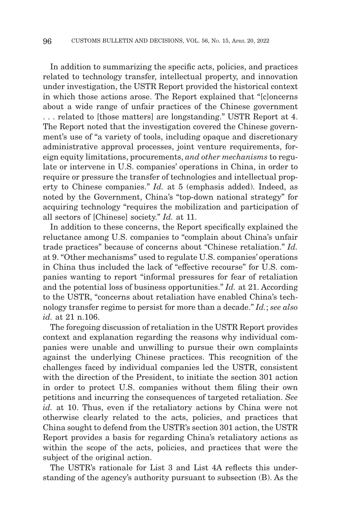In addition to summarizing the specific acts, policies, and practices related to technology transfer, intellectual property, and innovation under investigation, the USTR Report provided the historical context in which those actions arose. The Report explained that "[c]oncerns about a wide range of unfair practices of the Chinese government . . . related to [those matters] are longstanding." USTR Report at 4. The Report noted that the investigation covered the Chinese government's use of "a variety of tools, including opaque and discretionary administrative approval processes, joint venture requirements, foreign equity limitations, procurements, *and other mechanisms* to regulate or intervene in U.S. companies' operations in China, in order to require or pressure the transfer of technologies and intellectual property to Chinese companies." *Id.* at 5 (emphasis added). Indeed, as noted by the Government, China's "top-down national strategy" for acquiring technology "requires the mobilization and participation of all sectors of [Chinese] society." *Id.* at 11.

In addition to these concerns, the Report specifically explained the reluctance among U.S. companies to "complain about China's unfair trade practices" because of concerns about "Chinese retaliation." *Id.* at 9. "Other mechanisms" used to regulate U.S. companies' operations in China thus included the lack of "effective recourse" for U.S. companies wanting to report "informal pressures for fear of retaliation and the potential loss of business opportunities." *Id.* at 21. According to the USTR, "concerns about retaliation have enabled China's technology transfer regime to persist for more than a decade." *Id.*; *see also id.* at 21 n.106.

The foregoing discussion of retaliation in the USTR Report provides context and explanation regarding the reasons why individual companies were unable and unwilling to pursue their own complaints against the underlying Chinese practices. This recognition of the challenges faced by individual companies led the USTR, consistent with the direction of the President, to initiate the section 301 action in order to protect U.S. companies without them filing their own petitions and incurring the consequences of targeted retaliation. *See id.* at 10. Thus, even if the retaliatory actions by China were not otherwise clearly related to the acts, policies, and practices that China sought to defend from the USTR's section 301 action, the USTR Report provides a basis for regarding China's retaliatory actions as within the scope of the acts, policies, and practices that were the subject of the original action.

The USTR's rationale for List 3 and List 4A reflects this understanding of the agency's authority pursuant to subsection (B). As the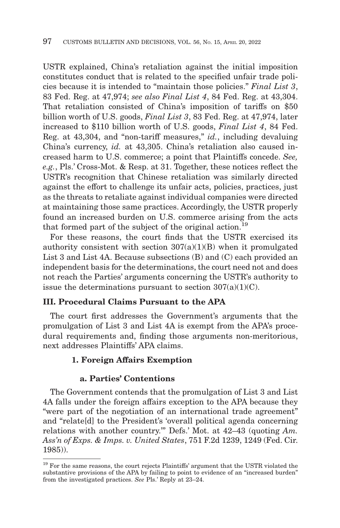USTR explained, China's retaliation against the initial imposition constitutes conduct that is related to the specified unfair trade policies because it is intended to "maintain those policies." *Final List 3*, 83 Fed. Reg. at 47,974; *see also Final List 4*, 84 Fed. Reg. at 43,304. That retaliation consisted of China's imposition of tariffs on \$50 billion worth of U.S. goods, *Final List 3*, 83 Fed. Reg. at 47,974, later increased to \$110 billion worth of U.S. goods, *Final List 4*, 84 Fed. Reg. at 43,304, and "non-tariff measures," *id.*, including devaluing China's currency, *id.* at 43,305. China's retaliation also caused increased harm to U.S. commerce; a point that Plaintiffs concede. *See, e.g.*, Pls.' Cross-Mot. & Resp. at 31. Together, these notices reflect the USTR's recognition that Chinese retaliation was similarly directed against the effort to challenge its unfair acts, policies, practices, just as the threats to retaliate against individual companies were directed at maintaining those same practices. Accordingly, the USTR properly found an increased burden on U.S. commerce arising from the acts that formed part of the subject of the original action.<sup>19</sup>

For these reasons, the court finds that the USTR exercised its authority consistent with section  $307(a)(1)(B)$  when it promulgated List 3 and List 4A. Because subsections (B) and (C) each provided an independent basis for the determinations, the court need not and does not reach the Parties' arguments concerning the USTR's authority to issue the determinations pursuant to section  $307(a)(1)(C)$ .

## **III. Procedural Claims Pursuant to the APA**

The court first addresses the Government's arguments that the promulgation of List 3 and List 4A is exempt from the APA's procedural requirements and, finding those arguments non-meritorious, next addresses Plaintiffs' APA claims.

## **1. Foreign Affairs Exemption**

## **a. Parties' Contentions**

The Government contends that the promulgation of List 3 and List 4A falls under the foreign affairs exception to the APA because they "were part of the negotiation of an international trade agreement" and "relate[d] to the President's 'overall political agenda concerning relations with another country.'" Defs.' Mot. at 42–43 (quoting *Am. Ass'n of Exps. & Imps. v. United States*, 751 F.2d 1239, 1249 (Fed. Cir. 1985)).

<sup>&</sup>lt;sup>19</sup> For the same reasons, the court rejects Plaintiffs' argument that the USTR violated the substantive provisions of the APA by failing to point to evidence of an "increased burden" from the investigated practices. *See* Pls.' Reply at 23–24.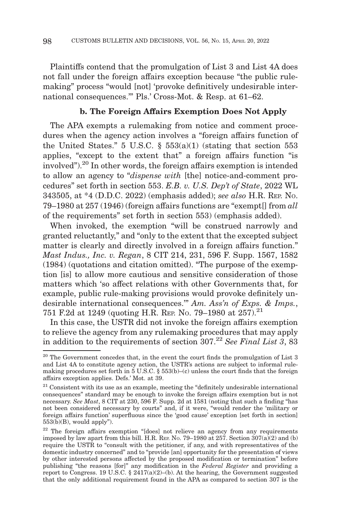Plaintiffs contend that the promulgation of List 3 and List 4A does not fall under the foreign affairs exception because "the public rulemaking" process "would [not] 'provoke definitively undesirable international consequences.'" Pls.' Cross-Mot. & Resp. at 61–62.

## **b. The Foreign Affairs Exemption Does Not Apply**

The APA exempts a rulemaking from notice and comment procedures when the agency action involves a "foreign affairs function of the United States." 5 U.S.C.  $\S$  553(a)(1) (stating that section 553 applies, "except to the extent that" a foreign affairs function "is involved").20 In other words, the foreign affairs exemption is intended to allow an agency to "*dispense with* [the] notice-and-comment procedures" set forth in section 553. *E.B. v. U.S. Dep't of State*, 2022 WL 343505, at \*4 (D.D.C. 2022) (emphasis added); *see also* H.R. REP. NO. 79–1980 at 257 (1946) (foreign affairs functions are "exempt[] from *all* of the requirements" set forth in section 553) (emphasis added).

When invoked, the exemption "will be construed narrowly and granted reluctantly," and "only to the extent that the excepted subject matter is clearly and directly involved in a foreign affairs function." *Mast Indus., Inc. v. Regan*, 8 CIT 214, 231, 596 F. Supp. 1567, 1582 (1984) (quotations and citation omitted). "The purpose of the exemption [is] to allow more cautious and sensitive consideration of those matters which 'so affect relations with other Governments that, for example, public rule-making provisions would provoke definitely undesirable international consequences.'" *Am. Ass'n of Exps. & Imps.*, 751 F.2d at 1249 (quoting H.R. REP. No. 79–1980 at  $257$ ).<sup>21</sup>

In this case, the USTR did not invoke the foreign affairs exemption to relieve the agency from any rulemaking procedures that may apply in addition to the requirements of section 307.22 *See Final List 3*, 83

 $20$  The Government concedes that, in the event the court finds the promulgation of List 3 and List 4A to constitute agency action, the USTR's actions are subject to informal rulemaking procedures set forth in  $5 \text{ U.S.C. } \S 553(b)$ –(c) unless the court finds that the foreign affairs exception applies. Defs.' Mot. at 39.

 $21$  Consistent with its use as an example, meeting the "definitely undesirable international consequences" standard may be enough to invoke the foreign affairs exemption but is not necessary. *See Mast*, 8 CIT at 230, 596 F. Supp. 2d at 1581 (noting that such a finding "has not been considered necessary by courts" and, if it were, "would render the 'military or foreign affairs function' superfluous since the 'good cause' exception [set forth in section]  $553(b)(B)$ , would apply").

 $22$  The foreign affairs exemption "[does] not relieve an agency from any requirements imposed by law apart from this bill. H.R. REP. No. 79–1980 at 257. Section  $307(a)(2)$  and (b) require the USTR to "consult with the petitioner, if any, and with representatives of the domestic industry concerned" and to "provide [an] opportunity for the presentation of views by other interested persons affected by the proposed modification or termination" before publishing "the reasons [for]" any modification in the *Federal Register* and providing a report to Congress. 19 U.S.C.  $\S$  2417(a)(2)–(b). At the hearing, the Government suggested that the only additional requirement found in the APA as compared to section 307 is the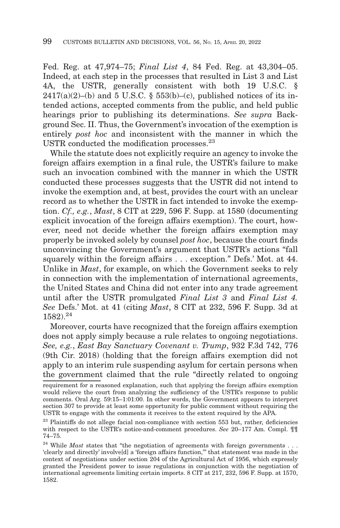Fed. Reg. at 47,974–75; *Final List 4*, 84 Fed. Reg. at 43,304–05. Indeed, at each step in the processes that resulted in List 3 and List 4A, the USTR, generally consistent with both 19 U.S.C. § 2417(a)(2)–(b) and 5 U.S.C. § 553(b)–(c), published notices of its intended actions, accepted comments from the public, and held public hearings prior to publishing its determinations. *See supra* Background Sec. II. Thus, the Government's invocation of the exemption is entirely *post hoc* and inconsistent with the manner in which the USTR conducted the modification processes.<sup>23</sup>

While the statute does not explicitly require an agency to invoke the foreign affairs exemption in a final rule, the USTR's failure to make such an invocation combined with the manner in which the USTR conducted these processes suggests that the USTR did not intend to invoke the exemption and, at best, provides the court with an unclear record as to whether the USTR in fact intended to invoke the exemption. *Cf., e.g.*, *Mast*, 8 CIT at 229, 596 F. Supp. at 1580 (documenting explicit invocation of the foreign affairs exemption). The court, however, need not decide whether the foreign affairs exemption may properly be invoked solely by counsel *post hoc*, because the court finds unconvincing the Government's argument that USTR's actions "fall squarely within the foreign affairs . . . exception." Defs.' Mot. at 44. Unlike in *Mast*, for example, on which the Government seeks to rely in connection with the implementation of international agreements, the United States and China did not enter into any trade agreement until after the USTR promulgated *Final List 3* and *Final List 4. See* Defs.' Mot. at 41 (citing *Mast*, 8 CIT at 232, 596 F. Supp. 3d at  $1582.24$ 

Moreover, courts have recognized that the foreign affairs exemption does not apply simply because a rule relates to ongoing negotiations. *See, e.g.*, *East Bay Sanctuary Covenant v. Trump*, 932 F.3d 742, 776 (9th Cir. 2018) (holding that the foreign affairs exemption did not apply to an interim rule suspending asylum for certain persons when the government claimed that the rule "directly related to ongoing

requirement for a reasoned explanation, such that applying the foreign affairs exemption would relieve the court from analyzing the sufficiency of the USTR's response to public comments. Oral Arg. 59:15–1:01:00. In other words, the Government appears to interpret section 307 to provide at least some opportunity for public comment without requiring the USTR to engage with the comments it receives to the extent required by the APA.

<sup>&</sup>lt;sup>23</sup> Plaintiffs do not allege facial non-compliance with section 553 but, rather, deficiencies with respect to the USTR's notice-and-comment procedures. *See* 20–177 Am. Compl. ¶¶ 74–75.

 $^{24}$  While *Mast* states that "the negotiation of agreements with foreign governments . . . 'clearly and directly' involve[d] a 'foreign affairs function,'" that statement was made in the context of negotiations under section 204 of the Agricultural Act of 1956, which expressly granted the President power to issue regulations in conjunction with the negotiation of international agreements limiting certain imports. 8 CIT at 217, 232, 596 F. Supp. at 1570, 1582.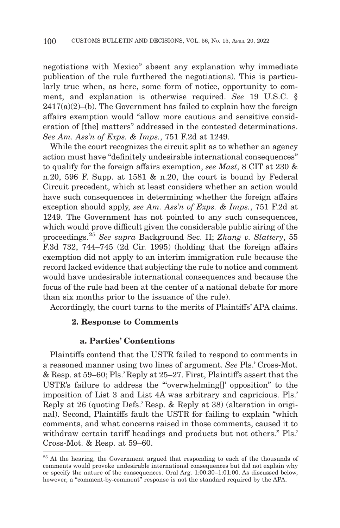negotiations with Mexico" absent any explanation why immediate publication of the rule furthered the negotiations). This is particularly true when, as here, some form of notice, opportunity to comment, and explanation is otherwise required. *See* 19 U.S.C. §  $2417(a)(2)$ –(b). The Government has failed to explain how the foreign affairs exemption would "allow more cautious and sensitive consideration of [the] matters" addressed in the contested determinations. *See Am. Ass'n of Exps. & Imps.*, 751 F.2d at 1249.

While the court recognizes the circuit split as to whether an agency action must have "definitely undesirable international consequences" to qualify for the foreign affairs exemption, *see Mast*, 8 CIT at 230 & n.20, 596 F. Supp. at 1581 & n.20, the court is bound by Federal Circuit precedent, which at least considers whether an action would have such consequences in determining whether the foreign affairs exception should apply, *see Am. Ass'n of Exps. & Imps.*, 751 F.2d at 1249. The Government has not pointed to any such consequences, which would prove difficult given the considerable public airing of the proceedings.25 *See supra* Background Sec. II; *Zhang v. Slattery*, 55 F.3d 732, 744–745 (2d Cir. 1995) (holding that the foreign affairs exemption did not apply to an interim immigration rule because the record lacked evidence that subjecting the rule to notice and comment would have undesirable international consequences and because the focus of the rule had been at the center of a national debate for more than six months prior to the issuance of the rule).

Accordingly, the court turns to the merits of Plaintiffs' APA claims.

## **2. Response to Comments**

## **a. Parties' Contentions**

Plaintiffs contend that the USTR failed to respond to comments in a reasoned manner using two lines of argument. *See* Pls.' Cross-Mot. & Resp. at 59–60; Pls.' Reply at 25–27. First, Plaintiffs assert that the USTR's failure to address the "'overwhelming[]' opposition" to the imposition of List 3 and List 4A was arbitrary and capricious. Pls.' Reply at 26 (quoting Defs.' Resp. & Reply at 38) (alteration in original). Second, Plaintiffs fault the USTR for failing to explain "which comments, and what concerns raised in those comments, caused it to withdraw certain tariff headings and products but not others." Pls.' Cross-Mot. & Resp. at 59–60.

<sup>&</sup>lt;sup>25</sup> At the hearing, the Government argued that responding to each of the thousands of comments would provoke undesirable international consequences but did not explain why or specify the nature of the consequences. Oral Arg. 1:00:30–1:01:00. As discussed below, however, a "comment-by-comment" response is not the standard required by the APA.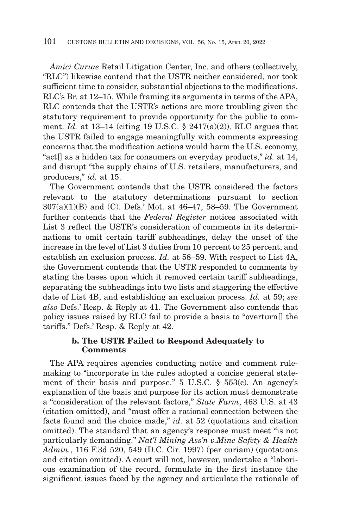*Amici Curiae* Retail Litigation Center, Inc. and others (collectively, "RLC") likewise contend that the USTR neither considered, nor took sufficient time to consider, substantial objections to the modifications. RLC's Br. at 12–15. While framing its arguments in terms of the APA, RLC contends that the USTR's actions are more troubling given the statutory requirement to provide opportunity for the public to comment. *Id.* at 13–14 (citing 19 U.S.C. § 2417(a)(2)). RLC argues that the USTR failed to engage meaningfully with comments expressing concerns that the modification actions would harm the U.S. economy, "act[] as a hidden tax for consumers on everyday products," *id.* at 14, and disrupt "the supply chains of U.S. retailers, manufacturers, and producers," *id.* at 15.

The Government contends that the USTR considered the factors relevant to the statutory determinations pursuant to section 307(a)(1)(B) and (C). Defs.' Mot. at 46–47, 58–59. The Government further contends that the *Federal Register* notices associated with List 3 reflect the USTR's consideration of comments in its determinations to omit certain tariff subheadings, delay the onset of the increase in the level of List 3 duties from 10 percent to 25 percent, and establish an exclusion process. *Id.* at 58–59. With respect to List 4A, the Government contends that the USTR responded to comments by stating the bases upon which it removed certain tariff subheadings, separating the subheadings into two lists and staggering the effective date of List 4B, and establishing an exclusion process. *Id.* at 59; *see also* Defs.' Resp. & Reply at 41. The Government also contends that policy issues raised by RLC fail to provide a basis to "overturn[] the tariffs." Defs.' Resp. & Reply at 42.

## **b. The USTR Failed to Respond Adequately to Comments**

The APA requires agencies conducting notice and comment rulemaking to "incorporate in the rules adopted a concise general statement of their basis and purpose." 5 U.S.C. § 553(c). An agency's explanation of the basis and purpose for its action must demonstrate a "consideration of the relevant factors," *State Farm*, 463 U.S. at 43 (citation omitted), and "must offer a rational connection between the facts found and the choice made," *id.* at 52 (quotations and citation omitted). The standard that an agency's response must meet "is not particularly demanding." *Nat'l Mining Ass'n v.Mine Safety & Health Admin.*, 116 F.3d 520, 549 (D.C. Cir. 1997) (per curiam) (quotations and citation omitted). A court will not, however, undertake a "laborious examination of the record, formulate in the first instance the significant issues faced by the agency and articulate the rationale of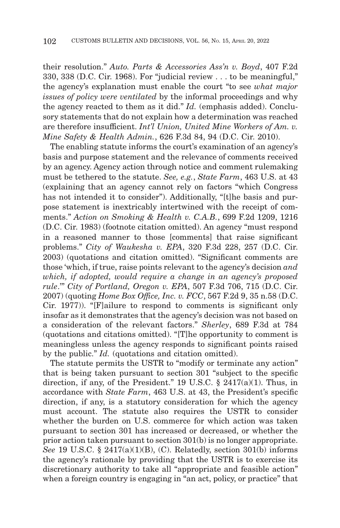their resolution." *Auto. Parts & Accessories Ass'n v. Boyd*, 407 F.2d 330, 338 (D.C. Cir. 1968). For "judicial review . . . to be meaningful," the agency's explanation must enable the court "to see *what major issues of policy were ventilated* by the informal proceedings and why the agency reacted to them as it did." *Id.* (emphasis added). Conclusory statements that do not explain how a determination was reached are therefore insufficient. *Int'l Union, United Mine Workers of Am. v. Mine Safety & Health Admin.*, 626 F.3d 84, 94 (D.C. Cir. 2010).

The enabling statute informs the court's examination of an agency's basis and purpose statement and the relevance of comments received by an agency. Agency action through notice and comment rulemaking must be tethered to the statute. *See, e.g.*, *State Farm*, 463 U.S. at 43 (explaining that an agency cannot rely on factors "which Congress has not intended it to consider"). Additionally, "[t]he basis and purpose statement is inextricably intertwined with the receipt of comments." *Action on Smoking & Health v. C.A.B.*, 699 F.2d 1209, 1216 (D.C. Cir. 1983) (footnote citation omitted). An agency "must respond in a reasoned manner to those [comments] that raise significant problems." *City of Waukesha v. EPA*, 320 F.3d 228, 257 (D.C. Cir. 2003) (quotations and citation omitted). "Significant comments are those 'which, if true, raise points relevant to the agency's decision *and which, if adopted, would require a change in an agency's proposed rule*.'" *City of Portland, Oregon v. EPA*, 507 F.3d 706, 715 (D.C. Cir. 2007) (quoting *Home Box Office, Inc. v. FCC*, 567 F.2d 9, 35 n.58 (D.C. Cir. 1977)). "[F]ailure to respond to comments is significant only insofar as it demonstrates that the agency's decision was not based on a consideration of the relevant factors." *Sherley*, 689 F.3d at 784 (quotations and citations omitted). "[T]he opportunity to comment is meaningless unless the agency responds to significant points raised by the public." *Id.* (quotations and citation omitted).

The statute permits the USTR to "modify or terminate any action" that is being taken pursuant to section 301 "subject to the specific direction, if any, of the President." 19 U.S.C. § 2417(a)(1). Thus, in accordance with *State Farm*, 463 U.S. at 43, the President's specific direction, if any, is a statutory consideration for which the agency must account. The statute also requires the USTR to consider whether the burden on U.S. commerce for which action was taken pursuant to section 301 has increased or decreased, or whether the prior action taken pursuant to section 301(b) is no longer appropriate. *See* 19 U.S.C. § 2417(a)(1)(B), (C). Relatedly, section 301(b) informs the agency's rationale by providing that the USTR is to exercise its discretionary authority to take all "appropriate and feasible action" when a foreign country is engaging in "an act, policy, or practice" that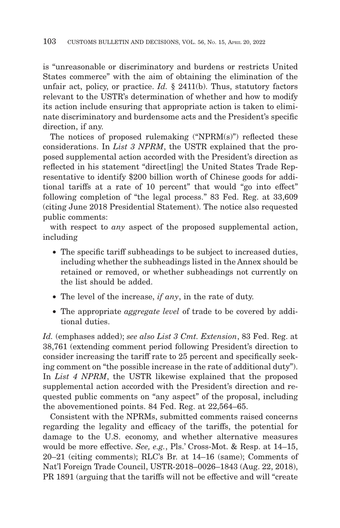is "unreasonable or discriminatory and burdens or restricts United States commerce" with the aim of obtaining the elimination of the unfair act, policy, or practice. *Id.* § 2411(b). Thus, statutory factors relevant to the USTR's determination of whether and how to modify its action include ensuring that appropriate action is taken to eliminate discriminatory and burdensome acts and the President's specific direction, if any.

The notices of proposed rulemaking ("NPRM(s)") reflected these considerations. In *List 3 NPRM*, the USTR explained that the proposed supplemental action accorded with the President's direction as reflected in his statement "direct[ing] the United States Trade Representative to identify \$200 billion worth of Chinese goods for additional tariffs at a rate of 10 percent" that would "go into effect" following completion of "the legal process." 83 Fed. Reg. at 33,609 (citing June 2018 Presidential Statement). The notice also requested public comments:

with respect to *any* aspect of the proposed supplemental action, including

- The specific tariff subheadings to be subject to increased duties, including whether the subheadings listed in the Annex should be retained or removed, or whether subheadings not currently on the list should be added.
- The level of the increase, *if any*, in the rate of duty.
- The appropriate *aggregate level* of trade to be covered by additional duties.

*Id.* (emphases added); *see also List 3 Cmt. Extension*, 83 Fed. Reg. at 38,761 (extending comment period following President's direction to consider increasing the tariff rate to 25 percent and specifically seeking comment on "the possible increase in the rate of additional duty"). In *List 4 NPRM*, the USTR likewise explained that the proposed supplemental action accorded with the President's direction and requested public comments on "any aspect" of the proposal, including the abovementioned points. 84 Fed. Reg. at 22,564–65.

Consistent with the NPRMs, submitted comments raised concerns regarding the legality and efficacy of the tariffs, the potential for damage to the U.S. economy, and whether alternative measures would be more effective. *See, e.g.*, Pls.' Cross-Mot. & Resp. at 14–15, 20–21 (citing comments); RLC's Br. at 14–16 (same); Comments of Nat'l Foreign Trade Council, USTR-2018–0026–1843 (Aug. 22, 2018), PR 1891 (arguing that the tariffs will not be effective and will "create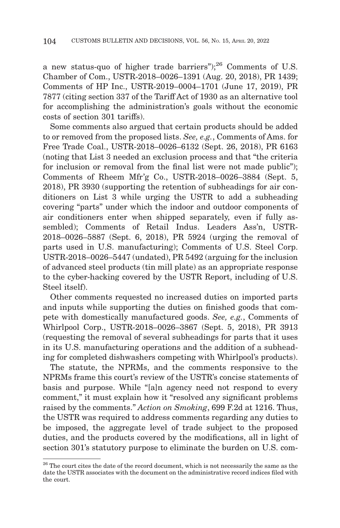a new status-quo of higher trade barriers"); $^{26}$  Comments of U.S. Chamber of Com., USTR-2018–0026–1391 (Aug. 20, 2018), PR 1439; Comments of HP Inc., USTR-2019–0004–1701 (June 17, 2019), PR 7877 (citing section 337 of the Tariff Act of 1930 as an alternative tool for accomplishing the administration's goals without the economic costs of section 301 tariffs).

Some comments also argued that certain products should be added to or removed from the proposed lists. *See, e.g.*, Comments of Ams. for Free Trade Coal., USTR-2018–0026–6132 (Sept. 26, 2018), PR 6163 (noting that List 3 needed an exclusion process and that "the criteria for inclusion or removal from the final list were not made public"); Comments of Rheem Mfr'g Co., USTR-2018–0026–3884 (Sept. 5, 2018), PR 3930 (supporting the retention of subheadings for air conditioners on List 3 while urging the USTR to add a subheading covering "parts" under which the indoor and outdoor components of air conditioners enter when shipped separately, even if fully assembled); Comments of Retail Indus. Leaders Ass'n, USTR-2018–0026–5887 (Sept. 6, 2018), PR 5924 (urging the removal of parts used in U.S. manufacturing); Comments of U.S. Steel Corp. USTR-2018–0026–5447 (undated), PR 5492 (arguing for the inclusion of advanced steel products (tin mill plate) as an appropriate response to the cyber-hacking covered by the USTR Report, including of U.S. Steel itself).

Other comments requested no increased duties on imported parts and inputs while supporting the duties on finished goods that compete with domestically manufactured goods. *See, e.g.*, Comments of Whirlpool Corp., USTR-2018–0026–3867 (Sept. 5, 2018), PR 3913 (requesting the removal of several subheadings for parts that it uses in its U.S. manufacturing operations and the addition of a subheading for completed dishwashers competing with Whirlpool's products).

The statute, the NPRMs, and the comments responsive to the NPRMs frame this court's review of the USTR's concise statements of basis and purpose. While "[a]n agency need not respond to every comment," it must explain how it "resolved any significant problems raised by the comments." *Action on Smoking*, 699 F.2d at 1216. Thus, the USTR was required to address comments regarding any duties to be imposed, the aggregate level of trade subject to the proposed duties, and the products covered by the modifications, all in light of section 301's statutory purpose to eliminate the burden on U.S. com-

<sup>&</sup>lt;sup>26</sup> The court cites the date of the record document, which is not necessarily the same as the date the USTR associates with the document on the administrative record indices filed with the court.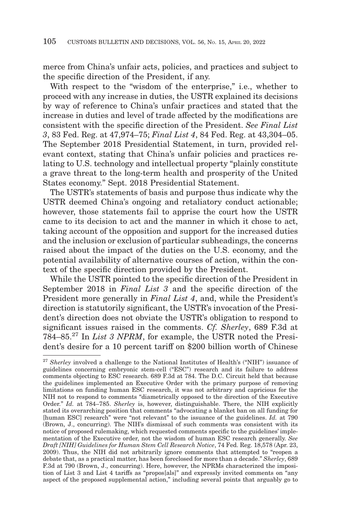merce from China's unfair acts, policies, and practices and subject to the specific direction of the President, if any.

With respect to the "wisdom of the enterprise," i.e., whether to proceed with any increase in duties, the USTR explained its decisions by way of reference to China's unfair practices and stated that the increase in duties and level of trade affected by the modifications are consistent with the specific direction of the President. *See Final List 3*, 83 Fed. Reg. at 47,974–75; *Final List 4*, 84 Fed. Reg. at 43,304–05. The September 2018 Presidential Statement, in turn, provided relevant context, stating that China's unfair policies and practices relating to U.S. technology and intellectual property "plainly constitute a grave threat to the long-term health and prosperity of the United States economy." Sept. 2018 Presidential Statement.

The USTR's statements of basis and purpose thus indicate why the USTR deemed China's ongoing and retaliatory conduct actionable; however, those statements fail to apprise the court how the USTR came to its decision to act and the manner in which it chose to act, taking account of the opposition and support for the increased duties and the inclusion or exclusion of particular subheadings, the concerns raised about the impact of the duties on the U.S. economy, and the potential availability of alternative courses of action, within the context of the specific direction provided by the President.

While the USTR pointed to the specific direction of the President in September 2018 in *Final List 3* and the specific direction of the President more generally in *Final List 4*, and, while the President's direction is statutorily significant, the USTR's invocation of the President's direction does not obviate the USTR's obligation to respond to significant issues raised in the comments. *Cf. Sherley*, 689 F.3d at 784–85.27 In *List 3 NPRM*, for example, the USTR noted the President's desire for a 10 percent tariff on \$200 billion worth of Chinese

<sup>27</sup>*Sherley* involved a challenge to the National Institutes of Health's ("NIH") issuance of guidelines concerning embryonic stem-cell ("ESC") research and its failure to address comments objecting to ESC research. 689 F.3d at 784. The D.C. Circuit held that because the guidelines implemented an Executive Order with the primary purpose of removing limitations on funding human ESC research, it was not arbitrary and capricious for the NIH not to respond to comments "diametrically opposed to the direction of the Executive Order." *Id.* at 784–785. *Sherley* is, however, distinguishable. There, the NIH explicitly stated its overarching position that comments "advocating a blanket ban on all funding for [human ESC] research" were "not relevant" to the issuance of the guidelines. *Id.* at 790 (Brown, J., concurring). The NIH's dismissal of such comments was consistent with its notice of proposed rulemaking, which requested comments specific to the guidelines' implementation of the Executive order, not the wisdom of human ESC research generally. *See Draft [NIH] Guidelines for Human Stem Cell Research Notice*, 74 Fed. Reg. 18,578 (Apr. 23, 2009). Thus, the NIH did not arbitrarily ignore comments that attempted to "reopen a debate that, as a practical matter, has been foreclosed for more than a decade." *Sherley*, 689 F.3d at 790 (Brown, J., concurring). Here, however, the NPRMs characterized the imposition of List 3 and List 4 tariffs as "propos[als]" and expressly invited comments on "any aspect of the proposed supplemental action," including several points that arguably go to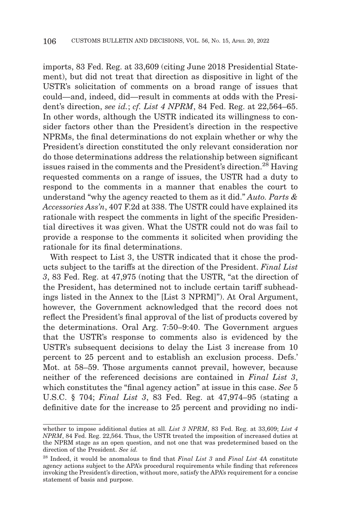imports, 83 Fed. Reg. at 33,609 (citing June 2018 Presidential Statement), but did not treat that direction as dispositive in light of the USTR's solicitation of comments on a broad range of issues that could—and, indeed, did—result in comments at odds with the President's direction, *see id.*; *cf. List 4 NPRM*, 84 Fed. Reg. at 22,564–65. In other words, although the USTR indicated its willingness to consider factors other than the President's direction in the respective NPRMs, the final determinations do not explain whether or why the President's direction constituted the only relevant consideration nor do those determinations address the relationship between significant issues raised in the comments and the President's direction.<sup>28</sup> Having requested comments on a range of issues, the USTR had a duty to respond to the comments in a manner that enables the court to understand "why the agency reacted to them as it did." *Auto. Parts & Accessories Ass'n*, 407 F.2d at 338. The USTR could have explained its rationale with respect the comments in light of the specific Presidential directives it was given. What the USTR could not do was fail to provide a response to the comments it solicited when providing the rationale for its final determinations.

With respect to List 3, the USTR indicated that it chose the products subject to the tariffs at the direction of the President. *Final List 3*, 83 Fed. Reg. at 47,975 (noting that the USTR, "at the direction of the President, has determined not to include certain tariff subheadings listed in the Annex to the [List 3 NPRM]"). At Oral Argument, however, the Government acknowledged that the record does not reflect the President's final approval of the list of products covered by the determinations. Oral Arg. 7:50–9:40. The Government argues that the USTR's response to comments also is evidenced by the USTR's subsequent decisions to delay the List 3 increase from 10 percent to 25 percent and to establish an exclusion process. Defs.' Mot. at 58–59. Those arguments cannot prevail, however, because neither of the referenced decisions are contained in *Final List 3*, which constitutes the "final agency action" at issue in this case. *See* 5 U.S.C. § 704; *Final List 3*, 83 Fed. Reg. at 47,974–95 (stating a definitive date for the increase to 25 percent and providing no indi-

whether to impose additional duties at all. *List 3 NPRM*, 83 Fed. Reg. at 33,609; *List 4 NPRM*, 84 Fed. Reg. 22,564. Thus, the USTR treated the imposition of increased duties at the NPRM stage as an open question, and not one that was predetermined based on the direction of the President. *See id.*

<sup>28</sup> Indeed, it would be anomalous to find that *Final List 3* and *Final List 4A* constitute agency actions subject to the APA's procedural requirements while finding that references invoking the President's direction, without more, satisfy the APA's requirement for a concise statement of basis and purpose.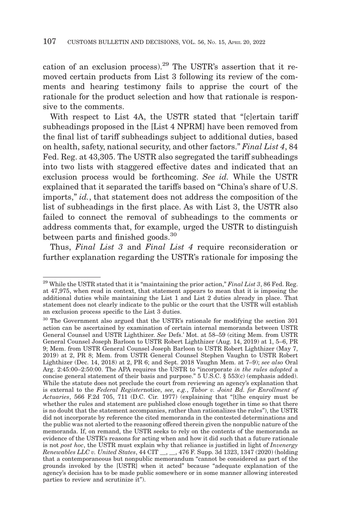cation of an exclusion process).29 The USTR's assertion that it removed certain products from List 3 following its review of the comments and hearing testimony fails to apprise the court of the rationale for the product selection and how that rationale is responsive to the comments.

With respect to List 4A, the USTR stated that "[c]ertain tariff subheadings proposed in the [List 4 NPRM] have been removed from the final list of tariff subheadings subject to additional duties, based on health, safety, national security, and other factors." *Final List 4*, 84 Fed. Reg. at 43,305. The USTR also segregated the tariff subheadings into two lists with staggered effective dates and indicated that an exclusion process would be forthcoming. *See id.* While the USTR explained that it separated the tariffs based on "China's share of U.S. imports," *id.*, that statement does not address the composition of the list of subheadings in the first place. As with List 3, the USTR also failed to connect the removal of subheadings to the comments or address comments that, for example, urged the USTR to distinguish between parts and finished goods.<sup>30</sup>

Thus, *Final List 3* and *Final List 4* require reconsideration or further explanation regarding the USTR's rationale for imposing the

<sup>29</sup> While the USTR stated that it is "maintaining the prior action," *Final List 3*, 86 Fed. Reg. at 47,975, when read in context, that statement appears to mean that it is imposing the additional duties while maintaining the List 1 and List 2 duties already in place. That statement does not clearly indicate to the public or the court that the USTR will establish an exclusion process specific to the List 3 duties.

 $^\mathrm{30}$  The Government also argued that the USTR's rationale for modifying the section  $301$ action can be ascertained by examination of certain internal memoranda between USTR General Counsel and USTR Lighthizer. *See* Defs.' Mot. at 58–59 (citing Mem. from USTR General Counsel Joseph Barloon to USTR Robert Lighthizer (Aug. 14, 2019) at 1, 5–6, PR 9; Mem. from USTR General Counsel Joseph Barloon to USTR Robert Lighthizer (May 7, 2019) at 2, PR 8; Mem. from USTR General Counsel Stephen Vaughn to USTR Robert Lighthizer (Dec. 14, 2018) at 2, PR 6; and Sept. 2018 Vaughn Mem. at 7–9); *see also* Oral Arg. 2:45:00–2:50:00. The APA requires the USTR to "incorporate *in the rules adopted* a concise general statement of their basis and purpose." 5 U.S.C. § 553(c) (emphasis added). While the statute does not preclude the court from reviewing an agency's explanation that is external to the *Federal Register*notice, *see, e.g.*, *Tabor v. Joint Bd. for Enrollment of Actuaries*, 566 F.2d 705, 711 (D.C. Cir. 1977) (explaining that "[t]he enquiry must be whether the rules and statement are published close enough together in time so that there is no doubt that the statement accompanies, rather than rationalizes the rules"), the USTR did not incorporate by reference the cited memoranda in the contested determinations and the public was not alerted to the reasoning offered therein given the nonpublic nature of the memoranda. If, on remand, the USTR seeks to rely on the contents of the memoranda as evidence of the USTR's reasons for acting when and how it did such that a future rationale is not *post hoc*, the USTR must explain why that reliance is justified in light of *Invenergy Renewables LLC v. United States*, 44 CIT \_\_, \_\_, 476 F. Supp. 3d 1323, 1347 (2020) (holding that a contemporaneous but nonpublic memorandum "cannot be considered as part of the grounds invoked by the [USTR] when it acted" because "adequate explanation of the agency's decision has to be made public somewhere or in some manner allowing interested parties to review and scrutinize it").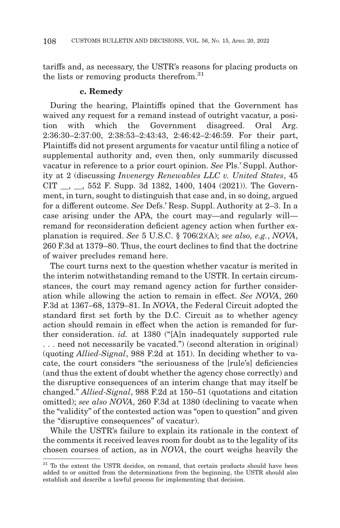tariffs and, as necessary, the USTR's reasons for placing products on the lists or removing products therefrom.<sup>31</sup>

#### **c. Remedy**

During the hearing, Plaintiffs opined that the Government has waived any request for a remand instead of outright vacatur, a position with which the Government disagreed. Oral Arg. 2:36:30–2:37:00, 2:38:53–2:43:43, 2:46:42–2:46:59. For their part, Plaintiffs did not present arguments for vacatur until filing a notice of supplemental authority and, even then, only summarily discussed vacatur in reference to a prior court opinion. *See* Pls.' Suppl. Authority at 2 (discussing *Invenergy Renewables LLC v. United States*, 45 CIT \_\_, \_\_, 552 F. Supp. 3d 1382, 1400, 1404 (2021)). The Government, in turn, sought to distinguish that case and, in so doing, argued for a different outcome. *See* Defs.' Resp. Suppl. Authority at 2–3. In a case arising under the APA, the court may—and regularly will remand for reconsideration deficient agency action when further explanation is required. *See* 5 U.S.C. § 706(2)(A); *see also, e.g.*, *NOVA*, 260 F.3d at 1379–80. Thus, the court declines to find that the doctrine of waiver precludes remand here.

The court turns next to the question whether vacatur is merited in the interim notwithstanding remand to the USTR. In certain circumstances, the court may remand agency action for further consideration while allowing the action to remain in effect. *See NOVA*, 260 F.3d at 1367–68, 1379–81. In *NOVA*, the Federal Circuit adopted the standard first set forth by the D.C. Circuit as to whether agency action should remain in effect when the action is remanded for further consideration. *id.* at 1380 ("[A]n inadequately supported rule . . . need not necessarily be vacated.") (second alteration in original) (quoting *Allied-Signal*, 988 F.2d at 151). In deciding whether to vacate, the court considers "the seriousness of the [rule's] deficiencies (and thus the extent of doubt whether the agency chose correctly) and the disruptive consequences of an interim change that may itself be changed." *Allied-Signal*, 988 F.2d at 150–51 (quotations and citation omitted); *see also NOVA*, 260 F.3d at 1380 (declining to vacate when the "validity" of the contested action was "open to question" and given the "disruptive consequences" of vacatur).

While the USTR's failure to explain its rationale in the context of the comments it received leaves room for doubt as to the legality of its chosen courses of action, as in *NOVA*, the court weighs heavily the

<sup>&</sup>lt;sup>31</sup> To the extent the USTR decides, on remand, that certain products should have been added to or omitted from the determinations from the beginning, the USTR should also establish and describe a lawful process for implementing that decision.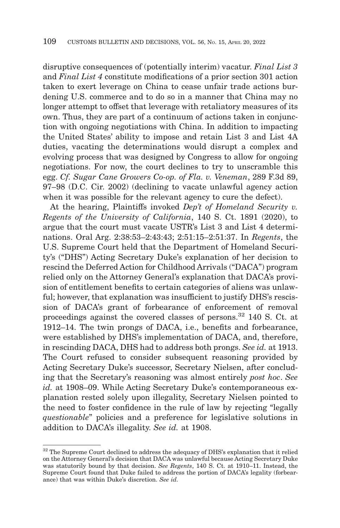disruptive consequences of (potentially interim) vacatur. *Final List 3* and *Final List 4* constitute modifications of a prior section 301 action taken to exert leverage on China to cease unfair trade actions burdening U.S. commerce and to do so in a manner that China may no longer attempt to offset that leverage with retaliatory measures of its own. Thus, they are part of a continuum of actions taken in conjunction with ongoing negotiations with China. In addition to impacting the United States' ability to impose and retain List 3 and List 4A duties, vacating the determinations would disrupt a complex and evolving process that was designed by Congress to allow for ongoing negotiations. For now, the court declines to try to unscramble this egg. *Cf. Sugar Cane Growers Co-op. of Fla. v. Veneman*, 289 F.3d 89, 97–98 (D.C. Cir. 2002) (declining to vacate unlawful agency action when it was possible for the relevant agency to cure the defect).

At the hearing, Plaintiffs invoked *Dep't of Homeland Security v. Regents of the University of California*, 140 S. Ct. 1891 (2020), to argue that the court must vacate USTR's List 3 and List 4 determinations. Oral Arg. 2:38:53–2:43:43; 2:51:15–2:51:37. In *Regents*, the U.S. Supreme Court held that the Department of Homeland Security's ("DHS") Acting Secretary Duke's explanation of her decision to rescind the Deferred Action for Childhood Arrivals ("DACA") program relied only on the Attorney General's explanation that DACA's provision of entitlement benefits to certain categories of aliens was unlawful; however, that explanation was insufficient to justify DHS's rescission of DACA's grant of forbearance of enforcement of removal proceedings against the covered classes of persons.32 140 S. Ct. at 1912–14. The twin prongs of DACA, i.e., benefits and forbearance, were established by DHS's implementation of DACA, and, therefore, in rescinding DACA, DHS had to address both prongs. *See id.* at 1913. The Court refused to consider subsequent reasoning provided by Acting Secretary Duke's successor, Secretary Nielsen, after concluding that the Secretary's reasoning was almost entirely *post hoc*. *See id.* at 1908–09. While Acting Secretary Duke's contemporaneous explanation rested solely upon illegality, Secretary Nielsen pointed to the need to foster confidence in the rule of law by rejecting "legally *questionable*" policies and a preference for legislative solutions in addition to DACA's illegality. *See id.* at 1908.

<sup>&</sup>lt;sup>32</sup> The Supreme Court declined to address the adequacy of DHS's explanation that it relied on the Attorney General's decision that DACA was unlawful because Acting Secretary Duke was statutorily bound by that decision. *See Regents*, 140 S. Ct. at 1910–11. Instead, the Supreme Court found that Duke failed to address the portion of DACA's legality (forbearance) that was within Duke's discretion. *See id.*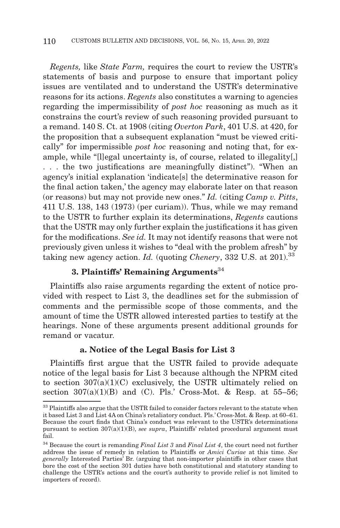*Regents,* like *State Farm,* requires the court to review the USTR's statements of basis and purpose to ensure that important policy issues are ventilated and to understand the USTR's determinative reasons for its actions. *Regents* also constitutes a warning to agencies regarding the impermissibility of *post hoc* reasoning as much as it constrains the court's review of such reasoning provided pursuant to a remand. 140 S. Ct. at 1908 (citing *Overton Park*, 401 U.S. at 420, for the proposition that a subsequent explanation "must be viewed critically" for impermissible *post hoc* reasoning and noting that, for example, while "[l]egal uncertainty is, of course, related to illegality[,] . . . the two justifications are meaningfully distinct"). "When an agency's initial explanation 'indicate[s] the determinative reason for the final action taken,' the agency may elaborate later on that reason (or reasons) but may not provide new ones." *Id.* (citing *Camp v. Pitts*, 411 U.S. 138, 143 (1973) (per curiam)). Thus, while we may remand to the USTR to further explain its determinations, *Regents* cautions that the USTR may only further explain the justifications it has given for the modifications. *See id.* It may not identify reasons that were not previously given unless it wishes to "deal with the problem afresh" by taking new agency action. *Id.* (quoting *Chenery*, 332 U.S. at 201).<sup>33</sup>

# **3. Plaintiffs' Remaining Arguments**<sup>34</sup>

Plaintiffs also raise arguments regarding the extent of notice provided with respect to List 3, the deadlines set for the submission of comments and the permissible scope of those comments, and the amount of time the USTR allowed interested parties to testify at the hearings. None of these arguments present additional grounds for remand or vacatur.

## **a. Notice of the Legal Basis for List 3**

Plaintiffs first argue that the USTR failed to provide adequate notice of the legal basis for List 3 because although the NPRM cited to section  $307(a)(1)(C)$  exclusively, the USTR ultimately relied on section  $307(a)(1)(B)$  and (C). Pls.' Cross-Mot. & Resp. at 55–56;

 $^{33}$  Plaintiffs also argue that the USTR failed to consider factors relevant to the statute when it based List 3 and List 4A on China's retaliatory conduct. Pls.' Cross-Mot. & Resp. at 60–61. Because the court finds that China's conduct was relevant to the USTR's determinations pursuant to section 307(a)(1)(B), *see supra*, Plaintiffs' related procedural argument must fail.

<sup>34</sup> Because the court is remanding *Final List 3* and *Final List 4*, the court need not further address the issue of remedy in relation to Plaintiffs or *Amici Curiae* at this time. *See generally* Interested Parties' Br. (arguing that non-importer plaintiffs in other cases that bore the cost of the section 301 duties have both constitutional and statutory standing to challenge the USTR's actions and the court's authority to provide relief is not limited to importers of record).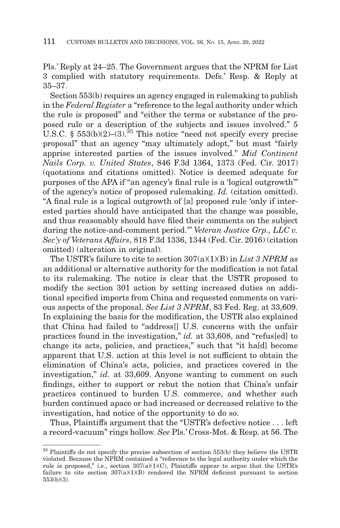Pls.' Reply at 24–25. The Government argues that the NPRM for List 3 complied with statutory requirements. Defs.' Resp. & Reply at 35–37.

Section 553(b) requires an agency engaged in rulemaking to publish in the *Federal Register* a "reference to the legal authority under which the rule is proposed" and "either the terms or substance of the proposed rule or a description of the subjects and issues involved." 5 U.S.C. §  $553(b)(2)-(3).$ <sup>35</sup> This notice "need not specify every precise" proposal" that an agency "may ultimately adopt," but must "fairly apprise interested parties of the issues involved." *Mid Continent Nails Corp. v. United States*, 846 F.3d 1364, 1373 (Fed. Cir. 2017) (quotations and citations omitted). Notice is deemed adequate for purposes of the APA if "an agency's final rule is a 'logical outgrowth'" of the agency's notice of proposed rulemaking. *Id.* (citation omitted). "A final rule is a logical outgrowth of [a] proposed rule 'only if interested parties should have anticipated that the change was possible, and thus reasonably should have filed their comments on the subject during the notice-and-comment period.'" *Veteran Justice Grp., LLC v. Sec'y of Veterans Affairs*, 818 F.3d 1336, 1344 (Fed. Cir. 2016) (citation omitted) (alteration in original).

The USTR's failure to cite to section 307(a)(1)(B) in *List 3 NPRM* as an additional or alternative authority for the modification is not fatal to its rulemaking. The notice is clear that the USTR proposed to modify the section 301 action by setting increased duties on additional specified imports from China and requested comments on various aspects of the proposal. *See List 3 NPRM*, 83 Fed. Reg. at 33,609. In explaining the basis for the modification, the USTR also explained that China had failed to "address[] U.S. concerns with the unfair practices found in the investigation," *id.* at 33,608, and "refus[ed] to change its acts, policies, and practices," such that "it ha[d] become apparent that U.S. action at this level is not sufficient to obtain the elimination of China's acts, policies, and practices covered in the investigation," *id.* at 33,609. Anyone wanting to comment on such findings, either to support or rebut the notion that China's unfair practices continued to burden U.S. commerce, and whether such burden continued apace or had increased or decreased relative to the investigation, had notice of the opportunity to do so.

Thus, Plaintiffs argument that the "USTR's defective notice . . . left a record-vacuum" rings hollow. *See* Pls.' Cross-Mot. & Resp. at 56. The

<sup>&</sup>lt;sup>35</sup> Plaintiffs do not specify the precise subsection of section 553(b) they believe the USTR violated. Because the NPRM contained a "reference to the legal authority under which the rule is proposed," i.e., section 307(a)(1)(C), Plaintiffs appear to argue that the USTR's failure to cite section  $307(a)(1)(B)$  rendered the NPRM deficient pursuant to section 553(b)(3).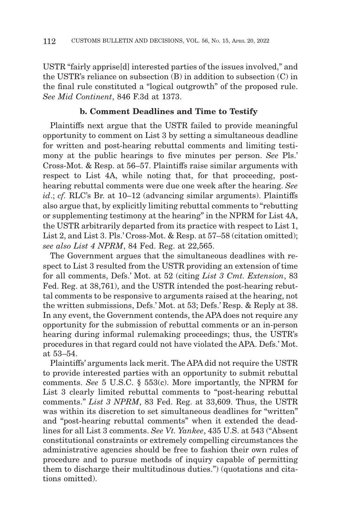USTR "fairly apprise[d] interested parties of the issues involved," and the USTR's reliance on subsection (B) in addition to subsection (C) in the final rule constituted a "logical outgrowth" of the proposed rule. *See Mid Continent*, 846 F.3d at 1373.

### **b. Comment Deadlines and Time to Testify**

Plaintiffs next argue that the USTR failed to provide meaningful opportunity to comment on List 3 by setting a simultaneous deadline for written and post-hearing rebuttal comments and limiting testimony at the public hearings to five minutes per person. *See* Pls.' Cross-Mot. & Resp. at 56–57. Plaintiffs raise similar arguments with respect to List 4A, while noting that, for that proceeding, posthearing rebuttal comments were due one week after the hearing. *See id.*; *cf.* RLC's Br. at 10–12 (advancing similar arguments). Plaintiffs also argue that, by explicitly limiting rebuttal comments to "rebutting or supplementing testimony at the hearing" in the NPRM for List 4A, the USTR arbitrarily departed from its practice with respect to List 1, List 2, and List 3. Pls.' Cross-Mot. & Resp. at 57–58 (citation omitted); *see also List 4 NPRM*, 84 Fed. Reg. at 22,565.

The Government argues that the simultaneous deadlines with respect to List 3 resulted from the USTR providing an extension of time for all comments, Defs.' Mot. at 52 (citing *List 3 Cmt. Extension*, 83 Fed. Reg. at 38,761), and the USTR intended the post-hearing rebuttal comments to be responsive to arguments raised at the hearing, not the written submissions, Defs.' Mot. at 53; Defs.' Resp. & Reply at 38. In any event, the Government contends, the APA does not require any opportunity for the submission of rebuttal comments or an in-person hearing during informal rulemaking proceedings; thus, the USTR's procedures in that regard could not have violated the APA. Defs.' Mot. at 53–54.

Plaintiffs' arguments lack merit. The APA did not require the USTR to provide interested parties with an opportunity to submit rebuttal comments. *See* 5 U.S.C. § 553(c). More importantly, the NPRM for List 3 clearly limited rebuttal comments to "post-hearing rebuttal comments." *List 3 NPRM*, 83 Fed. Reg. at 33,609. Thus, the USTR was within its discretion to set simultaneous deadlines for "written" and "post-hearing rebuttal comments" when it extended the deadlines for all List 3 comments. *See Vt. Yankee*, 435 U.S. at 543 ("Absent constitutional constraints or extremely compelling circumstances the administrative agencies should be free to fashion their own rules of procedure and to pursue methods of inquiry capable of permitting them to discharge their multitudinous duties.") (quotations and citations omitted).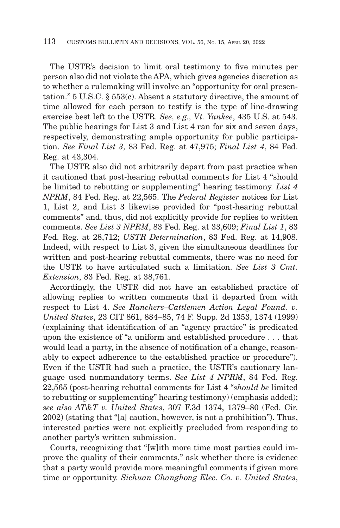The USTR's decision to limit oral testimony to five minutes per person also did not violate the APA, which gives agencies discretion as to whether a rulemaking will involve an "opportunity for oral presentation." 5 U.S.C. § 553(c). Absent a statutory directive, the amount of time allowed for each person to testify is the type of line-drawing exercise best left to the USTR. *See, e.g., Vt. Yankee*, 435 U.S. at 543. The public hearings for List 3 and List 4 ran for six and seven days, respectively, demonstrating ample opportunity for public participation. *See Final List 3*, 83 Fed. Reg. at 47,975; *Final List 4*, 84 Fed. Reg. at 43,304.

The USTR also did not arbitrarily depart from past practice when it cautioned that post-hearing rebuttal comments for List 4 "should be limited to rebutting or supplementing" hearing testimony. *List 4 NPRM*, 84 Fed. Reg. at 22,565. The *Federal Register* notices for List 1, List 2, and List 3 likewise provided for "post-hearing rebuttal comments" and, thus, did not explicitly provide for replies to written comments. *See List 3 NPRM*, 83 Fed. Reg. at 33,609; *Final List 1*, 83 Fed. Reg. at 28,712; *USTR Determination*, 83 Fed. Reg. at 14,908. Indeed, with respect to List 3, given the simultaneous deadlines for written and post-hearing rebuttal comments, there was no need for the USTR to have articulated such a limitation. *See List 3 Cmt. Extension*, 83 Fed. Reg. at 38,761.

Accordingly, the USTR did not have an established practice of allowing replies to written comments that it departed from with respect to List 4. *See Ranchers–Cattlemen Action Legal Found. v. United States*, 23 CIT 861, 884–85, 74 F. Supp. 2d 1353, 1374 (1999) (explaining that identification of an "agency practice" is predicated upon the existence of "a uniform and established procedure . . . that would lead a party, in the absence of notification of a change, reasonably to expect adherence to the established practice or procedure"). Even if the USTR had such a practice, the USTR's cautionary language used nonmandatory terms. *See List 4 NPRM*, 84 Fed. Reg. 22,565 (post-hearing rebuttal comments for List 4 "*should be* limited to rebutting or supplementing" hearing testimony) (emphasis added); *see also AT&T v. United States*, 307 F.3d 1374, 1379–80 (Fed. Cir. 2002) (stating that "[a] caution, however, is not a prohibition"). Thus, interested parties were not explicitly precluded from responding to another party's written submission.

Courts, recognizing that "[w]ith more time most parties could improve the quality of their comments," ask whether there is evidence that a party would provide more meaningful comments if given more time or opportunity. *Sichuan Changhong Elec. Co. v. United States*,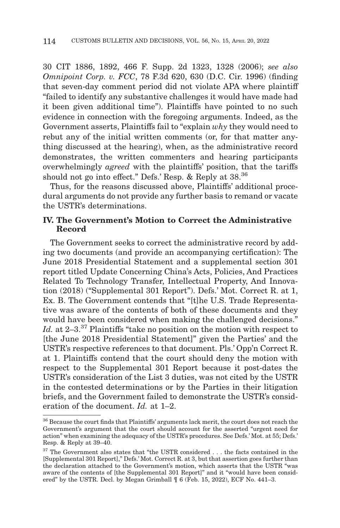30 CIT 1886, 1892, 466 F. Supp. 2d 1323, 1328 (2006); *see also Omnipoint Corp. v. FCC*, 78 F.3d 620, 630 (D.C. Cir. 1996) (finding that seven-day comment period did not violate APA where plaintiff "failed to identify any substantive challenges it would have made had it been given additional time"). Plaintiffs have pointed to no such evidence in connection with the foregoing arguments. Indeed, as the Government asserts, Plaintiffs fail to "explain *why* they would need to rebut any of the initial written comments (or, for that matter anything discussed at the hearing), when, as the administrative record demonstrates, the written commenters and hearing participants overwhelmingly *agreed* with the plaintiffs' position, that the tariffs should not go into effect." Defs.' Resp. & Reply at  $38^{36}$ 

Thus, for the reasons discussed above, Plaintiffs' additional procedural arguments do not provide any further basis to remand or vacate the USTR's determinations.

### **IV. The Government's Motion to Correct the Administrative Record**

The Government seeks to correct the administrative record by adding two documents (and provide an accompanying certification): The June 2018 Presidential Statement and a supplemental section 301 report titled Update Concerning China's Acts, Policies, And Practices Related To Technology Transfer, Intellectual Property, And Innovation (2018) ("Supplemental 301 Report"). Defs.' Mot. Correct R. at 1, Ex. B. The Government contends that "[t]he U.S. Trade Representative was aware of the contents of both of these documents and they would have been considered when making the challenged decisions." *Id.* at 2–3.<sup>37</sup> Plaintiffs "take no position on the motion with respect to [the June 2018 Presidential Statement]" given the Parties' and the USTR's respective references to that document. Pls.' Opp'n Correct R. at 1. Plaintiffs contend that the court should deny the motion with respect to the Supplemental 301 Report because it post-dates the USTR's consideration of the List 3 duties, was not cited by the USTR in the contested determinations or by the Parties in their litigation briefs, and the Government failed to demonstrate the USTR's consideration of the document. *Id.* at 1–2.

<sup>&</sup>lt;sup>36</sup> Because the court finds that Plaintiffs' arguments lack merit, the court does not reach the Government's argument that the court should account for the asserted "urgent need for action" when examining the adequacy of the USTR's procedures. See Defs.' Mot. at 55; Defs.' Resp. & Reply at 39–40.

 $^{37}$  The Government also states that "the USTR considered . . . the facts contained in the [Supplemental 301 Report]," Defs.' Mot. Correct R. at 3, but that assertion goes further than the declaration attached to the Government's motion, which asserts that the USTR "was aware of the contents of [the Supplemental 301 Report]" and it "would have been considered" by the USTR. Decl. by Megan Grimball ¶ 6 (Feb. 15, 2022), ECF No. 441–3.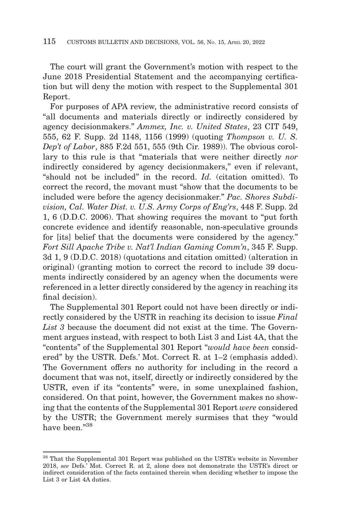The court will grant the Government's motion with respect to the June 2018 Presidential Statement and the accompanying certification but will deny the motion with respect to the Supplemental 301 Report.

For purposes of APA review, the administrative record consists of "all documents and materials directly or indirectly considered by agency decisionmakers." *Ammex, Inc. v. United States*, 23 CIT 549, 555, 62 F. Supp. 2d 1148, 1156 (1999) (quoting *Thompson v. U. S. Dep't of Labor*, 885 F.2d 551, 555 (9th Cir. 1989)). The obvious corollary to this rule is that "materials that were neither directly *nor* indirectly considered by agency decisionmakers," even if relevant, "should not be included" in the record. *Id.* (citation omitted). To correct the record, the movant must "show that the documents to be included were before the agency decisionmaker." *Pac. Shores Subdivision, Cal. Water Dist. v. U.S. Army Corps of Eng'rs*, 448 F. Supp. 2d 1, 6 (D.D.C. 2006). That showing requires the movant to "put forth concrete evidence and identify reasonable, non-speculative grounds for [its] belief that the documents were considered by the agency." *Fort Sill Apache Tribe v. Nat'l Indian Gaming Comm'n*, 345 F. Supp. 3d 1, 9 (D.D.C. 2018) (quotations and citation omitted) (alteration in original) (granting motion to correct the record to include 39 documents indirectly considered by an agency when the documents were referenced in a letter directly considered by the agency in reaching its final decision).

The Supplemental 301 Report could not have been directly or indirectly considered by the USTR in reaching its decision to issue *Final List 3* because the document did not exist at the time. The Government argues instead, with respect to both List 3 and List 4A, that the "contents" of the Supplemental 301 Report "*would have been* considered" by the USTR. Defs.' Mot. Correct R. at 1–2 (emphasis added). The Government offers no authority for including in the record a document that was not, itself, directly or indirectly considered by the USTR, even if its "contents" were, in some unexplained fashion, considered. On that point, however, the Government makes no showing that the contents of the Supplemental 301 Report *were* considered by the USTR; the Government merely surmises that they "would have been."38

 $^\mathrm{38}$  That the Supplemental 301 Report was published on the USTR's website in November 2018, *see* Defs.' Mot. Correct R. at 2, alone does not demonstrate the USTR's direct or indirect consideration of the facts contained therein when deciding whether to impose the List 3 or List 4A duties.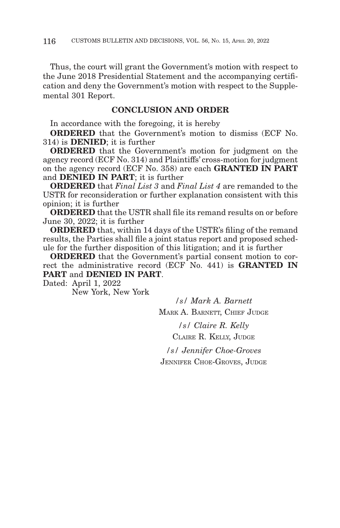Thus, the court will grant the Government's motion with respect to the June 2018 Presidential Statement and the accompanying certification and deny the Government's motion with respect to the Supplemental 301 Report.

### **CONCLUSION AND ORDER**

In accordance with the foregoing, it is hereby

**ORDERED** that the Government's motion to dismiss (ECF No. 314) is **DENIED**; it is further

**ORDERED** that the Government's motion for judgment on the agency record (ECF No. 314) and Plaintiffs' cross-motion for judgment on the agency record (ECF No. 358) are each **GRANTED IN PART** and **DENIED IN PART**; it is further

**ORDERED** that *Final List 3* and *Final List 4* are remanded to the USTR for reconsideration or further explanation consistent with this opinion; it is further

**ORDERED** that the USTR shall file its remand results on or before June 30, 2022; it is further

**ORDERED** that, within 14 days of the USTR's filing of the remand results, the Parties shall file a joint status report and proposed schedule for the further disposition of this litigation; and it is further

**ORDERED** that the Government's partial consent motion to correct the administrative record (ECF No. 441) is **GRANTED IN PART** and **DENIED IN PART**.

Dated: April 1, 2022

New York, New York

*/s/ Mark A. Barnett*

MARK A. BARNETT, CHIEF JUDGE

*/s/ Claire R. Kelly*

CLAIRE R. KELLY, JUDGE

*/s/ Jennifer Choe-Groves* JENNIFER CHOE-GROVES, JUDGE